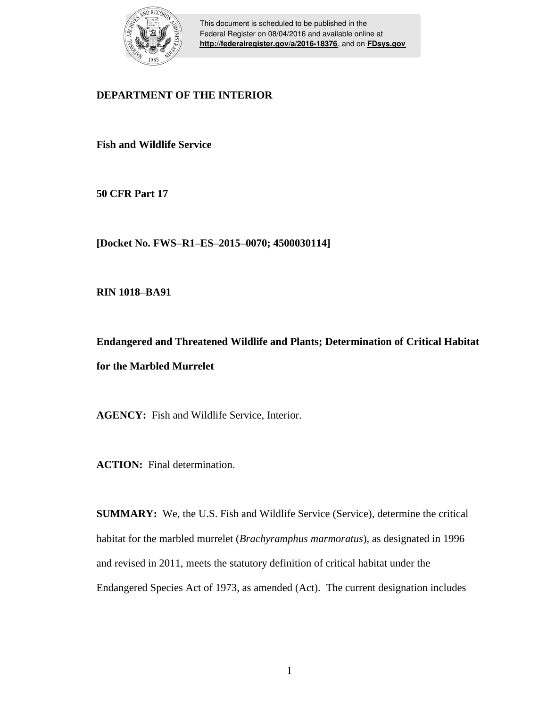

This document is scheduled to be published in the Federal Register on 08/04/2016 and available online at **<http://federalregister.gov/a/2016-18376>**, and on **[FDsys.gov](http://federalregister.gov/a/2016-18376.pdf)**

# **DEPARTMENT OF THE INTERIOR**

**Fish and Wildlife Service**

**50 CFR Part 17**

**[Docket No. FWS–R1–ES–2015–0070; 4500030114]**

**RIN 1018–BA91**

**Endangered and Threatened Wildlife and Plants; Determination of Critical Habitat for the Marbled Murrelet**

**AGENCY:** Fish and Wildlife Service, Interior.

**ACTION:** Final determination.

**SUMMARY:** We, the U.S. Fish and Wildlife Service (Service), determine the critical habitat for the marbled murrelet (*Brachyramphus marmoratus*), as designated in 1996 and revised in 2011, meets the statutory definition of critical habitat under the Endangered Species Act of 1973, as amended (Act). The current designation includes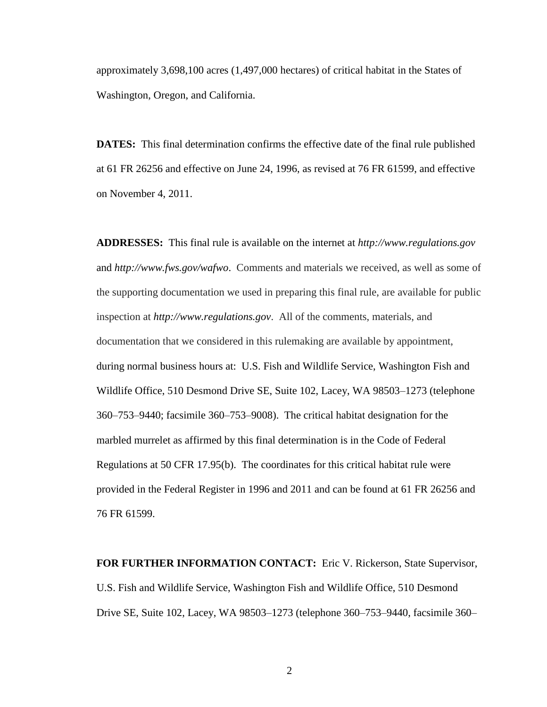approximately 3,698,100 acres (1,497,000 hectares) of critical habitat in the States of Washington, Oregon, and California.

**DATES:** This final determination confirms the effective date of the final rule published at 61 FR 26256 and effective on June 24, 1996, as revised at 76 FR 61599, and effective on November 4, 2011.

**ADDRESSES:** This final rule is available on the internet at *http://www.regulations.gov* and *http://www.fws.gov/wafwo*. Comments and materials we received, as well as some of the supporting documentation we used in preparing this final rule, are available for public inspection at *http://www.regulations.gov*. All of the comments, materials, and documentation that we considered in this rulemaking are available by appointment, during normal business hours at: U.S. Fish and Wildlife Service, Washington Fish and Wildlife Office, 510 Desmond Drive SE, Suite 102, Lacey, WA 98503–1273 (telephone 360–753–9440; facsimile 360–753–9008). The critical habitat designation for the marbled murrelet as affirmed by this final determination is in the Code of Federal Regulations at 50 CFR 17.95(b). The coordinates for this critical habitat rule were provided in the Federal Register in 1996 and 2011 and can be found at 61 FR 26256 and 76 FR 61599.

**FOR FURTHER INFORMATION CONTACT:** Eric V. Rickerson, State Supervisor, U.S. Fish and Wildlife Service, Washington Fish and Wildlife Office, 510 Desmond Drive SE, Suite 102, Lacey, WA 98503–1273 (telephone 360–753–9440, facsimile 360–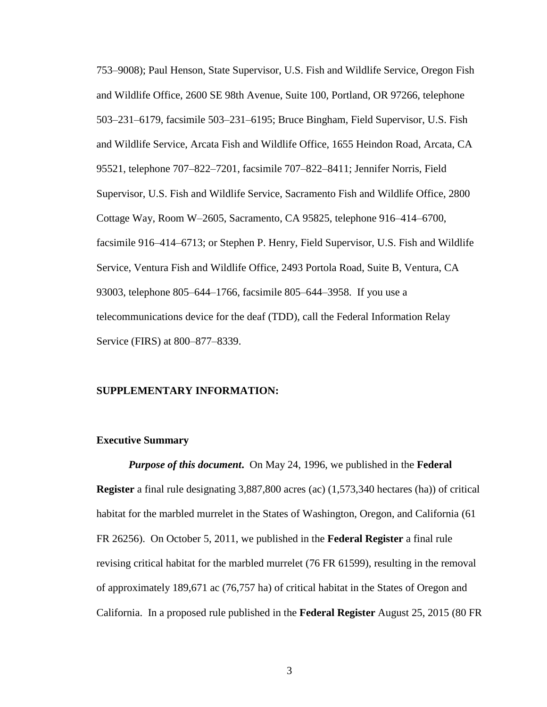753–9008); Paul Henson, State Supervisor, U.S. Fish and Wildlife Service, Oregon Fish and Wildlife Office, 2600 SE 98th Avenue, Suite 100, Portland, OR 97266, telephone 503–231–6179, facsimile 503–231–6195; Bruce Bingham, Field Supervisor, U.S. Fish and Wildlife Service, Arcata Fish and Wildlife Office, 1655 Heindon Road, Arcata, CA 95521, telephone 707–822–7201, facsimile 707–822–8411; Jennifer Norris, Field Supervisor, U.S. Fish and Wildlife Service, Sacramento Fish and Wildlife Office, 2800 Cottage Way, Room W–2605, Sacramento, CA 95825, telephone 916–414–6700, facsimile 916–414–6713; or Stephen P. Henry, Field Supervisor, U.S. Fish and Wildlife Service, Ventura Fish and Wildlife Office, 2493 Portola Road, Suite B, Ventura, CA 93003, telephone 805–644–1766, facsimile 805–644–3958. If you use a telecommunications device for the deaf (TDD), call the Federal Information Relay Service (FIRS) at 800–877–8339.

# **SUPPLEMENTARY INFORMATION:**

### **Executive Summary**

*Purpose of this document***.** On May 24, 1996, we published in the **Federal Register** a final rule designating 3,887,800 acres (ac) (1,573,340 hectares (ha)) of critical habitat for the marbled murrelet in the States of Washington, Oregon, and California (61 FR 26256). On October 5, 2011, we published in the **Federal Register** a final rule revising critical habitat for the marbled murrelet (76 FR 61599), resulting in the removal of approximately 189,671 ac (76,757 ha) of critical habitat in the States of Oregon and California. In a proposed rule published in the **Federal Register** August 25, 2015 (80 FR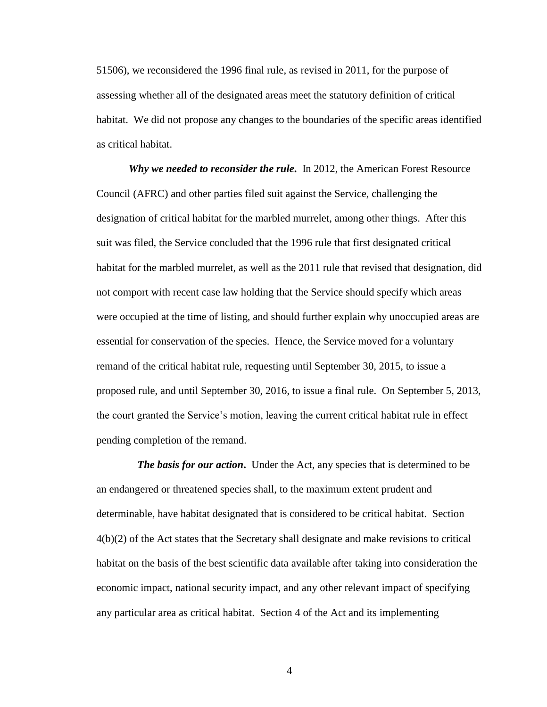51506), we reconsidered the 1996 final rule, as revised in 2011, for the purpose of assessing whether all of the designated areas meet the statutory definition of critical habitat. We did not propose any changes to the boundaries of the specific areas identified as critical habitat.

*Why we needed to reconsider the rule***.** In 2012, the American Forest Resource Council (AFRC) and other parties filed suit against the Service, challenging the designation of critical habitat for the marbled murrelet, among other things. After this suit was filed, the Service concluded that the 1996 rule that first designated critical habitat for the marbled murrelet, as well as the 2011 rule that revised that designation, did not comport with recent case law holding that the Service should specify which areas were occupied at the time of listing, and should further explain why unoccupied areas are essential for conservation of the species. Hence, the Service moved for a voluntary remand of the critical habitat rule, requesting until September 30, 2015, to issue a proposed rule, and until September 30, 2016, to issue a final rule. On September 5, 2013, the court granted the Service's motion, leaving the current critical habitat rule in effect pending completion of the remand.

*The basis for our action.* Under the Act, any species that is determined to be an endangered or threatened species shall, to the maximum extent prudent and determinable, have habitat designated that is considered to be critical habitat. Section 4(b)(2) of the Act states that the Secretary shall designate and make revisions to critical habitat on the basis of the best scientific data available after taking into consideration the economic impact, national security impact, and any other relevant impact of specifying any particular area as critical habitat. Section 4 of the Act and its implementing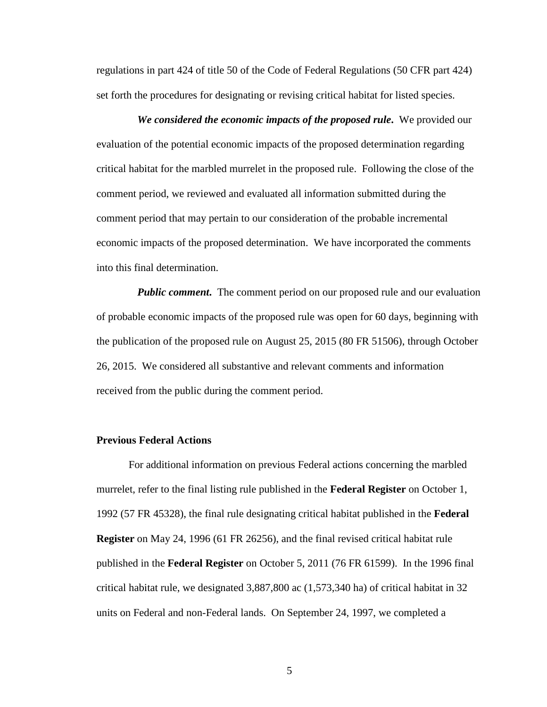regulations in part 424 of title 50 of the Code of Federal Regulations (50 CFR part 424) set forth the procedures for designating or revising critical habitat for listed species.

*We considered the economic impacts of the proposed rule***.** We provided our evaluation of the potential economic impacts of the proposed determination regarding critical habitat for the marbled murrelet in the proposed rule. Following the close of the comment period, we reviewed and evaluated all information submitted during the comment period that may pertain to our consideration of the probable incremental economic impacts of the proposed determination. We have incorporated the comments into this final determination.

*Public comment***.** The comment period on our proposed rule and our evaluation of probable economic impacts of the proposed rule was open for 60 days, beginning with the publication of the proposed rule on August 25, 2015 (80 FR 51506), through October 26, 2015. We considered all substantive and relevant comments and information received from the public during the comment period.

# **Previous Federal Actions**

For additional information on previous Federal actions concerning the marbled murrelet, refer to the final listing rule published in the **Federal Register** on October 1, 1992 (57 FR 45328), the final rule designating critical habitat published in the **Federal Register** on May 24, 1996 (61 FR 26256), and the final revised critical habitat rule published in the **Federal Register** on October 5, 2011 (76 FR 61599). In the 1996 final critical habitat rule, we designated 3,887,800 ac (1,573,340 ha) of critical habitat in 32 units on Federal and non-Federal lands. On September 24, 1997, we completed a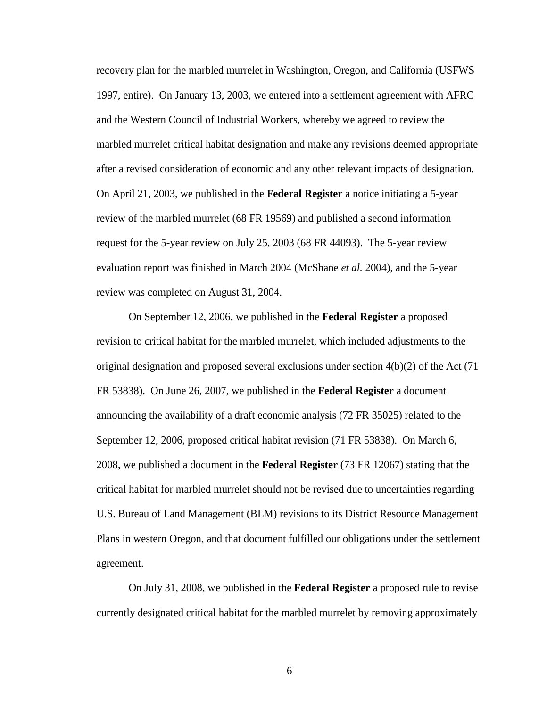recovery plan for the marbled murrelet in Washington, Oregon, and California (USFWS 1997, entire). On January 13, 2003, we entered into a settlement agreement with AFRC and the Western Council of Industrial Workers, whereby we agreed to review the marbled murrelet critical habitat designation and make any revisions deemed appropriate after a revised consideration of economic and any other relevant impacts of designation. On April 21, 2003, we published in the **Federal Register** a notice initiating a 5-year review of the marbled murrelet (68 FR 19569) and published a second information request for the 5-year review on July 25, 2003 (68 FR 44093). The 5-year review evaluation report was finished in March 2004 (McShane *et al.* 2004), and the 5-year review was completed on August 31, 2004.

On September 12, 2006, we published in the **Federal Register** a proposed revision to critical habitat for the marbled murrelet, which included adjustments to the original designation and proposed several exclusions under section 4(b)(2) of the Act (71 FR 53838). On June 26, 2007, we published in the **Federal Register** a document announcing the availability of a draft economic analysis (72 FR 35025) related to the September 12, 2006, proposed critical habitat revision (71 FR 53838). On March 6, 2008, we published a document in the **Federal Register** (73 FR 12067) stating that the critical habitat for marbled murrelet should not be revised due to uncertainties regarding U.S. Bureau of Land Management (BLM) revisions to its District Resource Management Plans in western Oregon, and that document fulfilled our obligations under the settlement agreement.

On July 31, 2008, we published in the **Federal Register** a proposed rule to revise currently designated critical habitat for the marbled murrelet by removing approximately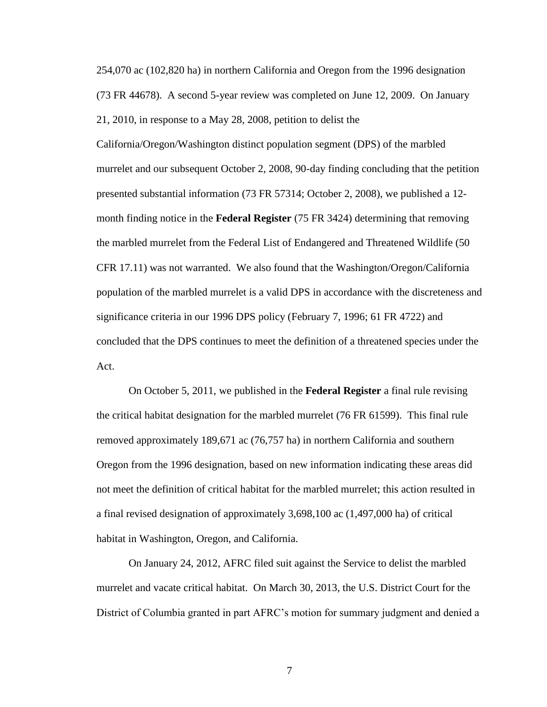254,070 ac (102,820 ha) in northern California and Oregon from the 1996 designation (73 FR 44678). A second 5-year review was completed on June 12, 2009. On January 21, 2010, in response to a May 28, 2008, petition to delist the

California/Oregon/Washington distinct population segment (DPS) of the marbled murrelet and our subsequent October 2, 2008, 90-day finding concluding that the petition presented substantial information (73 FR 57314; October 2, 2008), we published a 12 month finding notice in the **Federal Register** (75 FR 3424) determining that removing the marbled murrelet from the Federal List of Endangered and Threatened Wildlife (50 CFR 17.11) was not warranted. We also found that the Washington/Oregon/California population of the marbled murrelet is a valid DPS in accordance with the discreteness and significance criteria in our 1996 DPS policy (February 7, 1996; 61 FR 4722) and concluded that the DPS continues to meet the definition of a threatened species under the Act.

On October 5, 2011, we published in the **Federal Register** a final rule revising the critical habitat designation for the marbled murrelet (76 FR 61599). This final rule removed approximately 189,671 ac (76,757 ha) in northern California and southern Oregon from the 1996 designation, based on new information indicating these areas did not meet the definition of critical habitat for the marbled murrelet; this action resulted in a final revised designation of approximately 3,698,100 ac (1,497,000 ha) of critical habitat in Washington, Oregon, and California.

On January 24, 2012, AFRC filed suit against the Service to delist the marbled murrelet and vacate critical habitat. On March 30, 2013, the U.S. District Court for the District of Columbia granted in part AFRC's motion for summary judgment and denied a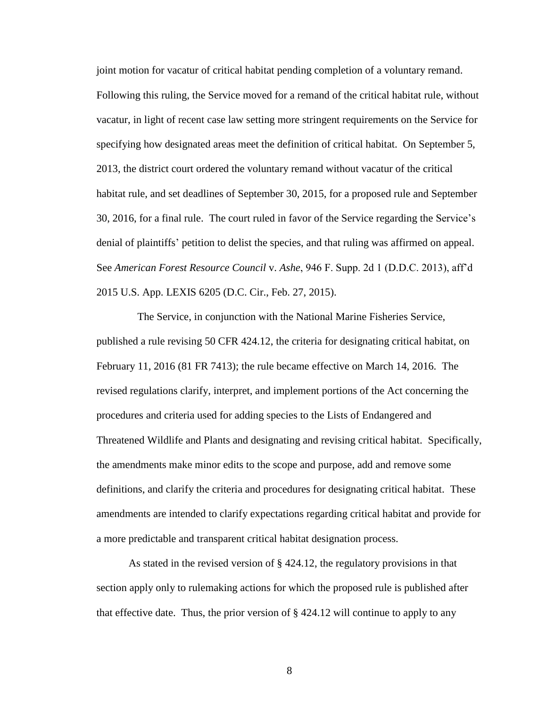joint motion for vacatur of critical habitat pending completion of a voluntary remand. Following this ruling, the Service moved for a remand of the critical habitat rule, without vacatur, in light of recent case law setting more stringent requirements on the Service for specifying how designated areas meet the definition of critical habitat. On September 5, 2013, the district court ordered the voluntary remand without vacatur of the critical habitat rule, and set deadlines of September 30, 2015, for a proposed rule and September 30, 2016, for a final rule. The court ruled in favor of the Service regarding the Service's denial of plaintiffs' petition to delist the species, and that ruling was affirmed on appeal. See *American Forest Resource Council* v. *Ashe*, 946 F. Supp. 2d 1 (D.D.C. 2013), aff'd 2015 U.S. App. LEXIS 6205 (D.C. Cir., Feb. 27, 2015).

The Service, in conjunction with the National Marine Fisheries Service, published a rule revising 50 CFR 424.12, the criteria for designating critical habitat, on February 11, 2016 (81 FR 7413); the rule became effective on March 14, 2016. The revised regulations clarify, interpret, and implement portions of the Act concerning the procedures and criteria used for adding species to the Lists of Endangered and Threatened Wildlife and Plants and designating and revising critical habitat. Specifically, the amendments make minor edits to the scope and purpose, add and remove some definitions, and clarify the criteria and procedures for designating critical habitat. These amendments are intended to clarify expectations regarding critical habitat and provide for a more predictable and transparent critical habitat designation process.

As stated in the revised version of § 424.12, the regulatory provisions in that section apply only to rulemaking actions for which the proposed rule is published after that effective date. Thus, the prior version of  $\S 424.12$  will continue to apply to any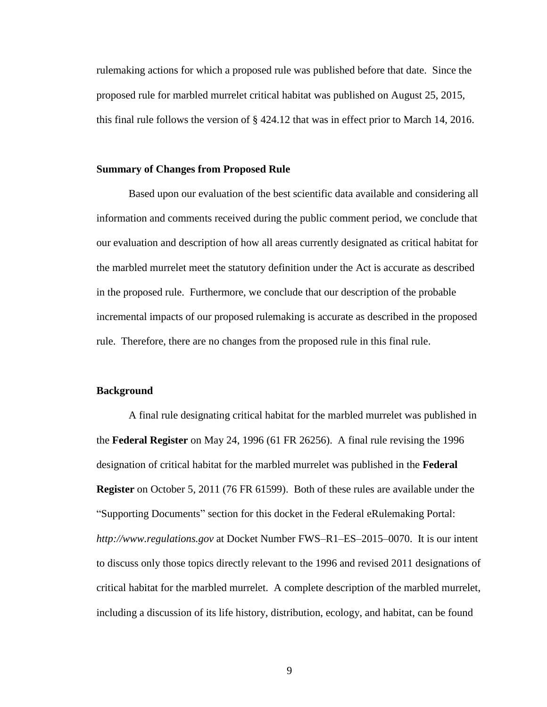rulemaking actions for which a proposed rule was published before that date. Since the proposed rule for marbled murrelet critical habitat was published on August 25, 2015, this final rule follows the version of § 424.12 that was in effect prior to March 14, 2016.

### **Summary of Changes from Proposed Rule**

Based upon our evaluation of the best scientific data available and considering all information and comments received during the public comment period, we conclude that our evaluation and description of how all areas currently designated as critical habitat for the marbled murrelet meet the statutory definition under the Act is accurate as described in the proposed rule. Furthermore, we conclude that our description of the probable incremental impacts of our proposed rulemaking is accurate as described in the proposed rule. Therefore, there are no changes from the proposed rule in this final rule.

#### **Background**

A final rule designating critical habitat for the marbled murrelet was published in the **Federal Register** on May 24, 1996 (61 FR 26256). A final rule revising the 1996 designation of critical habitat for the marbled murrelet was published in the **Federal Register** on October 5, 2011 (76 FR 61599). Both of these rules are available under the "Supporting Documents" section for this docket in the Federal eRulemaking Portal: *http://www.regulations.gov* at Docket Number FWS–R1–ES–2015–0070. It is our intent to discuss only those topics directly relevant to the 1996 and revised 2011 designations of critical habitat for the marbled murrelet. A complete description of the marbled murrelet, including a discussion of its life history, distribution, ecology, and habitat, can be found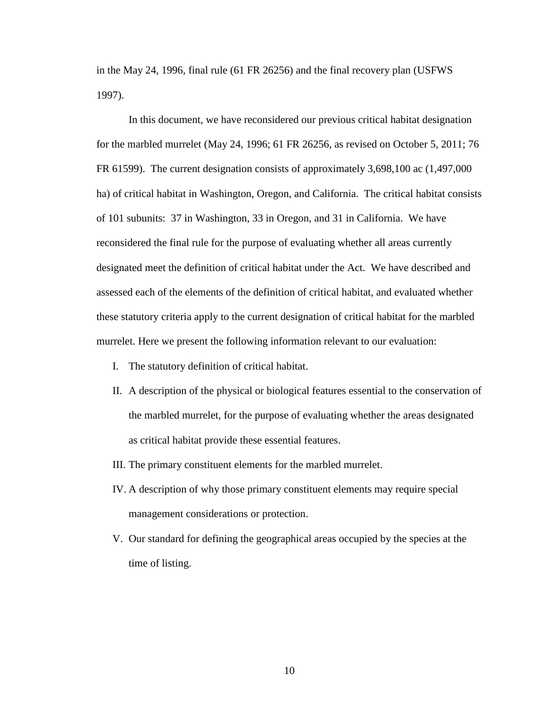in the May 24, 1996, final rule (61 FR 26256) and the final recovery plan (USFWS 1997).

In this document, we have reconsidered our previous critical habitat designation for the marbled murrelet (May 24, 1996; 61 FR 26256, as revised on October 5, 2011; 76 FR 61599). The current designation consists of approximately 3,698,100 ac (1,497,000 ha) of critical habitat in Washington, Oregon, and California. The critical habitat consists of 101 subunits: 37 in Washington, 33 in Oregon, and 31 in California. We have reconsidered the final rule for the purpose of evaluating whether all areas currently designated meet the definition of critical habitat under the Act. We have described and assessed each of the elements of the definition of critical habitat, and evaluated whether these statutory criteria apply to the current designation of critical habitat for the marbled murrelet. Here we present the following information relevant to our evaluation:

- I. The statutory definition of critical habitat.
- II. A description of the physical or biological features essential to the conservation of the marbled murrelet, for the purpose of evaluating whether the areas designated as critical habitat provide these essential features.
- III. The primary constituent elements for the marbled murrelet.
- IV. A description of why those primary constituent elements may require special management considerations or protection.
- V. Our standard for defining the geographical areas occupied by the species at the time of listing.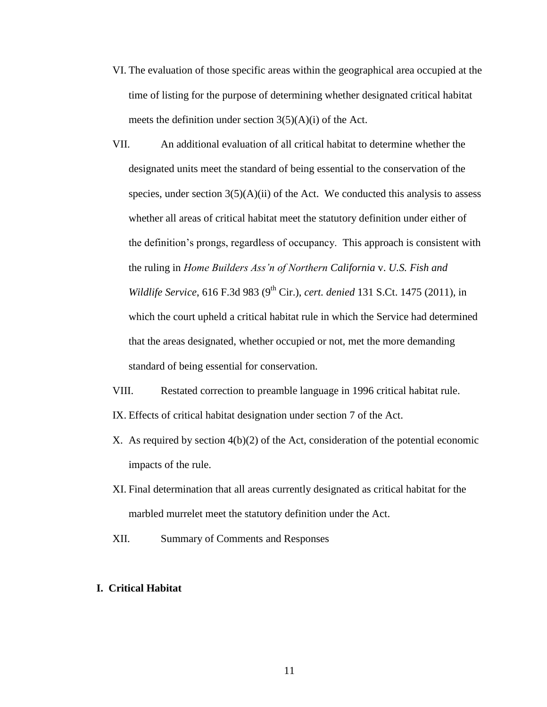- VI. The evaluation of those specific areas within the geographical area occupied at the time of listing for the purpose of determining whether designated critical habitat meets the definition under section  $3(5)(A)(i)$  of the Act.
- VII. An additional evaluation of all critical habitat to determine whether the designated units meet the standard of being essential to the conservation of the species, under section  $3(5)(A)(ii)$  of the Act. We conducted this analysis to assess whether all areas of critical habitat meet the statutory definition under either of the definition's prongs, regardless of occupancy. This approach is consistent with the ruling in *Home Builders Ass'n of Northern California* v. *U.S. Fish and Wildlife Service*, 616 F.3d 983 (9th Cir.), *cert. denied* 131 S.Ct. 1475 (2011), in which the court upheld a critical habitat rule in which the Service had determined that the areas designated, whether occupied or not, met the more demanding standard of being essential for conservation.
- VIII. Restated correction to preamble language in 1996 critical habitat rule.
- IX. Effects of critical habitat designation under section 7 of the Act.
- X. As required by section 4(b)(2) of the Act, consideration of the potential economic impacts of the rule.
- XI. Final determination that all areas currently designated as critical habitat for the marbled murrelet meet the statutory definition under the Act.
- XII. Summary of Comments and Responses

# **I. Critical Habitat**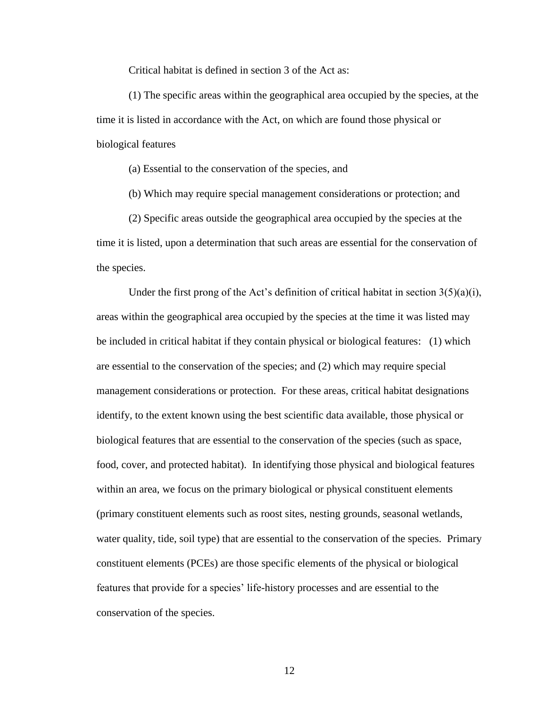Critical habitat is defined in section 3 of the Act as:

(1) The specific areas within the geographical area occupied by the species, at the time it is listed in accordance with the Act, on which are found those physical or biological features

(a) Essential to the conservation of the species, and

(b) Which may require special management considerations or protection; and

(2) Specific areas outside the geographical area occupied by the species at the time it is listed, upon a determination that such areas are essential for the conservation of the species.

Under the first prong of the Act's definition of critical habitat in section  $3(5)(a)(i)$ , areas within the geographical area occupied by the species at the time it was listed may be included in critical habitat if they contain physical or biological features: (1) which are essential to the conservation of the species; and (2) which may require special management considerations or protection. For these areas, critical habitat designations identify, to the extent known using the best scientific data available, those physical or biological features that are essential to the conservation of the species (such as space, food, cover, and protected habitat). In identifying those physical and biological features within an area, we focus on the primary biological or physical constituent elements (primary constituent elements such as roost sites, nesting grounds, seasonal wetlands, water quality, tide, soil type) that are essential to the conservation of the species. Primary constituent elements (PCEs) are those specific elements of the physical or biological features that provide for a species' life-history processes and are essential to the conservation of the species.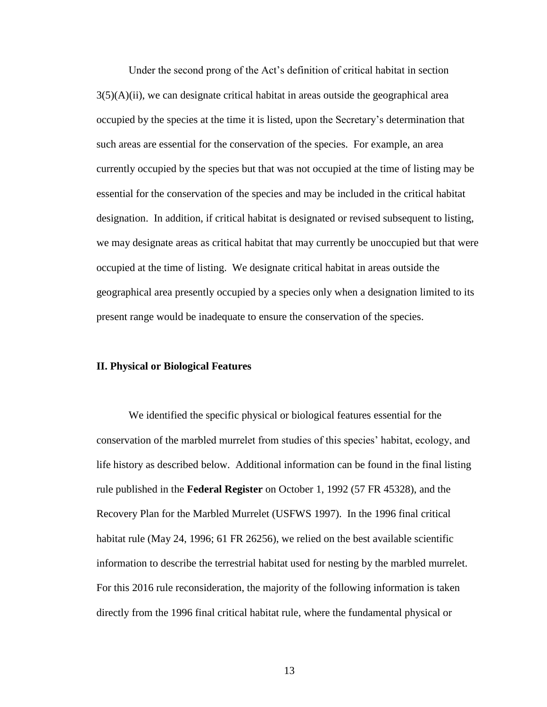Under the second prong of the Act's definition of critical habitat in section  $3(5)(A)(ii)$ , we can designate critical habitat in areas outside the geographical area occupied by the species at the time it is listed, upon the Secretary's determination that such areas are essential for the conservation of the species. For example, an area currently occupied by the species but that was not occupied at the time of listing may be essential for the conservation of the species and may be included in the critical habitat designation. In addition, if critical habitat is designated or revised subsequent to listing, we may designate areas as critical habitat that may currently be unoccupied but that were occupied at the time of listing. We designate critical habitat in areas outside the geographical area presently occupied by a species only when a designation limited to its present range would be inadequate to ensure the conservation of the species.

#### **II. Physical or Biological Features**

We identified the specific physical or biological features essential for the conservation of the marbled murrelet from studies of this species' habitat, ecology, and life history as described below. Additional information can be found in the final listing rule published in the **Federal Register** on October 1, 1992 (57 FR 45328), and the Recovery Plan for the Marbled Murrelet (USFWS 1997). In the 1996 final critical habitat rule (May 24, 1996; 61 FR 26256), we relied on the best available scientific information to describe the terrestrial habitat used for nesting by the marbled murrelet. For this 2016 rule reconsideration, the majority of the following information is taken directly from the 1996 final critical habitat rule, where the fundamental physical or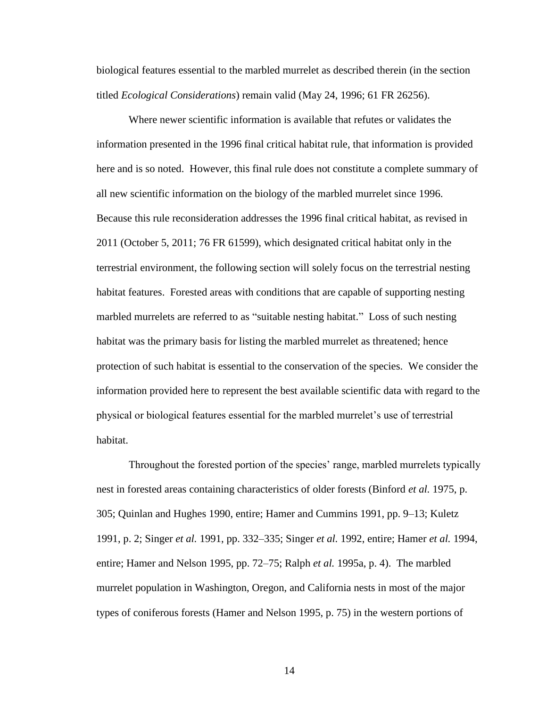biological features essential to the marbled murrelet as described therein (in the section titled *Ecological Considerations*) remain valid (May 24, 1996; 61 FR 26256).

Where newer scientific information is available that refutes or validates the information presented in the 1996 final critical habitat rule, that information is provided here and is so noted. However, this final rule does not constitute a complete summary of all new scientific information on the biology of the marbled murrelet since 1996. Because this rule reconsideration addresses the 1996 final critical habitat, as revised in 2011 (October 5, 2011; 76 FR 61599), which designated critical habitat only in the terrestrial environment, the following section will solely focus on the terrestrial nesting habitat features. Forested areas with conditions that are capable of supporting nesting marbled murrelets are referred to as "suitable nesting habitat." Loss of such nesting habitat was the primary basis for listing the marbled murrelet as threatened; hence protection of such habitat is essential to the conservation of the species. We consider the information provided here to represent the best available scientific data with regard to the physical or biological features essential for the marbled murrelet's use of terrestrial habitat.

Throughout the forested portion of the species' range, marbled murrelets typically nest in forested areas containing characteristics of older forests (Binford *et al.* 1975, p. 305; Quinlan and Hughes 1990, entire; Hamer and Cummins 1991, pp. 9–13; Kuletz 1991, p. 2; Singer *et al.* 1991, pp. 332–335; Singer *et al.* 1992, entire; Hamer *et al.* 1994, entire; Hamer and Nelson 1995, pp. 72–75; Ralph *et al.* 1995a, p. 4). The marbled murrelet population in Washington, Oregon, and California nests in most of the major types of coniferous forests (Hamer and Nelson 1995, p. 75) in the western portions of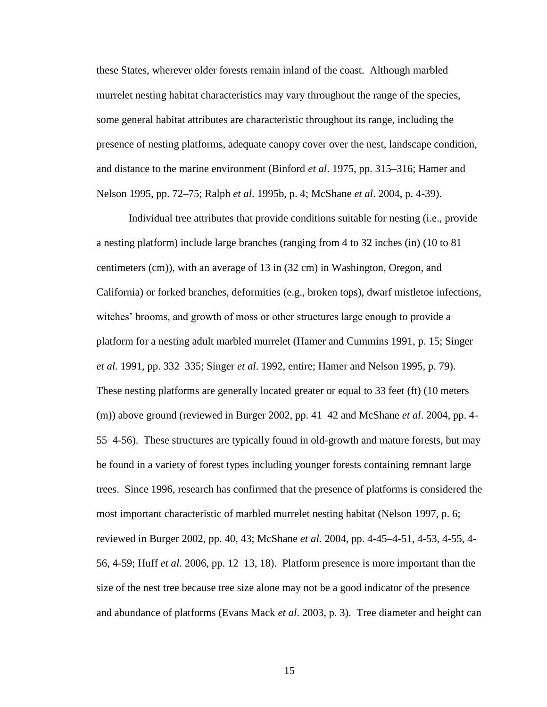these States, wherever older forests remain inland of the coast. Although marbled murrelet nesting habitat characteristics may vary throughout the range of the species, some general habitat attributes are characteristic throughout its range, including the presence of nesting platforms, adequate canopy cover over the nest, landscape condition, and distance to the marine environment (Binford *et al*. 1975, pp. 315–316; Hamer and Nelson 1995, pp. 72–75; Ralph *et al*. 1995b, p. 4; McShane *et al*. 2004, p. 4-39).

Individual tree attributes that provide conditions suitable for nesting (i.e., provide a nesting platform) include large branches (ranging from 4 to 32 inches (in) (10 to 81 centimeters (cm)), with an average of 13 in (32 cm) in Washington, Oregon, and California) or forked branches, deformities (e.g., broken tops), dwarf mistletoe infections, witches' brooms, and growth of moss or other structures large enough to provide a platform for a nesting adult marbled murrelet (Hamer and Cummins 1991, p. 15; Singer *et al.* 1991, pp. 332–335; Singer *et al*. 1992, entire; Hamer and Nelson 1995, p. 79). These nesting platforms are generally located greater or equal to 33 feet (ft) (10 meters (m)) above ground (reviewed in Burger 2002, pp. 41–42 and McShane *et al*. 2004, pp. 4- 55–4-56). These structures are typically found in old-growth and mature forests, but may be found in a variety of forest types including younger forests containing remnant large trees. Since 1996, research has confirmed that the presence of platforms is considered the most important characteristic of marbled murrelet nesting habitat (Nelson 1997, p. 6; reviewed in Burger 2002, pp. 40, 43; McShane *et al*. 2004, pp. 4-45–4-51, 4-53, 4-55, 4- 56, 4-59; Huff *et al*. 2006, pp. 12–13, 18). Platform presence is more important than the size of the nest tree because tree size alone may not be a good indicator of the presence and abundance of platforms (Evans Mack *et al*. 2003, p. 3). Tree diameter and height can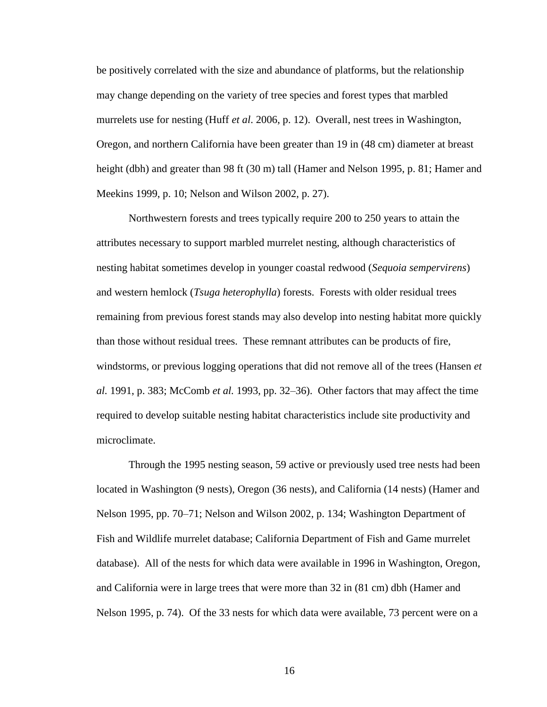be positively correlated with the size and abundance of platforms, but the relationship may change depending on the variety of tree species and forest types that marbled murrelets use for nesting (Huff *et al*. 2006, p. 12). Overall, nest trees in Washington, Oregon, and northern California have been greater than 19 in (48 cm) diameter at breast height (dbh) and greater than 98 ft (30 m) tall (Hamer and Nelson 1995, p. 81; Hamer and Meekins 1999, p. 10; Nelson and Wilson 2002, p. 27).

Northwestern forests and trees typically require 200 to 250 years to attain the attributes necessary to support marbled murrelet nesting, although characteristics of nesting habitat sometimes develop in younger coastal redwood (*Sequoia sempervirens*) and western hemlock (*Tsuga heterophylla*) forests. Forests with older residual trees remaining from previous forest stands may also develop into nesting habitat more quickly than those without residual trees. These remnant attributes can be products of fire, windstorms, or previous logging operations that did not remove all of the trees (Hansen *et al.* 1991, p. 383; McComb *et al.* 1993, pp. 32–36). Other factors that may affect the time required to develop suitable nesting habitat characteristics include site productivity and microclimate.

Through the 1995 nesting season, 59 active or previously used tree nests had been located in Washington (9 nests), Oregon (36 nests), and California (14 nests) (Hamer and Nelson 1995, pp. 70–71; Nelson and Wilson 2002, p. 134; Washington Department of Fish and Wildlife murrelet database; California Department of Fish and Game murrelet database). All of the nests for which data were available in 1996 in Washington, Oregon, and California were in large trees that were more than 32 in (81 cm) dbh (Hamer and Nelson 1995, p. 74). Of the 33 nests for which data were available, 73 percent were on a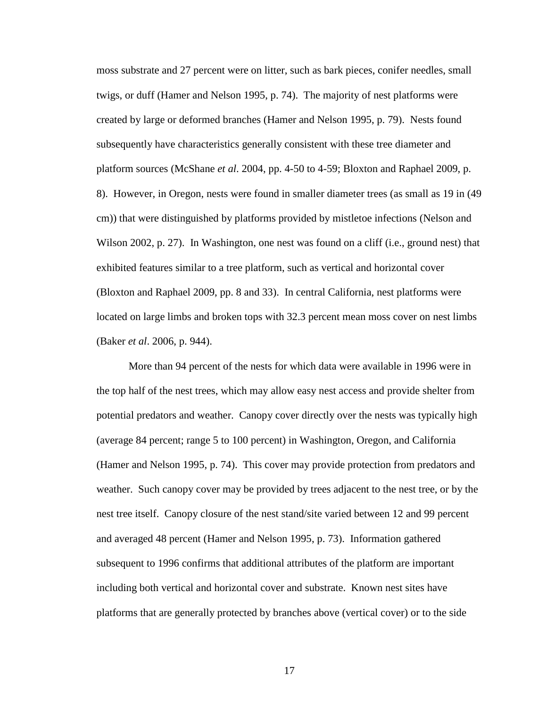moss substrate and 27 percent were on litter, such as bark pieces, conifer needles, small twigs, or duff (Hamer and Nelson 1995, p. 74). The majority of nest platforms were created by large or deformed branches (Hamer and Nelson 1995, p. 79). Nests found subsequently have characteristics generally consistent with these tree diameter and platform sources (McShane *et al*. 2004, pp. 4-50 to 4-59; Bloxton and Raphael 2009, p. 8). However, in Oregon, nests were found in smaller diameter trees (as small as 19 in (49 cm)) that were distinguished by platforms provided by mistletoe infections (Nelson and Wilson 2002, p. 27). In Washington, one nest was found on a cliff (i.e., ground nest) that exhibited features similar to a tree platform, such as vertical and horizontal cover (Bloxton and Raphael 2009, pp. 8 and 33). In central California, nest platforms were located on large limbs and broken tops with 32.3 percent mean moss cover on nest limbs (Baker *et al*. 2006, p. 944).

More than 94 percent of the nests for which data were available in 1996 were in the top half of the nest trees, which may allow easy nest access and provide shelter from potential predators and weather. Canopy cover directly over the nests was typically high (average 84 percent; range 5 to 100 percent) in Washington, Oregon, and California (Hamer and Nelson 1995, p. 74). This cover may provide protection from predators and weather. Such canopy cover may be provided by trees adjacent to the nest tree, or by the nest tree itself. Canopy closure of the nest stand/site varied between 12 and 99 percent and averaged 48 percent (Hamer and Nelson 1995, p. 73). Information gathered subsequent to 1996 confirms that additional attributes of the platform are important including both vertical and horizontal cover and substrate. Known nest sites have platforms that are generally protected by branches above (vertical cover) or to the side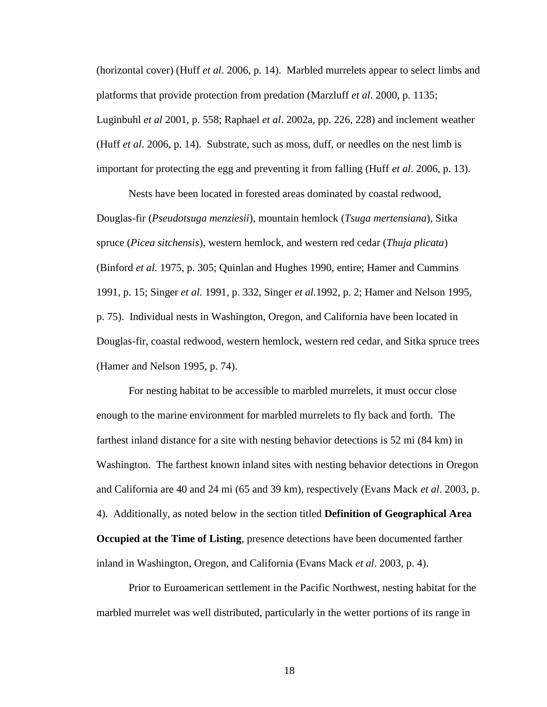(horizontal cover) (Huff *et al*. 2006, p. 14). Marbled murrelets appear to select limbs and platforms that provide protection from predation (Marzluff *et al*. 2000, p. 1135; Luginbuhl *et al* 2001, p. 558; Raphael *et al*. 2002a, pp. 226, 228) and inclement weather (Huff *et al*. 2006, p. 14). Substrate, such as moss, duff, or needles on the nest limb is important for protecting the egg and preventing it from falling (Huff *et al*. 2006, p. 13).

Nests have been located in forested areas dominated by coastal redwood, Douglas-fir (*Pseudotsuga menziesii*), mountain hemlock (*Tsuga mertensiana*), Sitka spruce (*Picea sitchensis*), western hemlock, and western red cedar (*Thuja plicata*) (Binford *et al.* 1975, p. 305; Quinlan and Hughes 1990, entire; Hamer and Cummins 1991, p. 15; Singer *et al.* 1991, p. 332, Singer *et al.*1992, p. 2; Hamer and Nelson 1995, p. 75). Individual nests in Washington, Oregon, and California have been located in Douglas-fir, coastal redwood, western hemlock, western red cedar, and Sitka spruce trees (Hamer and Nelson 1995, p. 74).

For nesting habitat to be accessible to marbled murrelets, it must occur close enough to the marine environment for marbled murrelets to fly back and forth. The farthest inland distance for a site with nesting behavior detections is 52 mi (84 km) in Washington. The farthest known inland sites with nesting behavior detections in Oregon and California are 40 and 24 mi (65 and 39 km), respectively (Evans Mack *et al*. 2003, p. 4). Additionally, as noted below in the section titled **Definition of Geographical Area Occupied at the Time of Listing**, presence detections have been documented farther inland in Washington, Oregon, and California (Evans Mack *et al*. 2003, p. 4).

Prior to Euroamerican settlement in the Pacific Northwest, nesting habitat for the marbled murrelet was well distributed, particularly in the wetter portions of its range in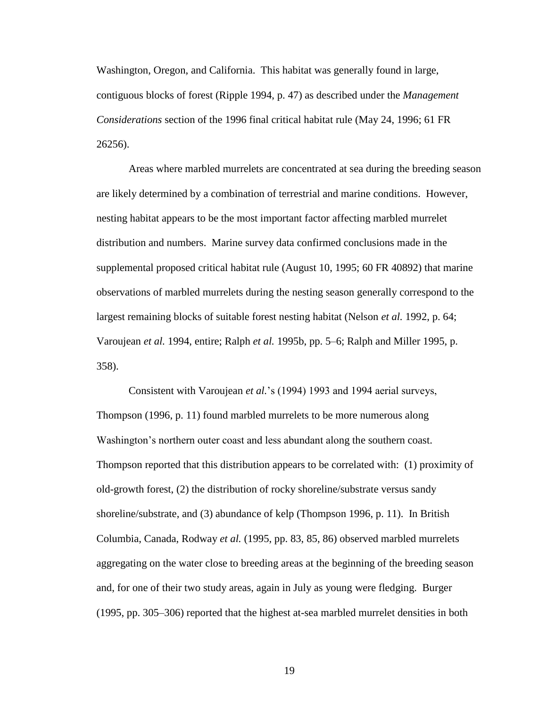Washington, Oregon, and California. This habitat was generally found in large, contiguous blocks of forest (Ripple 1994, p. 47) as described under the *Management Considerations* section of the 1996 final critical habitat rule (May 24, 1996; 61 FR 26256).

Areas where marbled murrelets are concentrated at sea during the breeding season are likely determined by a combination of terrestrial and marine conditions. However, nesting habitat appears to be the most important factor affecting marbled murrelet distribution and numbers. Marine survey data confirmed conclusions made in the supplemental proposed critical habitat rule (August 10, 1995; 60 FR 40892) that marine observations of marbled murrelets during the nesting season generally correspond to the largest remaining blocks of suitable forest nesting habitat (Nelson *et al.* 1992, p. 64; Varoujean *et al.* 1994, entire; Ralph *et al.* 1995b, pp. 5–6; Ralph and Miller 1995, p. 358).

Consistent with Varoujean *et al.*'s (1994) 1993 and 1994 aerial surveys, Thompson (1996, p. 11) found marbled murrelets to be more numerous along Washington's northern outer coast and less abundant along the southern coast. Thompson reported that this distribution appears to be correlated with: (1) proximity of old-growth forest, (2) the distribution of rocky shoreline/substrate versus sandy shoreline/substrate, and (3) abundance of kelp (Thompson 1996, p. 11). In British Columbia, Canada, Rodway *et al.* (1995, pp. 83, 85, 86) observed marbled murrelets aggregating on the water close to breeding areas at the beginning of the breeding season and, for one of their two study areas, again in July as young were fledging. Burger (1995, pp. 305–306) reported that the highest at-sea marbled murrelet densities in both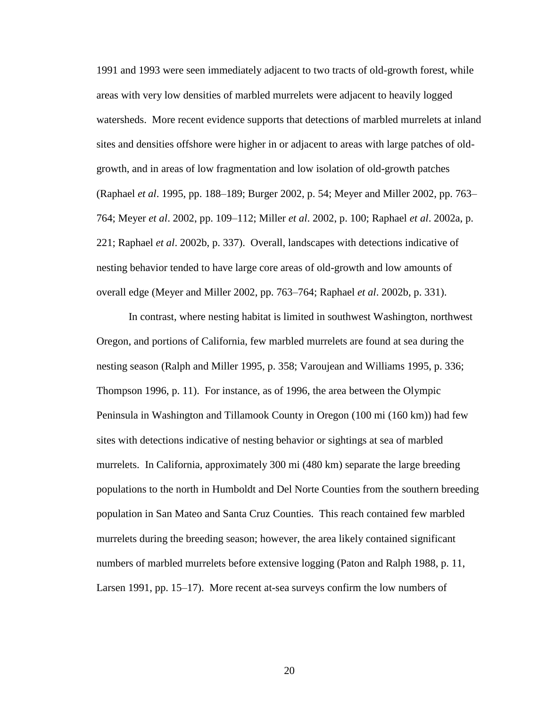1991 and 1993 were seen immediately adjacent to two tracts of old-growth forest, while areas with very low densities of marbled murrelets were adjacent to heavily logged watersheds. More recent evidence supports that detections of marbled murrelets at inland sites and densities offshore were higher in or adjacent to areas with large patches of oldgrowth, and in areas of low fragmentation and low isolation of old-growth patches (Raphael *et al*. 1995, pp. 188–189; Burger 2002, p. 54; Meyer and Miller 2002, pp. 763– 764; Meyer *et al*. 2002, pp. 109–112; Miller *et al*. 2002, p. 100; Raphael *et al*. 2002a, p. 221; Raphael *et al*. 2002b, p. 337). Overall, landscapes with detections indicative of nesting behavior tended to have large core areas of old-growth and low amounts of overall edge (Meyer and Miller 2002, pp. 763–764; Raphael *et al*. 2002b, p. 331).

In contrast, where nesting habitat is limited in southwest Washington, northwest Oregon, and portions of California, few marbled murrelets are found at sea during the nesting season (Ralph and Miller 1995, p. 358; Varoujean and Williams 1995, p. 336; Thompson 1996, p. 11). For instance, as of 1996, the area between the Olympic Peninsula in Washington and Tillamook County in Oregon (100 mi (160 km)) had few sites with detections indicative of nesting behavior or sightings at sea of marbled murrelets. In California, approximately 300 mi (480 km) separate the large breeding populations to the north in Humboldt and Del Norte Counties from the southern breeding population in San Mateo and Santa Cruz Counties. This reach contained few marbled murrelets during the breeding season; however, the area likely contained significant numbers of marbled murrelets before extensive logging (Paton and Ralph 1988, p. 11, Larsen 1991, pp. 15–17). More recent at-sea surveys confirm the low numbers of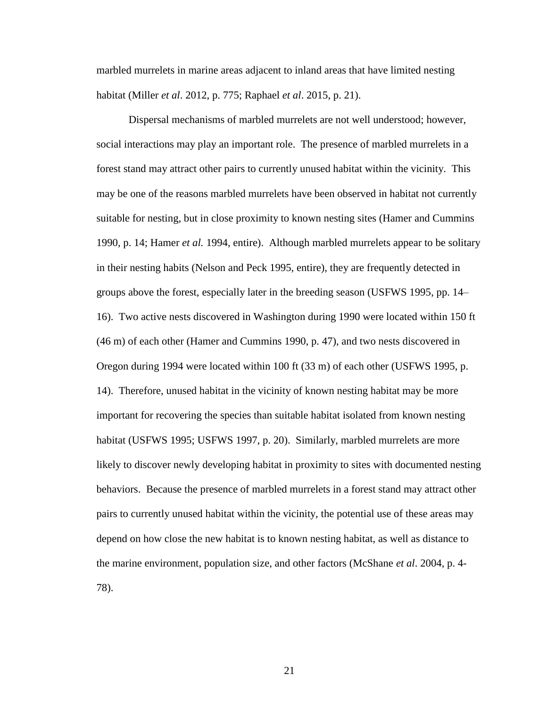marbled murrelets in marine areas adjacent to inland areas that have limited nesting habitat (Miller *et al*. 2012, p. 775; Raphael *et al*. 2015, p. 21).

Dispersal mechanisms of marbled murrelets are not well understood; however, social interactions may play an important role. The presence of marbled murrelets in a forest stand may attract other pairs to currently unused habitat within the vicinity. This may be one of the reasons marbled murrelets have been observed in habitat not currently suitable for nesting, but in close proximity to known nesting sites (Hamer and Cummins 1990, p. 14; Hamer *et al.* 1994, entire). Although marbled murrelets appear to be solitary in their nesting habits (Nelson and Peck 1995, entire), they are frequently detected in groups above the forest, especially later in the breeding season (USFWS 1995, pp. 14– 16). Two active nests discovered in Washington during 1990 were located within 150 ft (46 m) of each other (Hamer and Cummins 1990, p. 47), and two nests discovered in Oregon during 1994 were located within 100 ft (33 m) of each other (USFWS 1995, p. 14). Therefore, unused habitat in the vicinity of known nesting habitat may be more important for recovering the species than suitable habitat isolated from known nesting habitat (USFWS 1995; USFWS 1997, p. 20). Similarly, marbled murrelets are more likely to discover newly developing habitat in proximity to sites with documented nesting behaviors. Because the presence of marbled murrelets in a forest stand may attract other pairs to currently unused habitat within the vicinity, the potential use of these areas may depend on how close the new habitat is to known nesting habitat, as well as distance to the marine environment, population size, and other factors (McShane *et al*. 2004, p. 4- 78).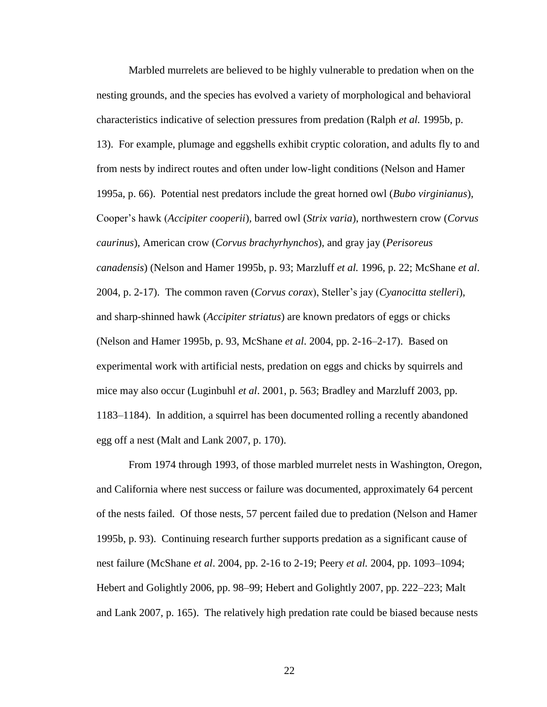Marbled murrelets are believed to be highly vulnerable to predation when on the nesting grounds, and the species has evolved a variety of morphological and behavioral characteristics indicative of selection pressures from predation (Ralph *et al.* 1995b, p. 13). For example, plumage and eggshells exhibit cryptic coloration, and adults fly to and from nests by indirect routes and often under low-light conditions (Nelson and Hamer 1995a, p. 66). Potential nest predators include the great horned owl (*Bubo virginianus*), Cooper's hawk (*Accipiter cooperii*), barred owl (*Strix varia*), northwestern crow (*Corvus caurinus*), American crow (*Corvus brachyrhynchos*), and gray jay (*Perisoreus canadensis*) (Nelson and Hamer 1995b, p. 93; Marzluff *et al.* 1996, p. 22; McShane *et al*. 2004, p. 2-17). The common raven (*Corvus corax*), Steller's jay (*Cyanocitta stelleri*), and sharp-shinned hawk (*Accipiter striatus*) are known predators of eggs or chicks (Nelson and Hamer 1995b, p. 93, McShane *et al*. 2004, pp. 2-16–2-17). Based on experimental work with artificial nests, predation on eggs and chicks by squirrels and mice may also occur (Luginbuhl *et al*. 2001, p. 563; Bradley and Marzluff 2003, pp. 1183–1184). In addition, a squirrel has been documented rolling a recently abandoned egg off a nest (Malt and Lank 2007, p. 170).

From 1974 through 1993, of those marbled murrelet nests in Washington, Oregon, and California where nest success or failure was documented, approximately 64 percent of the nests failed. Of those nests, 57 percent failed due to predation (Nelson and Hamer 1995b, p. 93). Continuing research further supports predation as a significant cause of nest failure (McShane *et al*. 2004, pp. 2-16 to 2-19; Peery *et al.* 2004, pp. 1093–1094; Hebert and Golightly 2006, pp. 98–99; Hebert and Golightly 2007, pp. 222–223; Malt and Lank 2007, p. 165). The relatively high predation rate could be biased because nests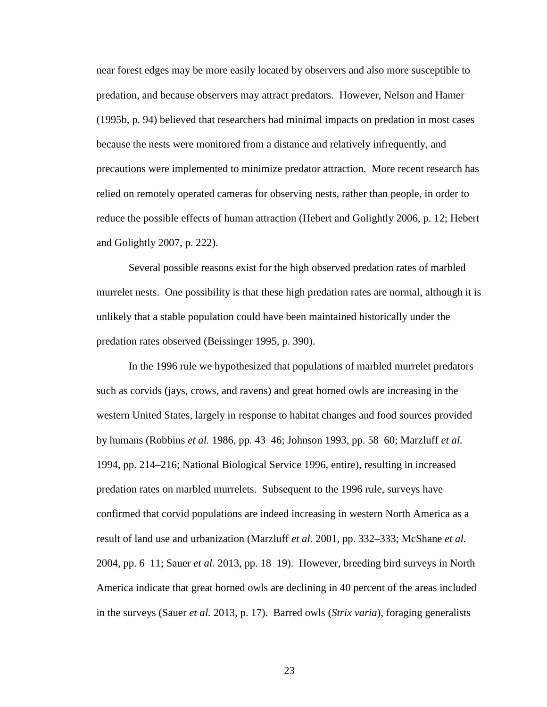near forest edges may be more easily located by observers and also more susceptible to predation, and because observers may attract predators. However, Nelson and Hamer (1995b, p. 94) believed that researchers had minimal impacts on predation in most cases because the nests were monitored from a distance and relatively infrequently, and precautions were implemented to minimize predator attraction. More recent research has relied on remotely operated cameras for observing nests, rather than people, in order to reduce the possible effects of human attraction (Hebert and Golightly 2006, p. 12; Hebert and Golightly 2007, p. 222).

Several possible reasons exist for the high observed predation rates of marbled murrelet nests. One possibility is that these high predation rates are normal, although it is unlikely that a stable population could have been maintained historically under the predation rates observed (Beissinger 1995, p. 390).

In the 1996 rule we hypothesized that populations of marbled murrelet predators such as corvids (jays, crows, and ravens) and great horned owls are increasing in the western United States, largely in response to habitat changes and food sources provided by humans (Robbins *et al.* 1986, pp. 43–46; Johnson 1993, pp. 58–60; Marzluff *et al.*  1994, pp. 214–216; National Biological Service 1996, entire), resulting in increased predation rates on marbled murrelets. Subsequent to the 1996 rule, surveys have confirmed that corvid populations are indeed increasing in western North America as a result of land use and urbanization (Marzluff *et al.* 2001, pp. 332–333; McShane *et al.* 2004, pp. 6–11; Sauer *et al.* 2013, pp. 18–19). However, breeding bird surveys in North America indicate that great horned owls are declining in 40 percent of the areas included in the surveys (Sauer *et al.* 2013, p. 17). Barred owls (*Strix varia*), foraging generalists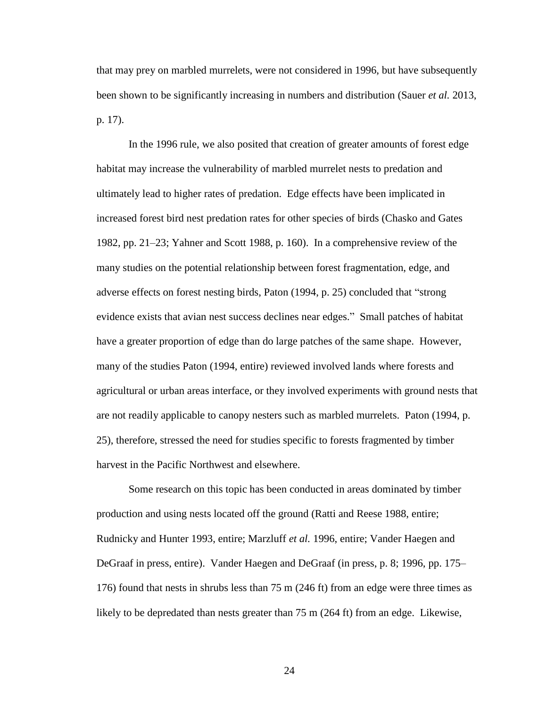that may prey on marbled murrelets, were not considered in 1996, but have subsequently been shown to be significantly increasing in numbers and distribution (Sauer *et al.* 2013, p. 17).

In the 1996 rule, we also posited that creation of greater amounts of forest edge habitat may increase the vulnerability of marbled murrelet nests to predation and ultimately lead to higher rates of predation. Edge effects have been implicated in increased forest bird nest predation rates for other species of birds (Chasko and Gates 1982, pp. 21–23; Yahner and Scott 1988, p. 160). In a comprehensive review of the many studies on the potential relationship between forest fragmentation, edge, and adverse effects on forest nesting birds, Paton (1994, p. 25) concluded that "strong evidence exists that avian nest success declines near edges." Small patches of habitat have a greater proportion of edge than do large patches of the same shape. However, many of the studies Paton (1994, entire) reviewed involved lands where forests and agricultural or urban areas interface, or they involved experiments with ground nests that are not readily applicable to canopy nesters such as marbled murrelets. Paton (1994, p. 25), therefore, stressed the need for studies specific to forests fragmented by timber harvest in the Pacific Northwest and elsewhere.

Some research on this topic has been conducted in areas dominated by timber production and using nests located off the ground (Ratti and Reese 1988, entire; Rudnicky and Hunter 1993, entire; Marzluff *et al.* 1996, entire; Vander Haegen and DeGraaf in press, entire). Vander Haegen and DeGraaf (in press, p. 8; 1996, pp. 175– 176) found that nests in shrubs less than 75 m (246 ft) from an edge were three times as likely to be depredated than nests greater than 75 m (264 ft) from an edge. Likewise,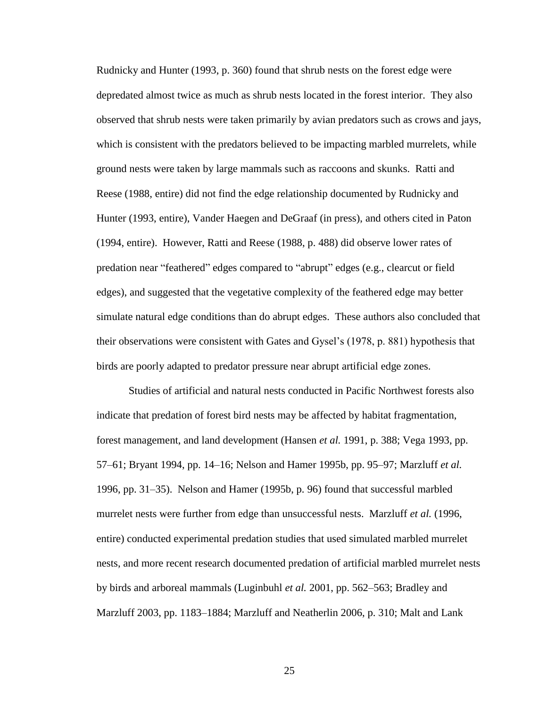Rudnicky and Hunter (1993, p. 360) found that shrub nests on the forest edge were depredated almost twice as much as shrub nests located in the forest interior. They also observed that shrub nests were taken primarily by avian predators such as crows and jays, which is consistent with the predators believed to be impacting marbled murrelets, while ground nests were taken by large mammals such as raccoons and skunks. Ratti and Reese (1988, entire) did not find the edge relationship documented by Rudnicky and Hunter (1993, entire), Vander Haegen and DeGraaf (in press), and others cited in Paton (1994, entire). However, Ratti and Reese (1988, p. 488) did observe lower rates of predation near "feathered" edges compared to "abrupt" edges (e.g., clearcut or field edges), and suggested that the vegetative complexity of the feathered edge may better simulate natural edge conditions than do abrupt edges. These authors also concluded that their observations were consistent with Gates and Gysel's (1978, p. 881) hypothesis that birds are poorly adapted to predator pressure near abrupt artificial edge zones.

Studies of artificial and natural nests conducted in Pacific Northwest forests also indicate that predation of forest bird nests may be affected by habitat fragmentation, forest management, and land development (Hansen *et al.* 1991, p. 388; Vega 1993, pp. 57–61; Bryant 1994, pp. 14–16; Nelson and Hamer 1995b, pp. 95–97; Marzluff *et al.*  1996, pp. 31–35). Nelson and Hamer (1995b, p. 96) found that successful marbled murrelet nests were further from edge than unsuccessful nests. Marzluff *et al.* (1996, entire) conducted experimental predation studies that used simulated marbled murrelet nests, and more recent research documented predation of artificial marbled murrelet nests by birds and arboreal mammals (Luginbuhl *et al.* 2001, pp. 562–563; Bradley and Marzluff 2003, pp. 1183–1884; Marzluff and Neatherlin 2006, p. 310; Malt and Lank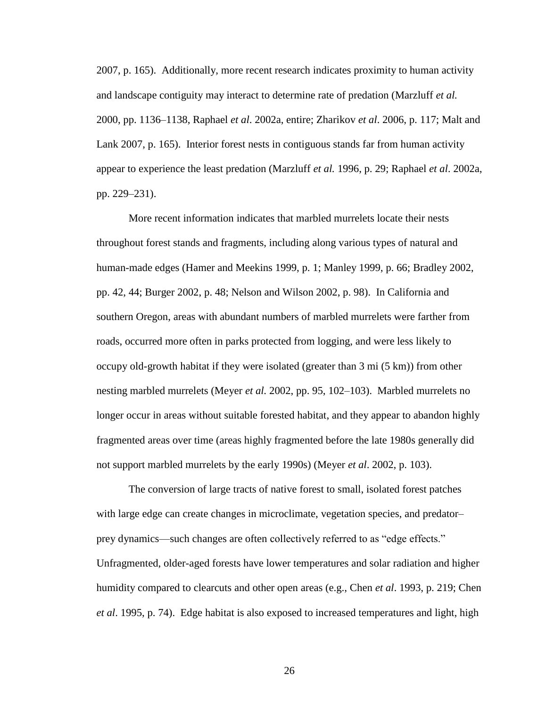2007, p. 165). Additionally, more recent research indicates proximity to human activity and landscape contiguity may interact to determine rate of predation (Marzluff *et al.* 2000, pp. 1136–1138, Raphael *et al*. 2002a, entire; Zharikov *et al*. 2006, p. 117; Malt and Lank 2007, p. 165). Interior forest nests in contiguous stands far from human activity appear to experience the least predation (Marzluff *et al.* 1996, p. 29; Raphael *et al*. 2002a, pp. 229–231).

More recent information indicates that marbled murrelets locate their nests throughout forest stands and fragments, including along various types of natural and human-made edges (Hamer and Meekins 1999, p. 1; Manley 1999, p. 66; Bradley 2002, pp. 42, 44; Burger 2002, p. 48; Nelson and Wilson 2002, p. 98). In California and southern Oregon, areas with abundant numbers of marbled murrelets were farther from roads, occurred more often in parks protected from logging, and were less likely to occupy old-growth habitat if they were isolated (greater than 3 mi (5 km)) from other nesting marbled murrelets (Meyer *et al.* 2002, pp. 95, 102–103). Marbled murrelets no longer occur in areas without suitable forested habitat, and they appear to abandon highly fragmented areas over time (areas highly fragmented before the late 1980s generally did not support marbled murrelets by the early 1990s) (Meyer *et al*. 2002, p. 103).

The conversion of large tracts of native forest to small, isolated forest patches with large edge can create changes in microclimate, vegetation species, and predator– prey dynamics—such changes are often collectively referred to as "edge effects." Unfragmented, older-aged forests have lower temperatures and solar radiation and higher humidity compared to clearcuts and other open areas (e.g., Chen *et al*. 1993, p. 219; Chen *et al*. 1995, p. 74). Edge habitat is also exposed to increased temperatures and light, high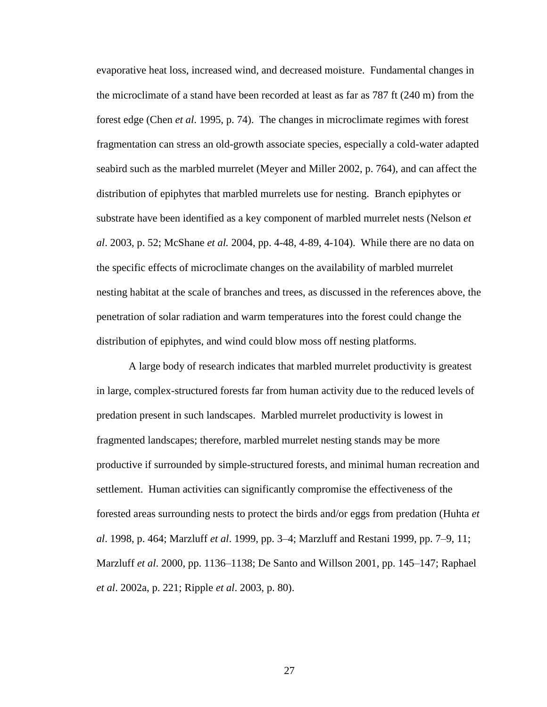evaporative heat loss, increased wind, and decreased moisture. Fundamental changes in the microclimate of a stand have been recorded at least as far as 787 ft (240 m) from the forest edge (Chen *et al*. 1995, p. 74). The changes in microclimate regimes with forest fragmentation can stress an old-growth associate species, especially a cold-water adapted seabird such as the marbled murrelet (Meyer and Miller 2002, p. 764), and can affect the distribution of epiphytes that marbled murrelets use for nesting. Branch epiphytes or substrate have been identified as a key component of marbled murrelet nests (Nelson *et al*. 2003, p. 52; McShane *et al.* 2004, pp. 4-48, 4-89, 4-104). While there are no data on the specific effects of microclimate changes on the availability of marbled murrelet nesting habitat at the scale of branches and trees, as discussed in the references above, the penetration of solar radiation and warm temperatures into the forest could change the distribution of epiphytes, and wind could blow moss off nesting platforms.

A large body of research indicates that marbled murrelet productivity is greatest in large, complex-structured forests far from human activity due to the reduced levels of predation present in such landscapes. Marbled murrelet productivity is lowest in fragmented landscapes; therefore, marbled murrelet nesting stands may be more productive if surrounded by simple-structured forests, and minimal human recreation and settlement. Human activities can significantly compromise the effectiveness of the forested areas surrounding nests to protect the birds and/or eggs from predation (Huhta *et al*. 1998, p. 464; Marzluff *et al*. 1999, pp. 3–4; Marzluff and Restani 1999, pp. 7–9, 11; Marzluff *et al*. 2000, pp. 1136–1138; De Santo and Willson 2001, pp. 145–147; Raphael *et al*. 2002a, p. 221; Ripple *et al*. 2003, p. 80).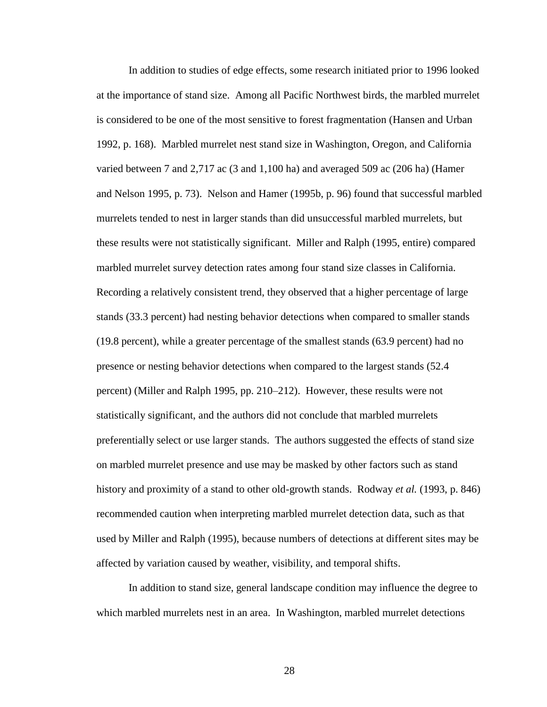In addition to studies of edge effects, some research initiated prior to 1996 looked at the importance of stand size. Among all Pacific Northwest birds, the marbled murrelet is considered to be one of the most sensitive to forest fragmentation (Hansen and Urban 1992, p. 168). Marbled murrelet nest stand size in Washington, Oregon, and California varied between 7 and 2,717 ac (3 and 1,100 ha) and averaged 509 ac (206 ha) (Hamer and Nelson 1995, p. 73). Nelson and Hamer (1995b, p. 96) found that successful marbled murrelets tended to nest in larger stands than did unsuccessful marbled murrelets, but these results were not statistically significant. Miller and Ralph (1995, entire) compared marbled murrelet survey detection rates among four stand size classes in California. Recording a relatively consistent trend, they observed that a higher percentage of large stands (33.3 percent) had nesting behavior detections when compared to smaller stands (19.8 percent), while a greater percentage of the smallest stands (63.9 percent) had no presence or nesting behavior detections when compared to the largest stands (52.4 percent) (Miller and Ralph 1995, pp. 210–212). However, these results were not statistically significant, and the authors did not conclude that marbled murrelets preferentially select or use larger stands. The authors suggested the effects of stand size on marbled murrelet presence and use may be masked by other factors such as stand history and proximity of a stand to other old-growth stands. Rodway *et al.* (1993, p. 846) recommended caution when interpreting marbled murrelet detection data, such as that used by Miller and Ralph (1995), because numbers of detections at different sites may be affected by variation caused by weather, visibility, and temporal shifts.

In addition to stand size, general landscape condition may influence the degree to which marbled murrelets nest in an area. In Washington, marbled murrelet detections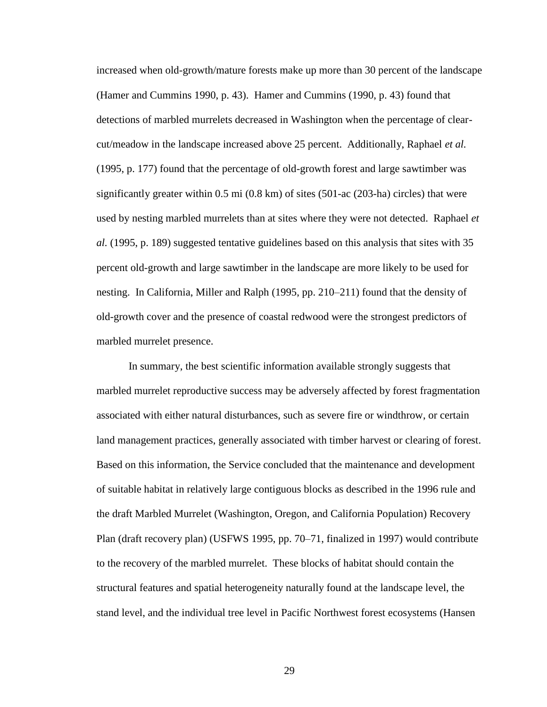increased when old-growth/mature forests make up more than 30 percent of the landscape (Hamer and Cummins 1990, p. 43). Hamer and Cummins (1990, p. 43) found that detections of marbled murrelets decreased in Washington when the percentage of clearcut/meadow in the landscape increased above 25 percent. Additionally, Raphael *et al.*  (1995, p. 177) found that the percentage of old-growth forest and large sawtimber was significantly greater within 0.5 mi (0.8 km) of sites (501-ac (203-ha) circles) that were used by nesting marbled murrelets than at sites where they were not detected. Raphael *et al.* (1995, p. 189) suggested tentative guidelines based on this analysis that sites with 35 percent old-growth and large sawtimber in the landscape are more likely to be used for nesting. In California, Miller and Ralph (1995, pp. 210–211) found that the density of old-growth cover and the presence of coastal redwood were the strongest predictors of marbled murrelet presence.

In summary, the best scientific information available strongly suggests that marbled murrelet reproductive success may be adversely affected by forest fragmentation associated with either natural disturbances, such as severe fire or windthrow, or certain land management practices, generally associated with timber harvest or clearing of forest. Based on this information, the Service concluded that the maintenance and development of suitable habitat in relatively large contiguous blocks as described in the 1996 rule and the draft Marbled Murrelet (Washington, Oregon, and California Population) Recovery Plan (draft recovery plan) (USFWS 1995, pp. 70–71, finalized in 1997) would contribute to the recovery of the marbled murrelet. These blocks of habitat should contain the structural features and spatial heterogeneity naturally found at the landscape level, the stand level, and the individual tree level in Pacific Northwest forest ecosystems (Hansen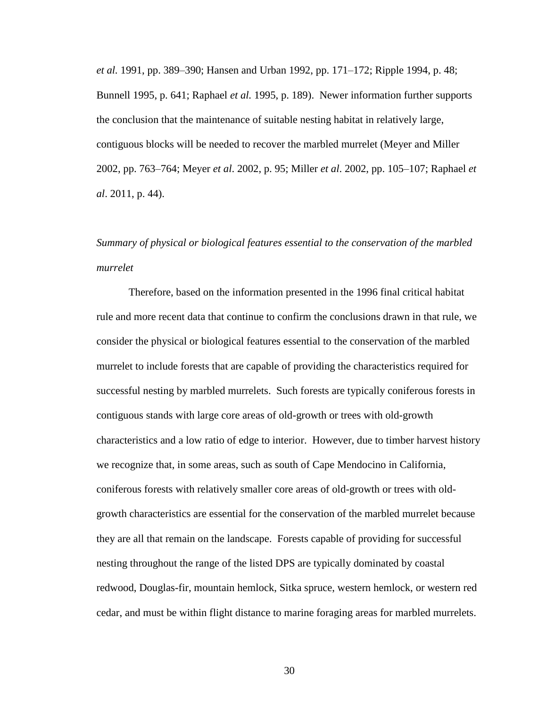*et al.* 1991, pp. 389–390; Hansen and Urban 1992, pp. 171–172; Ripple 1994, p. 48; Bunnell 1995, p. 641; Raphael *et al.* 1995, p. 189). Newer information further supports the conclusion that the maintenance of suitable nesting habitat in relatively large, contiguous blocks will be needed to recover the marbled murrelet (Meyer and Miller 2002, pp. 763–764; Meyer *et al*. 2002, p. 95; Miller *et al*. 2002, pp. 105–107; Raphael *et al*. 2011, p. 44).

# *Summary of physical or biological features essential to the conservation of the marbled murrelet*

Therefore, based on the information presented in the 1996 final critical habitat rule and more recent data that continue to confirm the conclusions drawn in that rule, we consider the physical or biological features essential to the conservation of the marbled murrelet to include forests that are capable of providing the characteristics required for successful nesting by marbled murrelets. Such forests are typically coniferous forests in contiguous stands with large core areas of old-growth or trees with old-growth characteristics and a low ratio of edge to interior. However, due to timber harvest history we recognize that, in some areas, such as south of Cape Mendocino in California, coniferous forests with relatively smaller core areas of old-growth or trees with oldgrowth characteristics are essential for the conservation of the marbled murrelet because they are all that remain on the landscape. Forests capable of providing for successful nesting throughout the range of the listed DPS are typically dominated by coastal redwood, Douglas-fir, mountain hemlock, Sitka spruce, western hemlock, or western red cedar, and must be within flight distance to marine foraging areas for marbled murrelets.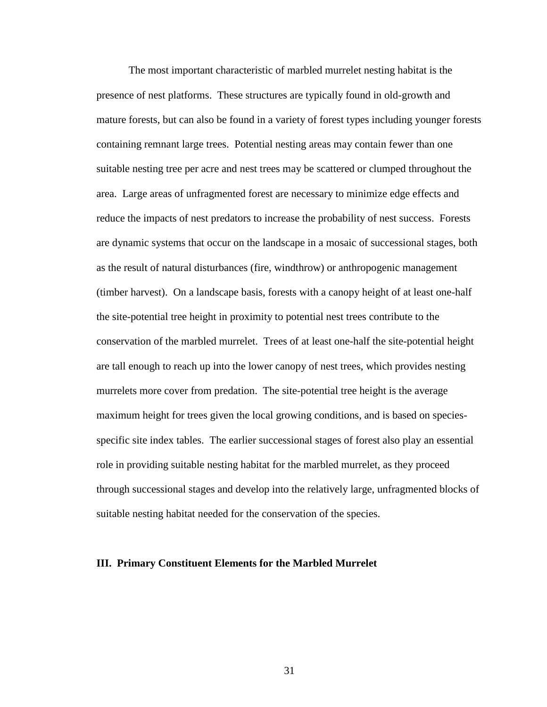The most important characteristic of marbled murrelet nesting habitat is the presence of nest platforms. These structures are typically found in old-growth and mature forests, but can also be found in a variety of forest types including younger forests containing remnant large trees. Potential nesting areas may contain fewer than one suitable nesting tree per acre and nest trees may be scattered or clumped throughout the area. Large areas of unfragmented forest are necessary to minimize edge effects and reduce the impacts of nest predators to increase the probability of nest success. Forests are dynamic systems that occur on the landscape in a mosaic of successional stages, both as the result of natural disturbances (fire, windthrow) or anthropogenic management (timber harvest). On a landscape basis, forests with a canopy height of at least one-half the site-potential tree height in proximity to potential nest trees contribute to the conservation of the marbled murrelet. Trees of at least one-half the site-potential height are tall enough to reach up into the lower canopy of nest trees, which provides nesting murrelets more cover from predation. The site-potential tree height is the average maximum height for trees given the local growing conditions, and is based on speciesspecific site index tables. The earlier successional stages of forest also play an essential role in providing suitable nesting habitat for the marbled murrelet, as they proceed through successional stages and develop into the relatively large, unfragmented blocks of suitable nesting habitat needed for the conservation of the species.

#### **III. Primary Constituent Elements for the Marbled Murrelet**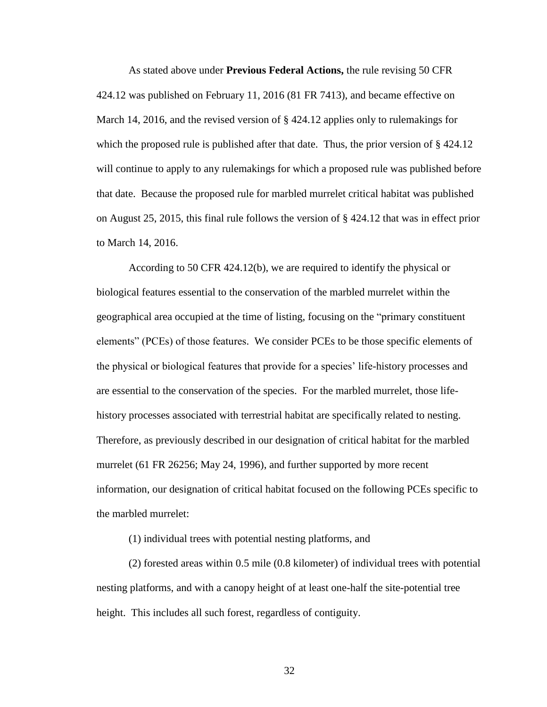As stated above under **Previous Federal Actions,** the rule revising 50 CFR 424.12 was published on February 11, 2016 (81 FR 7413), and became effective on March 14, 2016, and the revised version of § 424.12 applies only to rulemakings for which the proposed rule is published after that date. Thus, the prior version of §424.12 will continue to apply to any rulemakings for which a proposed rule was published before that date. Because the proposed rule for marbled murrelet critical habitat was published on August 25, 2015, this final rule follows the version of § 424.12 that was in effect prior to March 14, 2016.

According to 50 CFR 424.12(b), we are required to identify the physical or biological features essential to the conservation of the marbled murrelet within the geographical area occupied at the time of listing, focusing on the "primary constituent elements" (PCEs) of those features. We consider PCEs to be those specific elements of the physical or biological features that provide for a species' life-history processes and are essential to the conservation of the species. For the marbled murrelet, those lifehistory processes associated with terrestrial habitat are specifically related to nesting. Therefore, as previously described in our designation of critical habitat for the marbled murrelet (61 FR 26256; May 24, 1996), and further supported by more recent information, our designation of critical habitat focused on the following PCEs specific to the marbled murrelet:

(1) individual trees with potential nesting platforms, and

(2) forested areas within 0.5 mile (0.8 kilometer) of individual trees with potential nesting platforms, and with a canopy height of at least one-half the site-potential tree height. This includes all such forest, regardless of contiguity.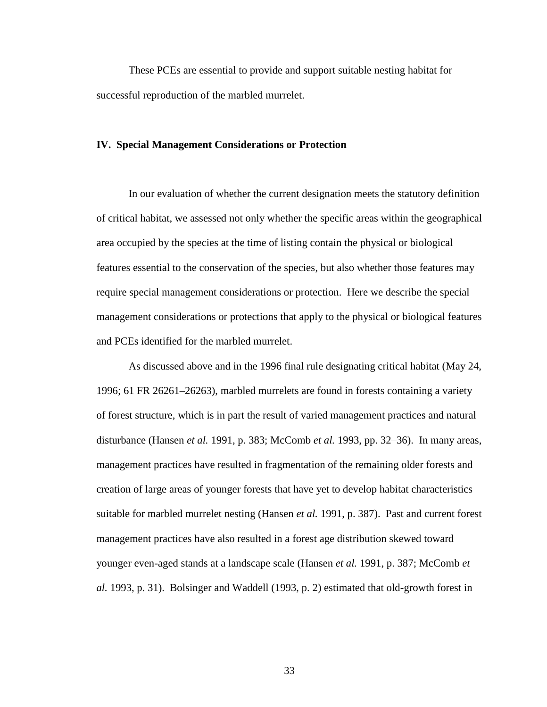These PCEs are essential to provide and support suitable nesting habitat for successful reproduction of the marbled murrelet.

# **IV. Special Management Considerations or Protection**

In our evaluation of whether the current designation meets the statutory definition of critical habitat, we assessed not only whether the specific areas within the geographical area occupied by the species at the time of listing contain the physical or biological features essential to the conservation of the species, but also whether those features may require special management considerations or protection. Here we describe the special management considerations or protections that apply to the physical or biological features and PCEs identified for the marbled murrelet.

As discussed above and in the 1996 final rule designating critical habitat (May 24, 1996; 61 FR 26261–26263), marbled murrelets are found in forests containing a variety of forest structure, which is in part the result of varied management practices and natural disturbance (Hansen *et al.* 1991, p. 383; McComb *et al.* 1993, pp. 32–36). In many areas, management practices have resulted in fragmentation of the remaining older forests and creation of large areas of younger forests that have yet to develop habitat characteristics suitable for marbled murrelet nesting (Hansen *et al.* 1991, p. 387). Past and current forest management practices have also resulted in a forest age distribution skewed toward younger even-aged stands at a landscape scale (Hansen *et al.* 1991, p. 387; McComb *et al.* 1993, p. 31). Bolsinger and Waddell (1993, p. 2) estimated that old-growth forest in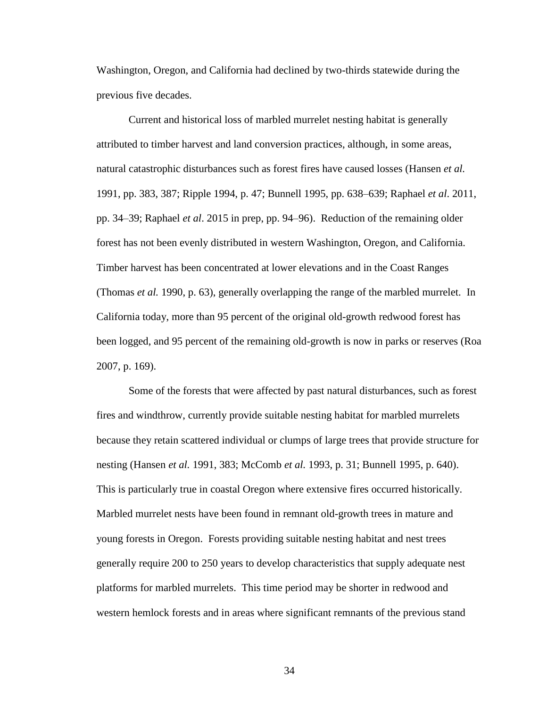Washington, Oregon, and California had declined by two-thirds statewide during the previous five decades.

Current and historical loss of marbled murrelet nesting habitat is generally attributed to timber harvest and land conversion practices, although, in some areas, natural catastrophic disturbances such as forest fires have caused losses (Hansen *et al.*  1991, pp. 383, 387; Ripple 1994, p. 47; Bunnell 1995, pp. 638–639; Raphael *et al*. 2011, pp. 34–39; Raphael *et al*. 2015 in prep, pp. 94–96). Reduction of the remaining older forest has not been evenly distributed in western Washington, Oregon, and California. Timber harvest has been concentrated at lower elevations and in the Coast Ranges (Thomas *et al.* 1990, p. 63), generally overlapping the range of the marbled murrelet. In California today, more than 95 percent of the original old-growth redwood forest has been logged, and 95 percent of the remaining old-growth is now in parks or reserves (Roa 2007, p. 169).

Some of the forests that were affected by past natural disturbances, such as forest fires and windthrow, currently provide suitable nesting habitat for marbled murrelets because they retain scattered individual or clumps of large trees that provide structure for nesting (Hansen *et al.* 1991, 383; McComb *et al.* 1993, p. 31; Bunnell 1995, p. 640). This is particularly true in coastal Oregon where extensive fires occurred historically. Marbled murrelet nests have been found in remnant old-growth trees in mature and young forests in Oregon. Forests providing suitable nesting habitat and nest trees generally require 200 to 250 years to develop characteristics that supply adequate nest platforms for marbled murrelets. This time period may be shorter in redwood and western hemlock forests and in areas where significant remnants of the previous stand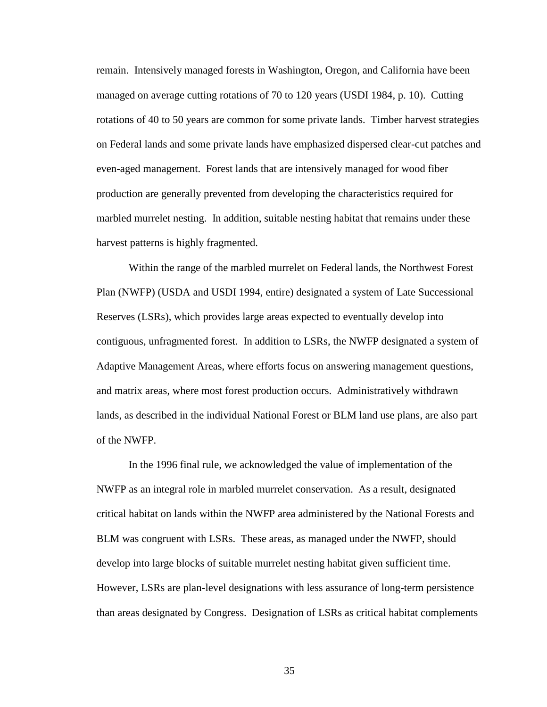remain. Intensively managed forests in Washington, Oregon, and California have been managed on average cutting rotations of 70 to 120 years (USDI 1984, p. 10). Cutting rotations of 40 to 50 years are common for some private lands. Timber harvest strategies on Federal lands and some private lands have emphasized dispersed clear-cut patches and even-aged management. Forest lands that are intensively managed for wood fiber production are generally prevented from developing the characteristics required for marbled murrelet nesting. In addition, suitable nesting habitat that remains under these harvest patterns is highly fragmented.

Within the range of the marbled murrelet on Federal lands, the Northwest Forest Plan (NWFP) (USDA and USDI 1994, entire) designated a system of Late Successional Reserves (LSRs), which provides large areas expected to eventually develop into contiguous, unfragmented forest. In addition to LSRs, the NWFP designated a system of Adaptive Management Areas, where efforts focus on answering management questions, and matrix areas, where most forest production occurs. Administratively withdrawn lands, as described in the individual National Forest or BLM land use plans, are also part of the NWFP.

In the 1996 final rule, we acknowledged the value of implementation of the NWFP as an integral role in marbled murrelet conservation. As a result, designated critical habitat on lands within the NWFP area administered by the National Forests and BLM was congruent with LSRs. These areas, as managed under the NWFP, should develop into large blocks of suitable murrelet nesting habitat given sufficient time. However, LSRs are plan-level designations with less assurance of long-term persistence than areas designated by Congress. Designation of LSRs as critical habitat complements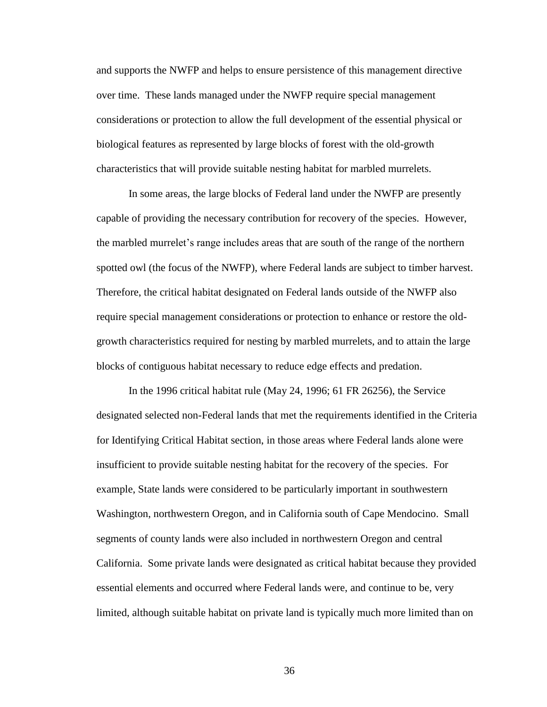and supports the NWFP and helps to ensure persistence of this management directive over time. These lands managed under the NWFP require special management considerations or protection to allow the full development of the essential physical or biological features as represented by large blocks of forest with the old-growth characteristics that will provide suitable nesting habitat for marbled murrelets.

In some areas, the large blocks of Federal land under the NWFP are presently capable of providing the necessary contribution for recovery of the species. However, the marbled murrelet's range includes areas that are south of the range of the northern spotted owl (the focus of the NWFP), where Federal lands are subject to timber harvest. Therefore, the critical habitat designated on Federal lands outside of the NWFP also require special management considerations or protection to enhance or restore the oldgrowth characteristics required for nesting by marbled murrelets, and to attain the large blocks of contiguous habitat necessary to reduce edge effects and predation.

In the 1996 critical habitat rule (May 24, 1996; 61 FR 26256), the Service designated selected non-Federal lands that met the requirements identified in the Criteria for Identifying Critical Habitat section, in those areas where Federal lands alone were insufficient to provide suitable nesting habitat for the recovery of the species. For example, State lands were considered to be particularly important in southwestern Washington, northwestern Oregon, and in California south of Cape Mendocino. Small segments of county lands were also included in northwestern Oregon and central California. Some private lands were designated as critical habitat because they provided essential elements and occurred where Federal lands were, and continue to be, very limited, although suitable habitat on private land is typically much more limited than on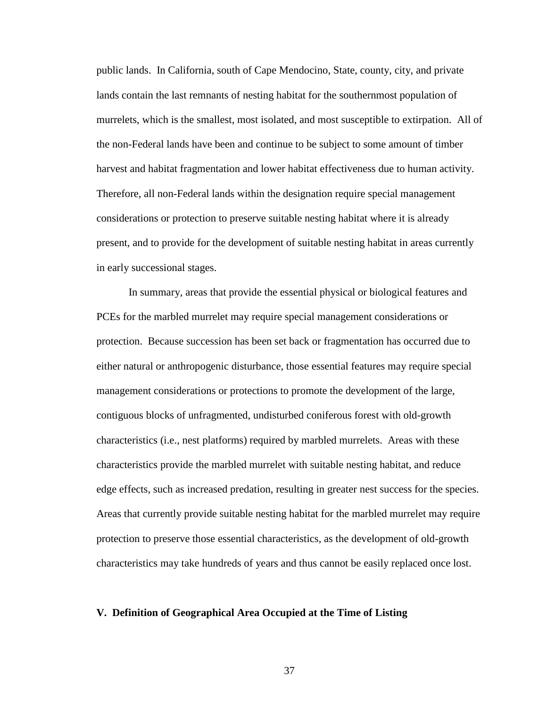public lands. In California, south of Cape Mendocino, State, county, city, and private lands contain the last remnants of nesting habitat for the southernmost population of murrelets, which is the smallest, most isolated, and most susceptible to extirpation. All of the non-Federal lands have been and continue to be subject to some amount of timber harvest and habitat fragmentation and lower habitat effectiveness due to human activity. Therefore, all non-Federal lands within the designation require special management considerations or protection to preserve suitable nesting habitat where it is already present, and to provide for the development of suitable nesting habitat in areas currently in early successional stages.

In summary, areas that provide the essential physical or biological features and PCEs for the marbled murrelet may require special management considerations or protection. Because succession has been set back or fragmentation has occurred due to either natural or anthropogenic disturbance, those essential features may require special management considerations or protections to promote the development of the large, contiguous blocks of unfragmented, undisturbed coniferous forest with old-growth characteristics (i.e., nest platforms) required by marbled murrelets. Areas with these characteristics provide the marbled murrelet with suitable nesting habitat, and reduce edge effects, such as increased predation, resulting in greater nest success for the species. Areas that currently provide suitable nesting habitat for the marbled murrelet may require protection to preserve those essential characteristics, as the development of old-growth characteristics may take hundreds of years and thus cannot be easily replaced once lost.

#### **V. Definition of Geographical Area Occupied at the Time of Listing**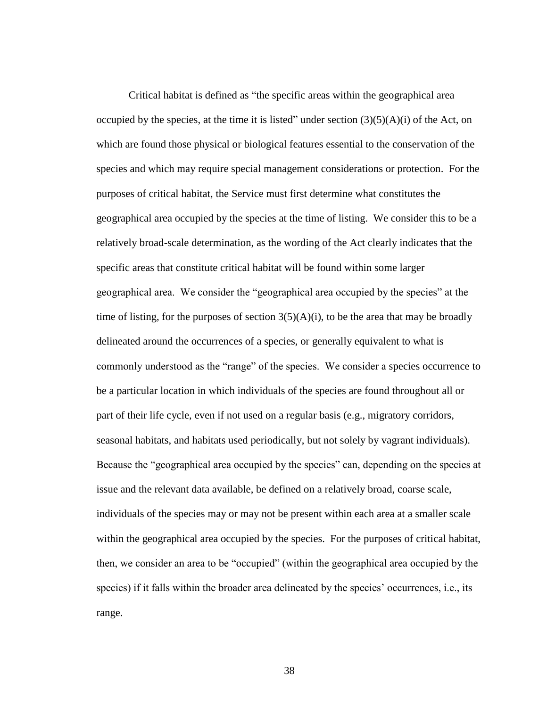Critical habitat is defined as "the specific areas within the geographical area occupied by the species, at the time it is listed" under section  $(3)(5)(A)(i)$  of the Act, on which are found those physical or biological features essential to the conservation of the species and which may require special management considerations or protection. For the purposes of critical habitat, the Service must first determine what constitutes the geographical area occupied by the species at the time of listing. We consider this to be a relatively broad-scale determination, as the wording of the Act clearly indicates that the specific areas that constitute critical habitat will be found within some larger geographical area. We consider the "geographical area occupied by the species" at the time of listing, for the purposes of section  $3(5)(A)(i)$ , to be the area that may be broadly delineated around the occurrences of a species, or generally equivalent to what is commonly understood as the "range" of the species. We consider a species occurrence to be a particular location in which individuals of the species are found throughout all or part of their life cycle, even if not used on a regular basis (e.g., migratory corridors, seasonal habitats, and habitats used periodically, but not solely by vagrant individuals). Because the "geographical area occupied by the species" can, depending on the species at issue and the relevant data available, be defined on a relatively broad, coarse scale, individuals of the species may or may not be present within each area at a smaller scale within the geographical area occupied by the species. For the purposes of critical habitat, then, we consider an area to be "occupied" (within the geographical area occupied by the species) if it falls within the broader area delineated by the species' occurrences, i.e., its range.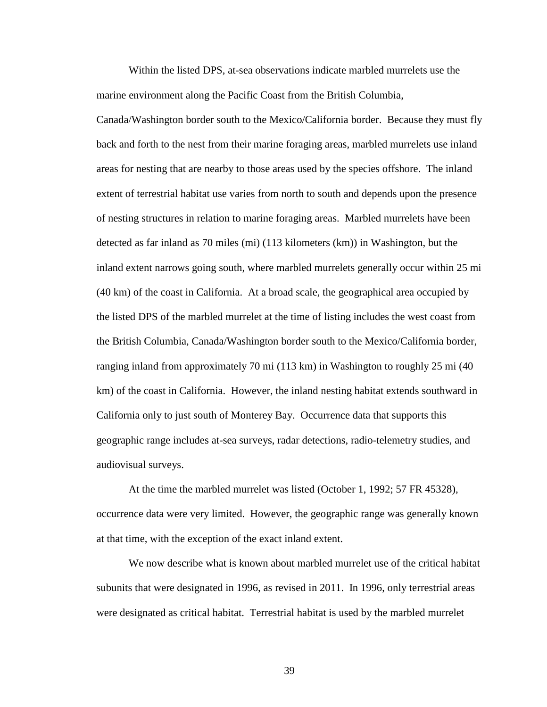Within the listed DPS, at-sea observations indicate marbled murrelets use the marine environment along the Pacific Coast from the British Columbia,

Canada/Washington border south to the Mexico/California border. Because they must fly back and forth to the nest from their marine foraging areas, marbled murrelets use inland areas for nesting that are nearby to those areas used by the species offshore. The inland extent of terrestrial habitat use varies from north to south and depends upon the presence of nesting structures in relation to marine foraging areas. Marbled murrelets have been detected as far inland as 70 miles (mi) (113 kilometers (km)) in Washington, but the inland extent narrows going south, where marbled murrelets generally occur within 25 mi (40 km) of the coast in California. At a broad scale, the geographical area occupied by the listed DPS of the marbled murrelet at the time of listing includes the west coast from the British Columbia, Canada/Washington border south to the Mexico/California border, ranging inland from approximately 70 mi (113 km) in Washington to roughly 25 mi (40 km) of the coast in California. However, the inland nesting habitat extends southward in California only to just south of Monterey Bay. Occurrence data that supports this geographic range includes at-sea surveys, radar detections, radio-telemetry studies, and audiovisual surveys.

At the time the marbled murrelet was listed (October 1, 1992; 57 FR 45328), occurrence data were very limited. However, the geographic range was generally known at that time, with the exception of the exact inland extent.

We now describe what is known about marbled murrelet use of the critical habitat subunits that were designated in 1996, as revised in 2011. In 1996, only terrestrial areas were designated as critical habitat. Terrestrial habitat is used by the marbled murrelet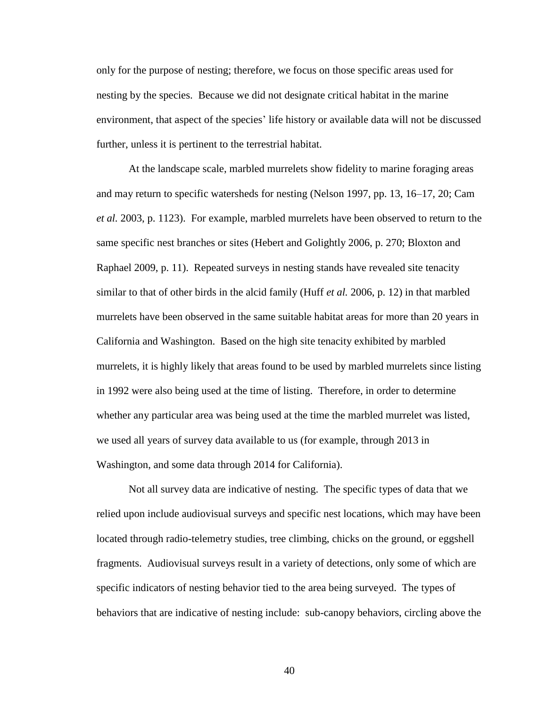only for the purpose of nesting; therefore, we focus on those specific areas used for nesting by the species. Because we did not designate critical habitat in the marine environment, that aspect of the species' life history or available data will not be discussed further, unless it is pertinent to the terrestrial habitat.

At the landscape scale, marbled murrelets show fidelity to marine foraging areas and may return to specific watersheds for nesting (Nelson 1997, pp. 13, 16–17, 20; Cam *et al.* 2003, p. 1123). For example, marbled murrelets have been observed to return to the same specific nest branches or sites (Hebert and Golightly 2006, p. 270; Bloxton and Raphael 2009, p. 11). Repeated surveys in nesting stands have revealed site tenacity similar to that of other birds in the alcid family (Huff *et al.* 2006, p. 12) in that marbled murrelets have been observed in the same suitable habitat areas for more than 20 years in California and Washington. Based on the high site tenacity exhibited by marbled murrelets, it is highly likely that areas found to be used by marbled murrelets since listing in 1992 were also being used at the time of listing. Therefore, in order to determine whether any particular area was being used at the time the marbled murrelet was listed, we used all years of survey data available to us (for example, through 2013 in Washington, and some data through 2014 for California).

Not all survey data are indicative of nesting. The specific types of data that we relied upon include audiovisual surveys and specific nest locations, which may have been located through radio-telemetry studies, tree climbing, chicks on the ground, or eggshell fragments. Audiovisual surveys result in a variety of detections, only some of which are specific indicators of nesting behavior tied to the area being surveyed. The types of behaviors that are indicative of nesting include: sub-canopy behaviors, circling above the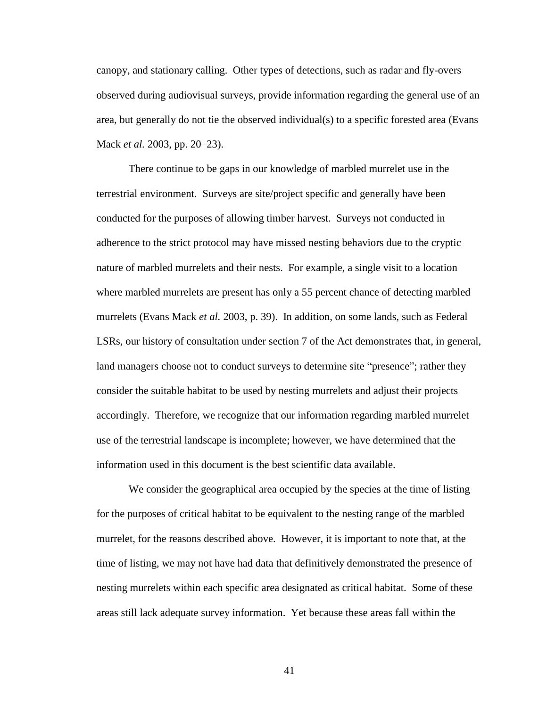canopy, and stationary calling. Other types of detections, such as radar and fly-overs observed during audiovisual surveys, provide information regarding the general use of an area, but generally do not tie the observed individual(s) to a specific forested area (Evans Mack *et al.* 2003, pp. 20–23).

There continue to be gaps in our knowledge of marbled murrelet use in the terrestrial environment. Surveys are site/project specific and generally have been conducted for the purposes of allowing timber harvest. Surveys not conducted in adherence to the strict protocol may have missed nesting behaviors due to the cryptic nature of marbled murrelets and their nests. For example, a single visit to a location where marbled murrelets are present has only a 55 percent chance of detecting marbled murrelets (Evans Mack *et al.* 2003, p. 39). In addition, on some lands, such as Federal LSRs, our history of consultation under section 7 of the Act demonstrates that, in general, land managers choose not to conduct surveys to determine site "presence"; rather they consider the suitable habitat to be used by nesting murrelets and adjust their projects accordingly. Therefore, we recognize that our information regarding marbled murrelet use of the terrestrial landscape is incomplete; however, we have determined that the information used in this document is the best scientific data available.

We consider the geographical area occupied by the species at the time of listing for the purposes of critical habitat to be equivalent to the nesting range of the marbled murrelet, for the reasons described above. However, it is important to note that, at the time of listing, we may not have had data that definitively demonstrated the presence of nesting murrelets within each specific area designated as critical habitat. Some of these areas still lack adequate survey information. Yet because these areas fall within the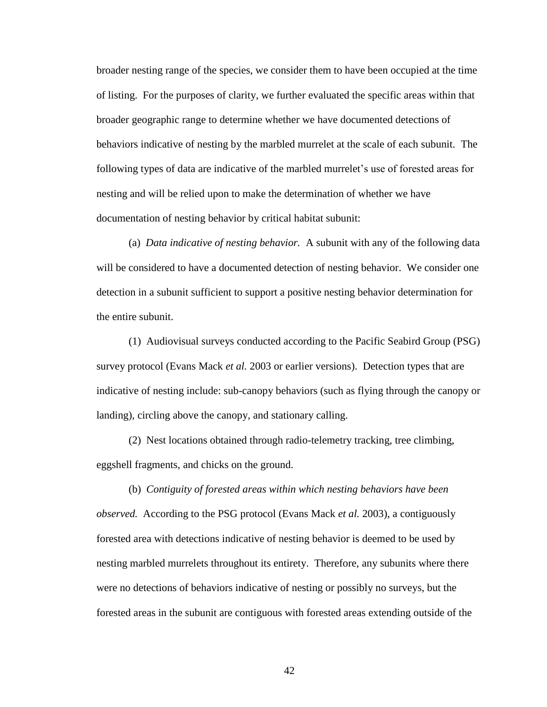broader nesting range of the species, we consider them to have been occupied at the time of listing. For the purposes of clarity, we further evaluated the specific areas within that broader geographic range to determine whether we have documented detections of behaviors indicative of nesting by the marbled murrelet at the scale of each subunit. The following types of data are indicative of the marbled murrelet's use of forested areas for nesting and will be relied upon to make the determination of whether we have documentation of nesting behavior by critical habitat subunit:

(a) *Data indicative of nesting behavior.* A subunit with any of the following data will be considered to have a documented detection of nesting behavior. We consider one detection in a subunit sufficient to support a positive nesting behavior determination for the entire subunit.

(1) Audiovisual surveys conducted according to the Pacific Seabird Group (PSG) survey protocol (Evans Mack *et al.* 2003 or earlier versions). Detection types that are indicative of nesting include: sub-canopy behaviors (such as flying through the canopy or landing), circling above the canopy, and stationary calling.

(2) Nest locations obtained through radio-telemetry tracking, tree climbing, eggshell fragments, and chicks on the ground.

(b) *Contiguity of forested areas within which nesting behaviors have been observed.* According to the PSG protocol (Evans Mack *et al.* 2003), a contiguously forested area with detections indicative of nesting behavior is deemed to be used by nesting marbled murrelets throughout its entirety. Therefore, any subunits where there were no detections of behaviors indicative of nesting or possibly no surveys, but the forested areas in the subunit are contiguous with forested areas extending outside of the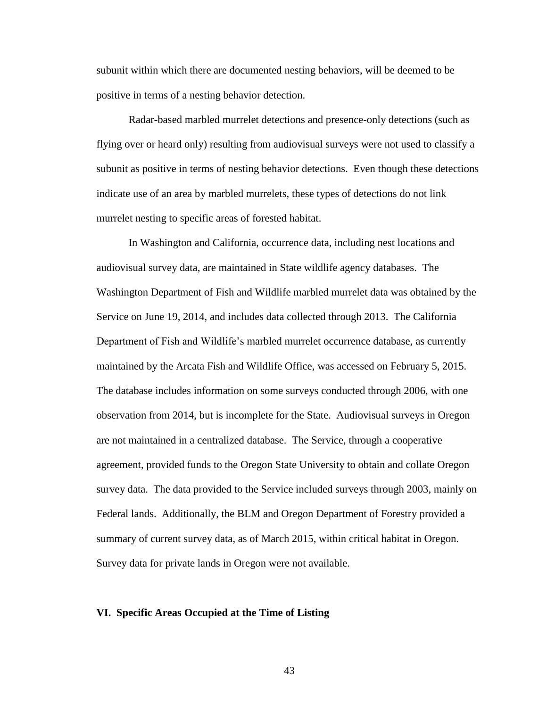subunit within which there are documented nesting behaviors, will be deemed to be positive in terms of a nesting behavior detection.

Radar-based marbled murrelet detections and presence-only detections (such as flying over or heard only) resulting from audiovisual surveys were not used to classify a subunit as positive in terms of nesting behavior detections. Even though these detections indicate use of an area by marbled murrelets, these types of detections do not link murrelet nesting to specific areas of forested habitat.

In Washington and California, occurrence data, including nest locations and audiovisual survey data, are maintained in State wildlife agency databases. The Washington Department of Fish and Wildlife marbled murrelet data was obtained by the Service on June 19, 2014, and includes data collected through 2013. The California Department of Fish and Wildlife's marbled murrelet occurrence database, as currently maintained by the Arcata Fish and Wildlife Office, was accessed on February 5, 2015. The database includes information on some surveys conducted through 2006, with one observation from 2014, but is incomplete for the State. Audiovisual surveys in Oregon are not maintained in a centralized database. The Service, through a cooperative agreement, provided funds to the Oregon State University to obtain and collate Oregon survey data. The data provided to the Service included surveys through 2003, mainly on Federal lands. Additionally, the BLM and Oregon Department of Forestry provided a summary of current survey data, as of March 2015, within critical habitat in Oregon. Survey data for private lands in Oregon were not available.

#### **VI. Specific Areas Occupied at the Time of Listing**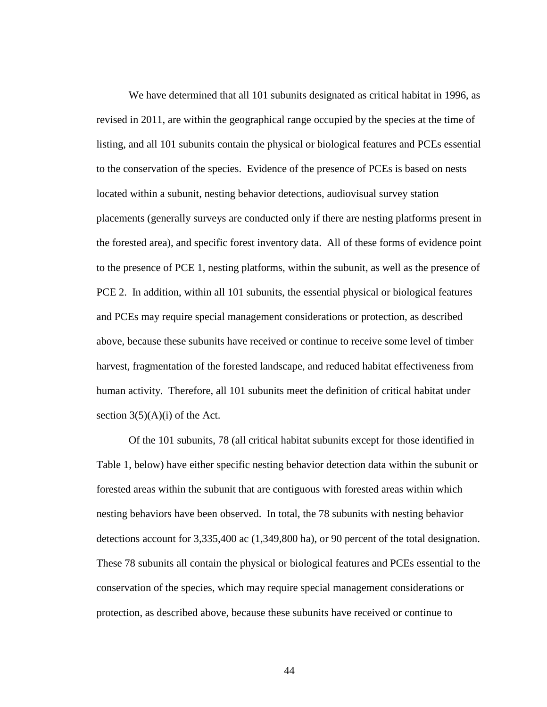We have determined that all 101 subunits designated as critical habitat in 1996, as revised in 2011, are within the geographical range occupied by the species at the time of listing, and all 101 subunits contain the physical or biological features and PCEs essential to the conservation of the species. Evidence of the presence of PCEs is based on nests located within a subunit, nesting behavior detections, audiovisual survey station placements (generally surveys are conducted only if there are nesting platforms present in the forested area), and specific forest inventory data. All of these forms of evidence point to the presence of PCE 1, nesting platforms, within the subunit, as well as the presence of PCE 2. In addition, within all 101 subunits, the essential physical or biological features and PCEs may require special management considerations or protection, as described above, because these subunits have received or continue to receive some level of timber harvest, fragmentation of the forested landscape, and reduced habitat effectiveness from human activity. Therefore, all 101 subunits meet the definition of critical habitat under section  $3(5)(A)(i)$  of the Act.

Of the 101 subunits, 78 (all critical habitat subunits except for those identified in Table 1, below) have either specific nesting behavior detection data within the subunit or forested areas within the subunit that are contiguous with forested areas within which nesting behaviors have been observed. In total, the 78 subunits with nesting behavior detections account for 3,335,400 ac (1,349,800 ha), or 90 percent of the total designation. These 78 subunits all contain the physical or biological features and PCEs essential to the conservation of the species, which may require special management considerations or protection, as described above, because these subunits have received or continue to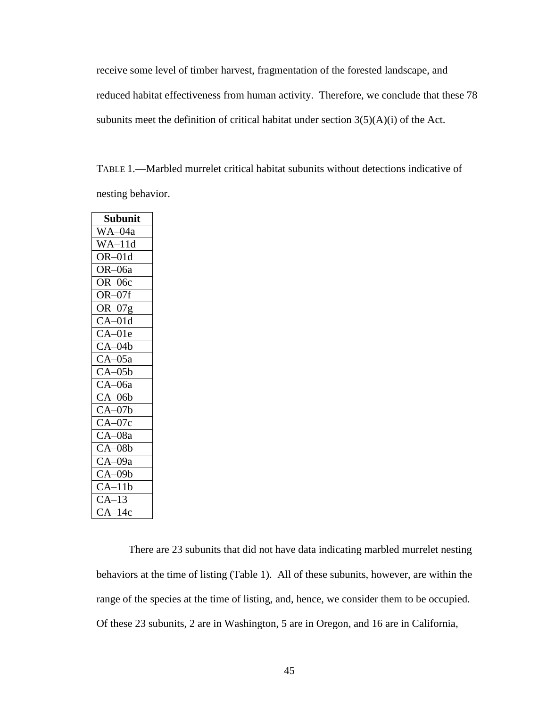receive some level of timber harvest, fragmentation of the forested landscape, and reduced habitat effectiveness from human activity. Therefore, we conclude that these 78 subunits meet the definition of critical habitat under section 3(5)(A)(i) of the Act.

TABLE 1.—Marbled murrelet critical habitat subunits without detections indicative of nesting behavior.

| Subunit                                    |
|--------------------------------------------|
| WA-04a                                     |
| $WA-11d$                                   |
| $OR-01d$                                   |
| OR-06a                                     |
| $OR-06c$                                   |
| $OR-07f$                                   |
| $OR-07g$                                   |
| CA <sub>2</sub><br>$-01d$                  |
| $-01e$<br>CA <sub>1</sub>                  |
| 04 <sub>b</sub><br>$\overline{\rm C}$      |
| $-05a$<br>$\overline{\mathcal{C}}$         |
| 05 <sub>b</sub><br>C                       |
| $\overline{C}$<br>-06a                     |
| C<br>06b                                   |
| $\overline{\mathsf{C}}$<br>07 <sub>b</sub> |
| C<br>07c                                   |
| 08a<br>C                                   |
| C<br>08b                                   |
| C<br>09a                                   |
| 09b<br>C                                   |
| Ć<br>11 <sub>b</sub>                       |
| 13<br>$\overline{\mathcal{C}}$             |
| 14c                                        |

There are 23 subunits that did not have data indicating marbled murrelet nesting behaviors at the time of listing (Table 1). All of these subunits, however, are within the range of the species at the time of listing, and, hence, we consider them to be occupied. Of these 23 subunits, 2 are in Washington, 5 are in Oregon, and 16 are in California,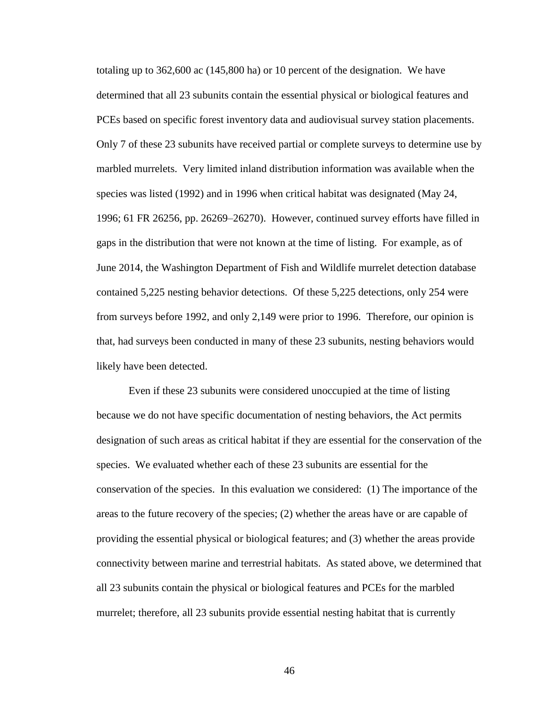totaling up to 362,600 ac (145,800 ha) or 10 percent of the designation. We have determined that all 23 subunits contain the essential physical or biological features and PCEs based on specific forest inventory data and audiovisual survey station placements. Only 7 of these 23 subunits have received partial or complete surveys to determine use by marbled murrelets. Very limited inland distribution information was available when the species was listed (1992) and in 1996 when critical habitat was designated (May 24, 1996; 61 FR 26256, pp. 26269–26270). However, continued survey efforts have filled in gaps in the distribution that were not known at the time of listing. For example, as of June 2014, the Washington Department of Fish and Wildlife murrelet detection database contained 5,225 nesting behavior detections. Of these 5,225 detections, only 254 were from surveys before 1992, and only 2,149 were prior to 1996. Therefore, our opinion is that, had surveys been conducted in many of these 23 subunits, nesting behaviors would likely have been detected.

Even if these 23 subunits were considered unoccupied at the time of listing because we do not have specific documentation of nesting behaviors, the Act permits designation of such areas as critical habitat if they are essential for the conservation of the species. We evaluated whether each of these 23 subunits are essential for the conservation of the species. In this evaluation we considered: (1) The importance of the areas to the future recovery of the species; (2) whether the areas have or are capable of providing the essential physical or biological features; and (3) whether the areas provide connectivity between marine and terrestrial habitats. As stated above, we determined that all 23 subunits contain the physical or biological features and PCEs for the marbled murrelet; therefore, all 23 subunits provide essential nesting habitat that is currently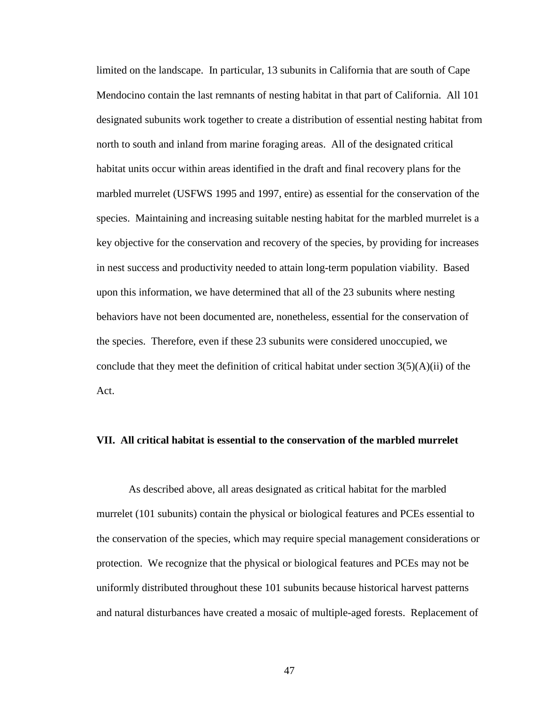limited on the landscape. In particular, 13 subunits in California that are south of Cape Mendocino contain the last remnants of nesting habitat in that part of California. All 101 designated subunits work together to create a distribution of essential nesting habitat from north to south and inland from marine foraging areas. All of the designated critical habitat units occur within areas identified in the draft and final recovery plans for the marbled murrelet (USFWS 1995 and 1997, entire) as essential for the conservation of the species. Maintaining and increasing suitable nesting habitat for the marbled murrelet is a key objective for the conservation and recovery of the species, by providing for increases in nest success and productivity needed to attain long-term population viability.Based upon this information, we have determined that all of the 23 subunits where nesting behaviors have not been documented are, nonetheless, essential for the conservation of the species. Therefore, even if these 23 subunits were considered unoccupied, we conclude that they meet the definition of critical habitat under section  $3(5)(A)(ii)$  of the Act.

# **VII. All critical habitat is essential to the conservation of the marbled murrelet**

As described above, all areas designated as critical habitat for the marbled murrelet (101 subunits) contain the physical or biological features and PCEs essential to the conservation of the species, which may require special management considerations or protection. We recognize that the physical or biological features and PCEs may not be uniformly distributed throughout these 101 subunits because historical harvest patterns and natural disturbances have created a mosaic of multiple-aged forests. Replacement of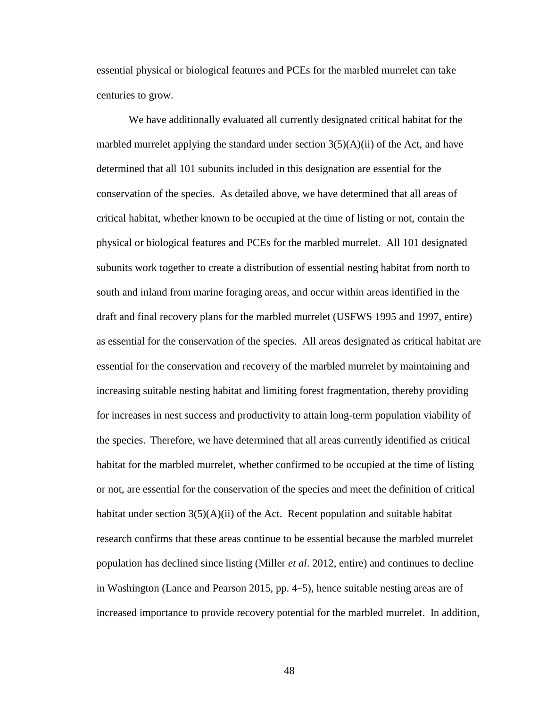essential physical or biological features and PCEs for the marbled murrelet can take centuries to grow.

We have additionally evaluated all currently designated critical habitat for the marbled murrelet applying the standard under section  $3(5)(A)(ii)$  of the Act, and have determined that all 101 subunits included in this designation are essential for the conservation of the species. As detailed above, we have determined that all areas of critical habitat, whether known to be occupied at the time of listing or not, contain the physical or biological features and PCEs for the marbled murrelet. All 101 designated subunits work together to create a distribution of essential nesting habitat from north to south and inland from marine foraging areas, and occur within areas identified in the draft and final recovery plans for the marbled murrelet (USFWS 1995 and 1997, entire) as essential for the conservation of the species. All areas designated as critical habitat are essential for the conservation and recovery of the marbled murrelet by maintaining and increasing suitable nesting habitat and limiting forest fragmentation, thereby providing for increases in nest success and productivity to attain long-term population viability of the species.Therefore, we have determined that all areas currently identified as critical habitat for the marbled murrelet, whether confirmed to be occupied at the time of listing or not, are essential for the conservation of the species and meet the definition of critical habitat under section  $3(5)(A)(ii)$  of the Act. Recent population and suitable habitat research confirms that these areas continue to be essential because the marbled murrelet population has declined since listing (Miller *et al*. 2012, entire) and continues to decline in Washington (Lance and Pearson 2015, pp. 4–5), hence suitable nesting areas are of increased importance to provide recovery potential for the marbled murrelet. In addition,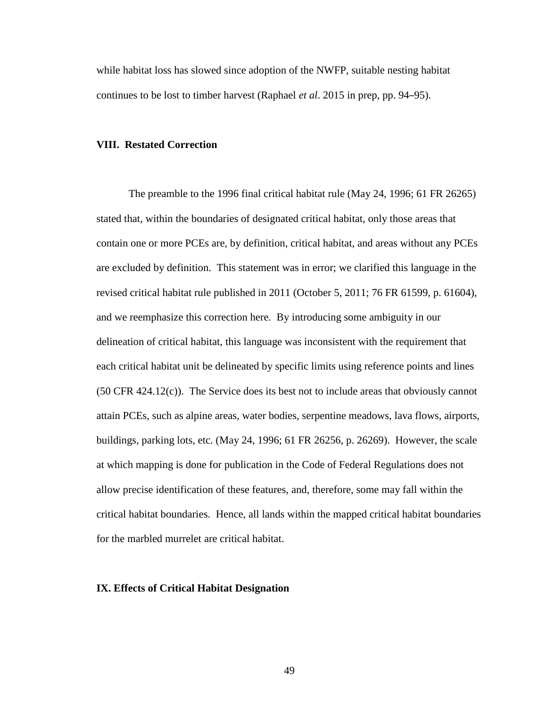while habitat loss has slowed since adoption of the NWFP, suitable nesting habitat continues to be lost to timber harvest (Raphael *et al*. 2015 in prep, pp. 94–95).

# **VIII. Restated Correction**

The preamble to the 1996 final critical habitat rule (May 24, 1996; 61 FR 26265) stated that, within the boundaries of designated critical habitat, only those areas that contain one or more PCEs are, by definition, critical habitat, and areas without any PCEs are excluded by definition. This statement was in error; we clarified this language in the revised critical habitat rule published in 2011 (October 5, 2011; 76 FR 61599, p. 61604), and we reemphasize this correction here. By introducing some ambiguity in our delineation of critical habitat, this language was inconsistent with the requirement that each critical habitat unit be delineated by specific limits using reference points and lines (50 CFR 424.12(c)). The Service does its best not to include areas that obviously cannot attain PCEs, such as alpine areas, water bodies, serpentine meadows, lava flows, airports, buildings, parking lots, etc. (May 24, 1996; 61 FR 26256, p. 26269). However, the scale at which mapping is done for publication in the Code of Federal Regulations does not allow precise identification of these features, and, therefore, some may fall within the critical habitat boundaries. Hence, all lands within the mapped critical habitat boundaries for the marbled murrelet are critical habitat.

## **IX. Effects of Critical Habitat Designation**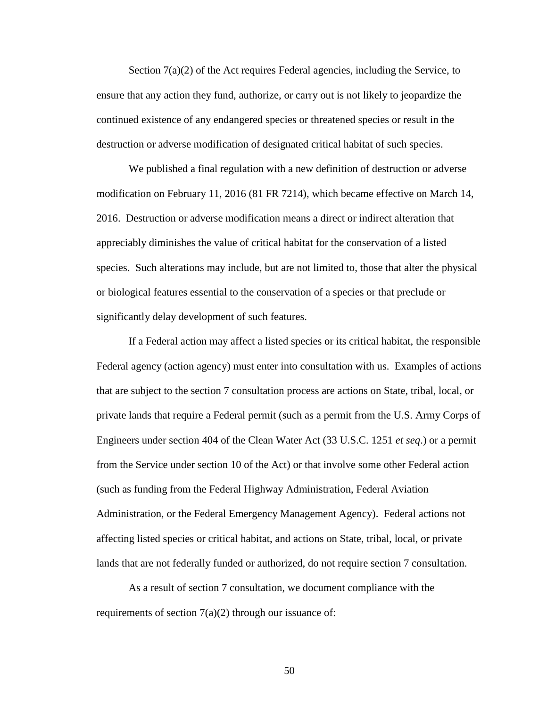Section 7(a)(2) of the Act requires Federal agencies, including the Service, to ensure that any action they fund, authorize, or carry out is not likely to jeopardize the continued existence of any endangered species or threatened species or result in the destruction or adverse modification of designated critical habitat of such species.

We published a final regulation with a new definition of destruction or adverse modification on February 11, 2016 (81 FR 7214), which became effective on March 14, 2016. Destruction or adverse modification means a direct or indirect alteration that appreciably diminishes the value of critical habitat for the conservation of a listed species. Such alterations may include, but are not limited to, those that alter the physical or biological features essential to the conservation of a species or that preclude or significantly delay development of such features.

If a Federal action may affect a listed species or its critical habitat, the responsible Federal agency (action agency) must enter into consultation with us. Examples of actions that are subject to the section 7 consultation process are actions on State, tribal, local, or private lands that require a Federal permit (such as a permit from the U.S. Army Corps of Engineers under section 404 of the Clean Water Act (33 U.S.C. 1251 *et seq*.) or a permit from the Service under section 10 of the Act) or that involve some other Federal action (such as funding from the Federal Highway Administration, Federal Aviation Administration, or the Federal Emergency Management Agency). Federal actions not affecting listed species or critical habitat, and actions on State, tribal, local, or private lands that are not federally funded or authorized, do not require section 7 consultation.

As a result of section 7 consultation, we document compliance with the requirements of section  $7(a)(2)$  through our issuance of: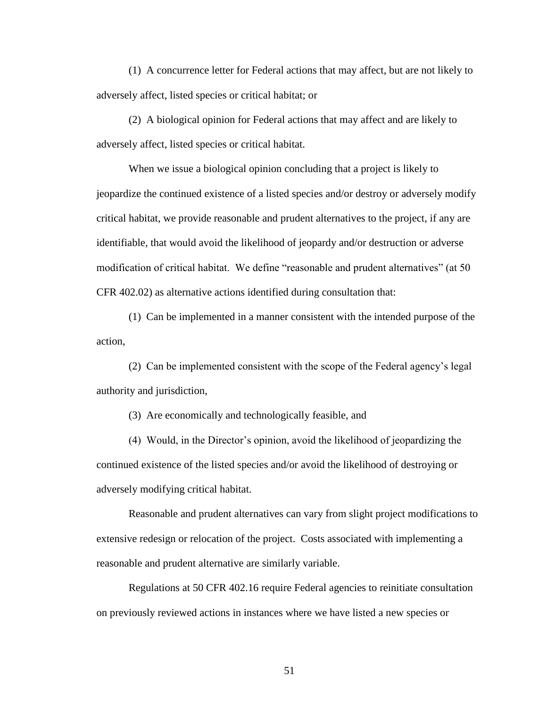(1) A concurrence letter for Federal actions that may affect, but are not likely to adversely affect, listed species or critical habitat; or

(2) A biological opinion for Federal actions that may affect and are likely to adversely affect, listed species or critical habitat.

When we issue a biological opinion concluding that a project is likely to jeopardize the continued existence of a listed species and/or destroy or adversely modify critical habitat, we provide reasonable and prudent alternatives to the project, if any are identifiable, that would avoid the likelihood of jeopardy and/or destruction or adverse modification of critical habitat. We define "reasonable and prudent alternatives" (at 50 CFR 402.02) as alternative actions identified during consultation that:

(1) Can be implemented in a manner consistent with the intended purpose of the action,

(2) Can be implemented consistent with the scope of the Federal agency's legal authority and jurisdiction,

(3) Are economically and technologically feasible, and

(4) Would, in the Director's opinion, avoid the likelihood of jeopardizing the continued existence of the listed species and/or avoid the likelihood of destroying or adversely modifying critical habitat.

Reasonable and prudent alternatives can vary from slight project modifications to extensive redesign or relocation of the project. Costs associated with implementing a reasonable and prudent alternative are similarly variable.

Regulations at 50 CFR 402.16 require Federal agencies to reinitiate consultation on previously reviewed actions in instances where we have listed a new species or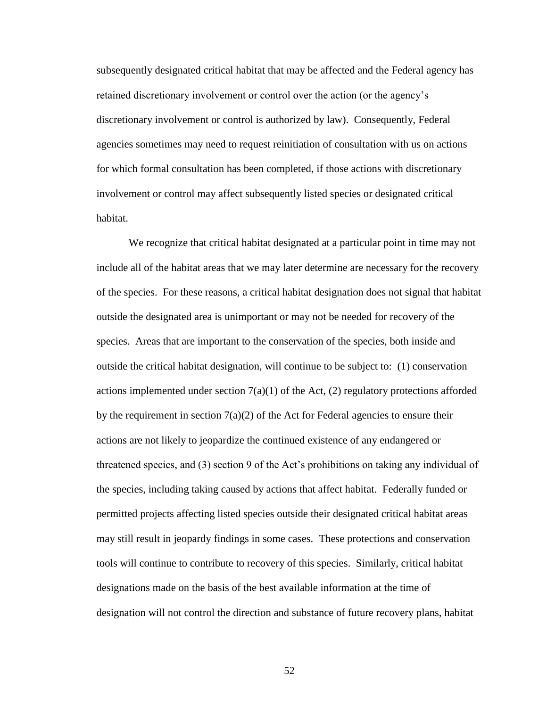subsequently designated critical habitat that may be affected and the Federal agency has retained discretionary involvement or control over the action (or the agency's discretionary involvement or control is authorized by law). Consequently, Federal agencies sometimes may need to request reinitiation of consultation with us on actions for which formal consultation has been completed, if those actions with discretionary involvement or control may affect subsequently listed species or designated critical habitat.

We recognize that critical habitat designated at a particular point in time may not include all of the habitat areas that we may later determine are necessary for the recovery of the species. For these reasons, a critical habitat designation does not signal that habitat outside the designated area is unimportant or may not be needed for recovery of the species. Areas that are important to the conservation of the species, both inside and outside the critical habitat designation, will continue to be subject to: (1) conservation actions implemented under section  $7(a)(1)$  of the Act, (2) regulatory protections afforded by the requirement in section  $7(a)(2)$  of the Act for Federal agencies to ensure their actions are not likely to jeopardize the continued existence of any endangered or threatened species, and (3) section 9 of the Act's prohibitions on taking any individual of the species, including taking caused by actions that affect habitat. Federally funded or permitted projects affecting listed species outside their designated critical habitat areas may still result in jeopardy findings in some cases. These protections and conservation tools will continue to contribute to recovery of this species. Similarly, critical habitat designations made on the basis of the best available information at the time of designation will not control the direction and substance of future recovery plans, habitat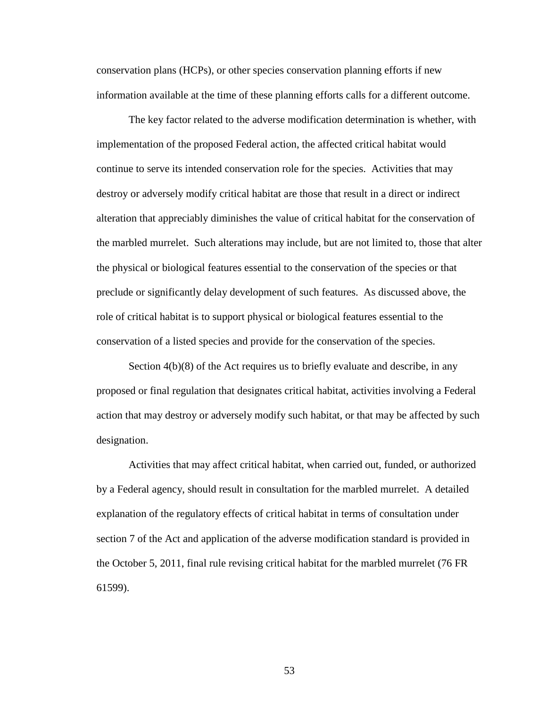conservation plans (HCPs), or other species conservation planning efforts if new information available at the time of these planning efforts calls for a different outcome.

The key factor related to the adverse modification determination is whether, with implementation of the proposed Federal action, the affected critical habitat would continue to serve its intended conservation role for the species. Activities that may destroy or adversely modify critical habitat are those that result in a direct or indirect alteration that appreciably diminishes the value of critical habitat for the conservation of the marbled murrelet. Such alterations may include, but are not limited to, those that alter the physical or biological features essential to the conservation of the species or that preclude or significantly delay development of such features. As discussed above, the role of critical habitat is to support physical or biological features essential to the conservation of a listed species and provide for the conservation of the species.

Section 4(b)(8) of the Act requires us to briefly evaluate and describe, in any proposed or final regulation that designates critical habitat, activities involving a Federal action that may destroy or adversely modify such habitat, or that may be affected by such designation.

Activities that may affect critical habitat, when carried out, funded, or authorized by a Federal agency, should result in consultation for the marbled murrelet. A detailed explanation of the regulatory effects of critical habitat in terms of consultation under section 7 of the Act and application of the adverse modification standard is provided in the October 5, 2011, final rule revising critical habitat for the marbled murrelet (76 FR 61599).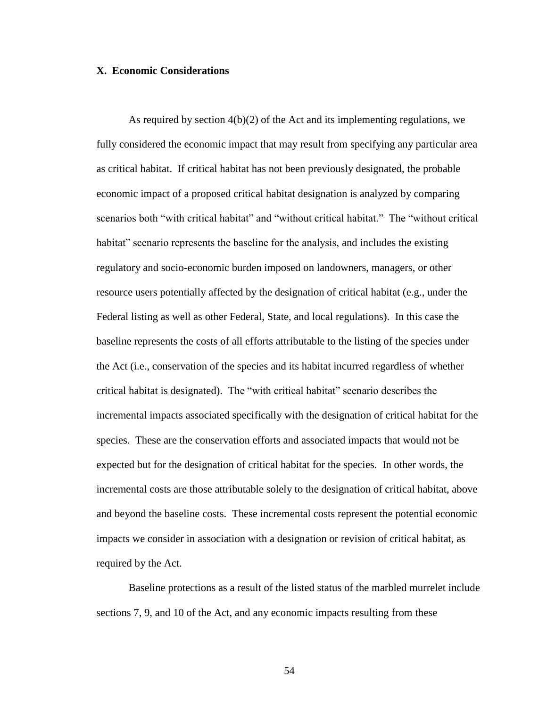# **X. Economic Considerations**

As required by section  $4(b)(2)$  of the Act and its implementing regulations, we fully considered the economic impact that may result from specifying any particular area as critical habitat. If critical habitat has not been previously designated, the probable economic impact of a proposed critical habitat designation is analyzed by comparing scenarios both "with critical habitat" and "without critical habitat." The "without critical habitat" scenario represents the baseline for the analysis, and includes the existing regulatory and socio-economic burden imposed on landowners, managers, or other resource users potentially affected by the designation of critical habitat (e.g., under the Federal listing as well as other Federal, State, and local regulations). In this case the baseline represents the costs of all efforts attributable to the listing of the species under the Act (i.e., conservation of the species and its habitat incurred regardless of whether critical habitat is designated). The "with critical habitat" scenario describes the incremental impacts associated specifically with the designation of critical habitat for the species. These are the conservation efforts and associated impacts that would not be expected but for the designation of critical habitat for the species. In other words, the incremental costs are those attributable solely to the designation of critical habitat, above and beyond the baseline costs. These incremental costs represent the potential economic impacts we consider in association with a designation or revision of critical habitat, as required by the Act.

Baseline protections as a result of the listed status of the marbled murrelet include sections 7, 9, and 10 of the Act, and any economic impacts resulting from these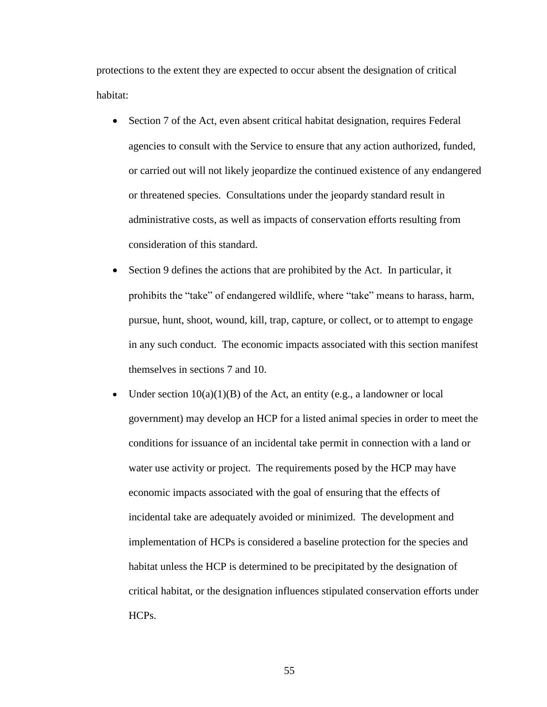protections to the extent they are expected to occur absent the designation of critical habitat:

- Section 7 of the Act, even absent critical habitat designation, requires Federal agencies to consult with the Service to ensure that any action authorized, funded, or carried out will not likely jeopardize the continued existence of any endangered or threatened species. Consultations under the jeopardy standard result in administrative costs, as well as impacts of conservation efforts resulting from consideration of this standard.
- Section 9 defines the actions that are prohibited by the Act. In particular, it prohibits the "take" of endangered wildlife, where "take" means to harass, harm, pursue, hunt, shoot, wound, kill, trap, capture, or collect, or to attempt to engage in any such conduct. The economic impacts associated with this section manifest themselves in sections 7 and 10.
- Under section  $10(a)(1)(B)$  of the Act, an entity (e.g., a landowner or local government) may develop an HCP for a listed animal species in order to meet the conditions for issuance of an incidental take permit in connection with a land or water use activity or project. The requirements posed by the HCP may have economic impacts associated with the goal of ensuring that the effects of incidental take are adequately avoided or minimized. The development and implementation of HCPs is considered a baseline protection for the species and habitat unless the HCP is determined to be precipitated by the designation of critical habitat, or the designation influences stipulated conservation efforts under HCPs.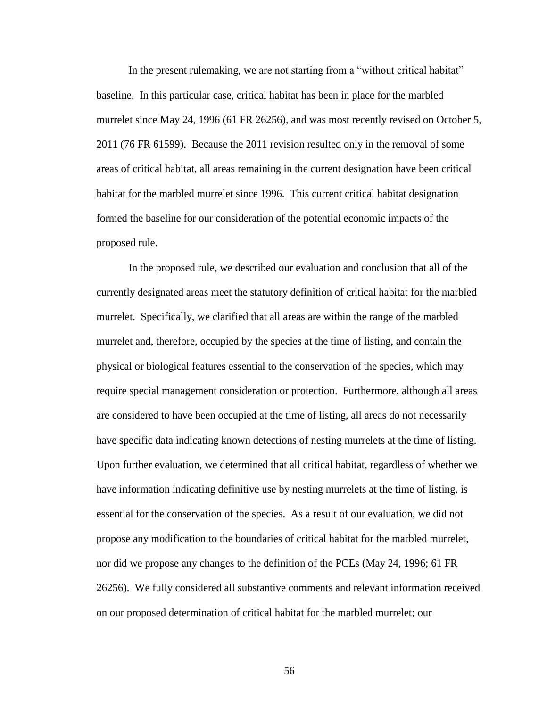In the present rulemaking, we are not starting from a "without critical habitat" baseline. In this particular case, critical habitat has been in place for the marbled murrelet since May 24, 1996 (61 FR 26256), and was most recently revised on October 5, 2011 (76 FR 61599). Because the 2011 revision resulted only in the removal of some areas of critical habitat, all areas remaining in the current designation have been critical habitat for the marbled murrelet since 1996. This current critical habitat designation formed the baseline for our consideration of the potential economic impacts of the proposed rule.

In the proposed rule, we described our evaluation and conclusion that all of the currently designated areas meet the statutory definition of critical habitat for the marbled murrelet. Specifically, we clarified that all areas are within the range of the marbled murrelet and, therefore, occupied by the species at the time of listing, and contain the physical or biological features essential to the conservation of the species, which may require special management consideration or protection. Furthermore, although all areas are considered to have been occupied at the time of listing, all areas do not necessarily have specific data indicating known detections of nesting murrelets at the time of listing. Upon further evaluation, we determined that all critical habitat, regardless of whether we have information indicating definitive use by nesting murrelets at the time of listing, is essential for the conservation of the species. As a result of our evaluation, we did not propose any modification to the boundaries of critical habitat for the marbled murrelet, nor did we propose any changes to the definition of the PCEs (May 24, 1996; 61 FR 26256). We fully considered all substantive comments and relevant information received on our proposed determination of critical habitat for the marbled murrelet; our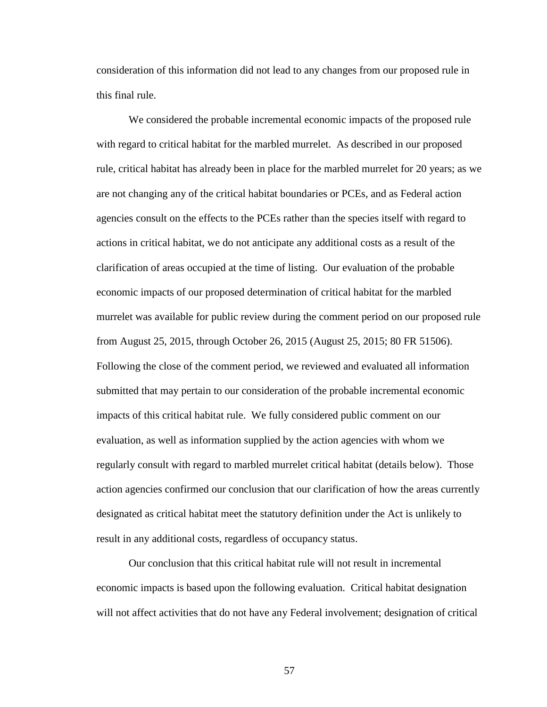consideration of this information did not lead to any changes from our proposed rule in this final rule.

We considered the probable incremental economic impacts of the proposed rule with regard to critical habitat for the marbled murrelet. As described in our proposed rule, critical habitat has already been in place for the marbled murrelet for 20 years; as we are not changing any of the critical habitat boundaries or PCEs, and as Federal action agencies consult on the effects to the PCEs rather than the species itself with regard to actions in critical habitat, we do not anticipate any additional costs as a result of the clarification of areas occupied at the time of listing. Our evaluation of the probable economic impacts of our proposed determination of critical habitat for the marbled murrelet was available for public review during the comment period on our proposed rule from August 25, 2015, through October 26, 2015 (August 25, 2015; 80 FR 51506). Following the close of the comment period, we reviewed and evaluated all information submitted that may pertain to our consideration of the probable incremental economic impacts of this critical habitat rule. We fully considered public comment on our evaluation, as well as information supplied by the action agencies with whom we regularly consult with regard to marbled murrelet critical habitat (details below). Those action agencies confirmed our conclusion that our clarification of how the areas currently designated as critical habitat meet the statutory definition under the Act is unlikely to result in any additional costs, regardless of occupancy status.

Our conclusion that this critical habitat rule will not result in incremental economic impacts is based upon the following evaluation. Critical habitat designation will not affect activities that do not have any Federal involvement; designation of critical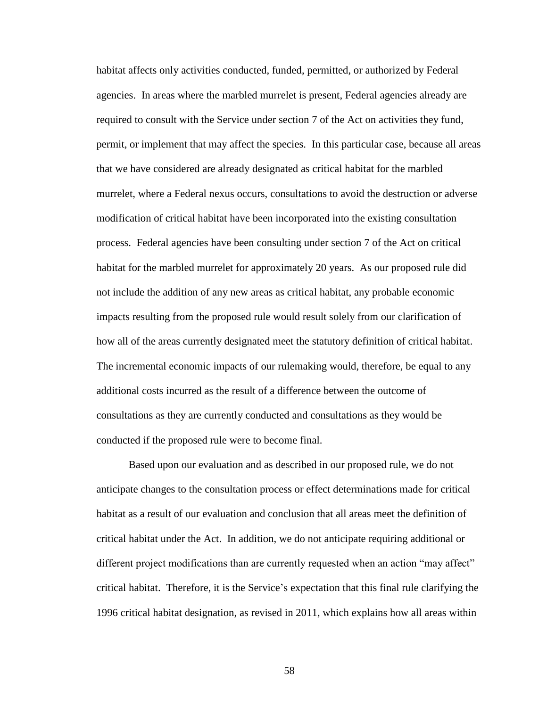habitat affects only activities conducted, funded, permitted, or authorized by Federal agencies. In areas where the marbled murrelet is present, Federal agencies already are required to consult with the Service under section 7 of the Act on activities they fund, permit, or implement that may affect the species. In this particular case, because all areas that we have considered are already designated as critical habitat for the marbled murrelet, where a Federal nexus occurs, consultations to avoid the destruction or adverse modification of critical habitat have been incorporated into the existing consultation process. Federal agencies have been consulting under section 7 of the Act on critical habitat for the marbled murrelet for approximately 20 years. As our proposed rule did not include the addition of any new areas as critical habitat, any probable economic impacts resulting from the proposed rule would result solely from our clarification of how all of the areas currently designated meet the statutory definition of critical habitat. The incremental economic impacts of our rulemaking would, therefore, be equal to any additional costs incurred as the result of a difference between the outcome of consultations as they are currently conducted and consultations as they would be conducted if the proposed rule were to become final.

Based upon our evaluation and as described in our proposed rule, we do not anticipate changes to the consultation process or effect determinations made for critical habitat as a result of our evaluation and conclusion that all areas meet the definition of critical habitat under the Act. In addition, we do not anticipate requiring additional or different project modifications than are currently requested when an action "may affect" critical habitat. Therefore, it is the Service's expectation that this final rule clarifying the 1996 critical habitat designation, as revised in 2011, which explains how all areas within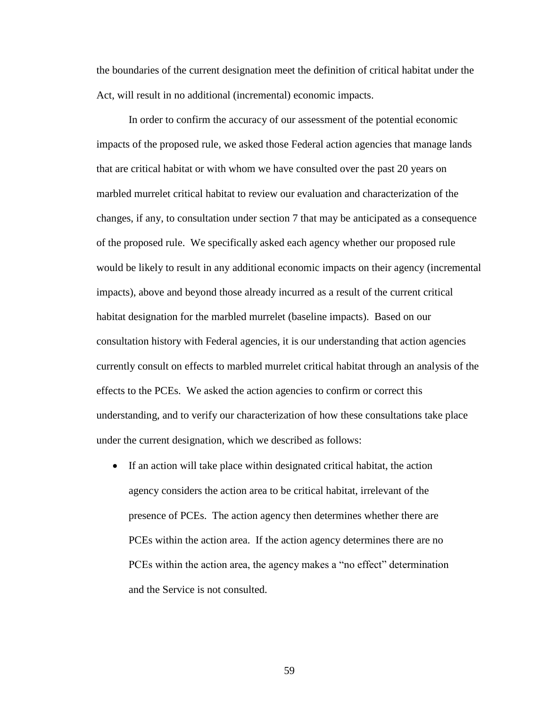the boundaries of the current designation meet the definition of critical habitat under the Act, will result in no additional (incremental) economic impacts.

In order to confirm the accuracy of our assessment of the potential economic impacts of the proposed rule, we asked those Federal action agencies that manage lands that are critical habitat or with whom we have consulted over the past 20 years on marbled murrelet critical habitat to review our evaluation and characterization of the changes, if any, to consultation under section 7 that may be anticipated as a consequence of the proposed rule. We specifically asked each agency whether our proposed rule would be likely to result in any additional economic impacts on their agency (incremental impacts), above and beyond those already incurred as a result of the current critical habitat designation for the marbled murrelet (baseline impacts). Based on our consultation history with Federal agencies, it is our understanding that action agencies currently consult on effects to marbled murrelet critical habitat through an analysis of the effects to the PCEs. We asked the action agencies to confirm or correct this understanding, and to verify our characterization of how these consultations take place under the current designation, which we described as follows:

 If an action will take place within designated critical habitat, the action agency considers the action area to be critical habitat, irrelevant of the presence of PCEs. The action agency then determines whether there are PCEs within the action area. If the action agency determines there are no PCEs within the action area, the agency makes a "no effect" determination and the Service is not consulted.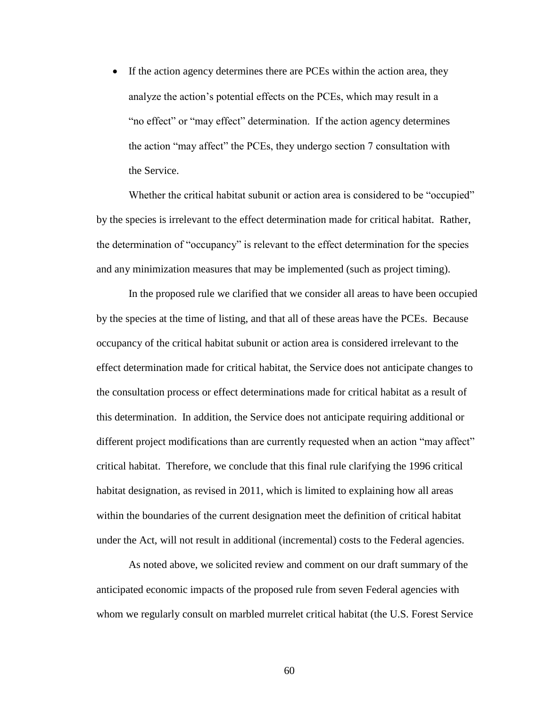• If the action agency determines there are PCEs within the action area, they analyze the action's potential effects on the PCEs, which may result in a "no effect" or "may effect" determination. If the action agency determines the action "may affect" the PCEs, they undergo section 7 consultation with the Service.

Whether the critical habitat subunit or action area is considered to be "occupied" by the species is irrelevant to the effect determination made for critical habitat. Rather, the determination of "occupancy" is relevant to the effect determination for the species and any minimization measures that may be implemented (such as project timing).

In the proposed rule we clarified that we consider all areas to have been occupied by the species at the time of listing, and that all of these areas have the PCEs. Because occupancy of the critical habitat subunit or action area is considered irrelevant to the effect determination made for critical habitat, the Service does not anticipate changes to the consultation process or effect determinations made for critical habitat as a result of this determination. In addition, the Service does not anticipate requiring additional or different project modifications than are currently requested when an action "may affect" critical habitat. Therefore, we conclude that this final rule clarifying the 1996 critical habitat designation, as revised in 2011, which is limited to explaining how all areas within the boundaries of the current designation meet the definition of critical habitat under the Act, will not result in additional (incremental) costs to the Federal agencies.

As noted above, we solicited review and comment on our draft summary of the anticipated economic impacts of the proposed rule from seven Federal agencies with whom we regularly consult on marbled murrelet critical habitat (the U.S. Forest Service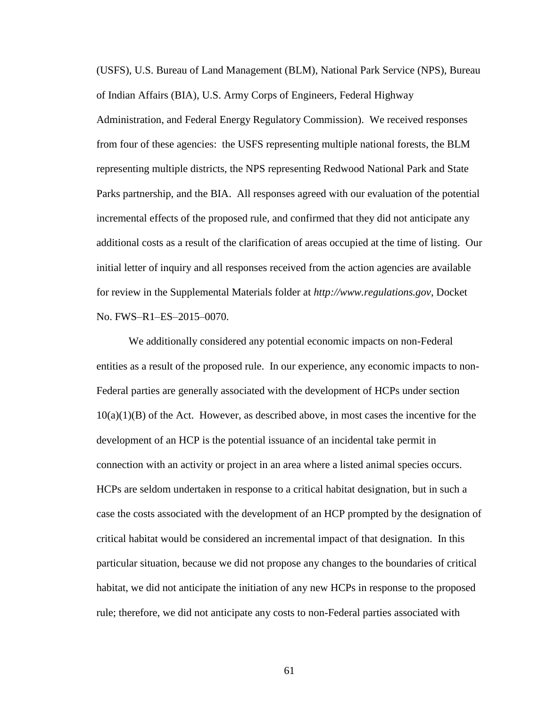(USFS), U.S. Bureau of Land Management (BLM), National Park Service (NPS), Bureau of Indian Affairs (BIA), U.S. Army Corps of Engineers, Federal Highway Administration, and Federal Energy Regulatory Commission). We received responses from four of these agencies: the USFS representing multiple national forests, the BLM representing multiple districts, the NPS representing Redwood National Park and State Parks partnership, and the BIA. All responses agreed with our evaluation of the potential incremental effects of the proposed rule, and confirmed that they did not anticipate any additional costs as a result of the clarification of areas occupied at the time of listing. Our initial letter of inquiry and all responses received from the action agencies are available for review in the Supplemental Materials folder at *http://www.regulations.gov*, Docket No. FWS–R1–ES–2015–0070.

We additionally considered any potential economic impacts on non-Federal entities as a result of the proposed rule. In our experience, any economic impacts to non-Federal parties are generally associated with the development of HCPs under section  $10(a)(1)(B)$  of the Act. However, as described above, in most cases the incentive for the development of an HCP is the potential issuance of an incidental take permit in connection with an activity or project in an area where a listed animal species occurs. HCPs are seldom undertaken in response to a critical habitat designation, but in such a case the costs associated with the development of an HCP prompted by the designation of critical habitat would be considered an incremental impact of that designation. In this particular situation, because we did not propose any changes to the boundaries of critical habitat, we did not anticipate the initiation of any new HCPs in response to the proposed rule; therefore, we did not anticipate any costs to non-Federal parties associated with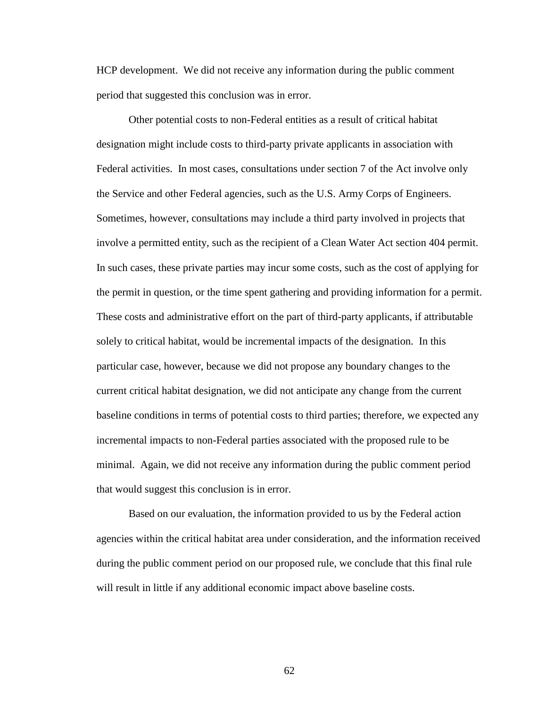HCP development. We did not receive any information during the public comment period that suggested this conclusion was in error.

Other potential costs to non-Federal entities as a result of critical habitat designation might include costs to third-party private applicants in association with Federal activities. In most cases, consultations under section 7 of the Act involve only the Service and other Federal agencies, such as the U.S. Army Corps of Engineers. Sometimes, however, consultations may include a third party involved in projects that involve a permitted entity, such as the recipient of a Clean Water Act section 404 permit. In such cases, these private parties may incur some costs, such as the cost of applying for the permit in question, or the time spent gathering and providing information for a permit. These costs and administrative effort on the part of third-party applicants, if attributable solely to critical habitat, would be incremental impacts of the designation. In this particular case, however, because we did not propose any boundary changes to the current critical habitat designation, we did not anticipate any change from the current baseline conditions in terms of potential costs to third parties; therefore, we expected any incremental impacts to non-Federal parties associated with the proposed rule to be minimal. Again, we did not receive any information during the public comment period that would suggest this conclusion is in error.

Based on our evaluation, the information provided to us by the Federal action agencies within the critical habitat area under consideration, and the information received during the public comment period on our proposed rule, we conclude that this final rule will result in little if any additional economic impact above baseline costs.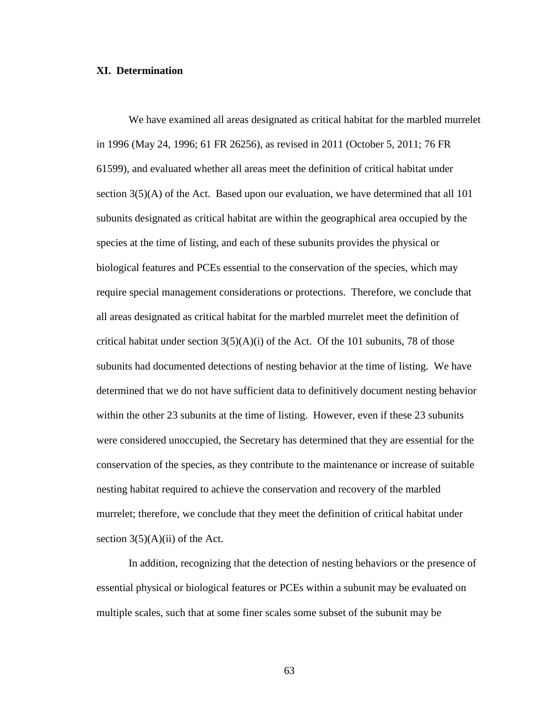# **XI. Determination**

We have examined all areas designated as critical habitat for the marbled murrelet in 1996 (May 24, 1996; 61 FR 26256), as revised in 2011 (October 5, 2011; 76 FR 61599), and evaluated whether all areas meet the definition of critical habitat under section  $3(5)(A)$  of the Act. Based upon our evaluation, we have determined that all 101 subunits designated as critical habitat are within the geographical area occupied by the species at the time of listing, and each of these subunits provides the physical or biological features and PCEs essential to the conservation of the species, which may require special management considerations or protections. Therefore, we conclude that all areas designated as critical habitat for the marbled murrelet meet the definition of critical habitat under section  $3(5)(A)(i)$  of the Act. Of the 101 subunits, 78 of those subunits had documented detections of nesting behavior at the time of listing. We have determined that we do not have sufficient data to definitively document nesting behavior within the other 23 subunits at the time of listing. However, even if these 23 subunits were considered unoccupied, the Secretary has determined that they are essential for the conservation of the species, as they contribute to the maintenance or increase of suitable nesting habitat required to achieve the conservation and recovery of the marbled murrelet; therefore, we conclude that they meet the definition of critical habitat under section  $3(5)(A)(ii)$  of the Act.

In addition, recognizing that the detection of nesting behaviors or the presence of essential physical or biological features or PCEs within a subunit may be evaluated on multiple scales, such that at some finer scales some subset of the subunit may be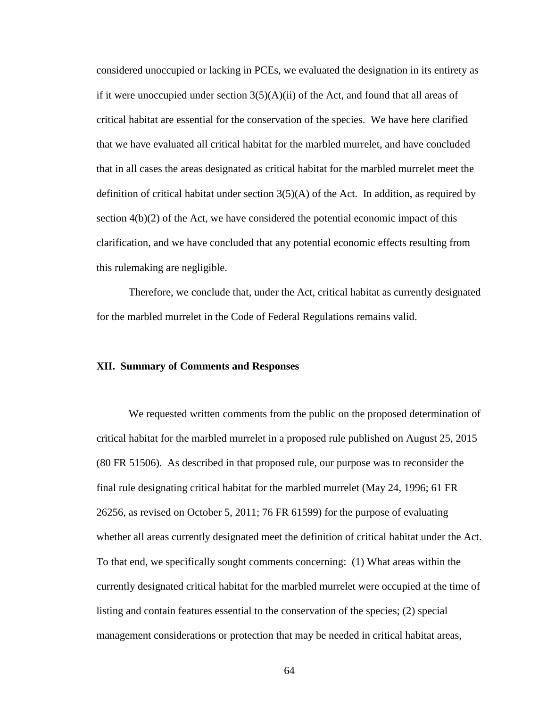considered unoccupied or lacking in PCEs, we evaluated the designation in its entirety as if it were unoccupied under section  $3(5)(A)(ii)$  of the Act, and found that all areas of critical habitat are essential for the conservation of the species. We have here clarified that we have evaluated all critical habitat for the marbled murrelet, and have concluded that in all cases the areas designated as critical habitat for the marbled murrelet meet the definition of critical habitat under section  $3(5)(A)$  of the Act. In addition, as required by section  $4(b)(2)$  of the Act, we have considered the potential economic impact of this clarification, and we have concluded that any potential economic effects resulting from this rulemaking are negligible.

Therefore, we conclude that, under the Act, critical habitat as currently designated for the marbled murrelet in the Code of Federal Regulations remains valid.

### **XII. Summary of Comments and Responses**

We requested written comments from the public on the proposed determination of critical habitat for the marbled murrelet in a proposed rule published on August 25, 2015 (80 FR 51506). As described in that proposed rule, our purpose was to reconsider the final rule designating critical habitat for the marbled murrelet (May 24, 1996; 61 FR 26256, as revised on October 5, 2011; 76 FR 61599) for the purpose of evaluating whether all areas currently designated meet the definition of critical habitat under the Act. To that end, we specifically sought comments concerning: (1) What areas within the currently designated critical habitat for the marbled murrelet were occupied at the time of listing and contain features essential to the conservation of the species; (2) special management considerations or protection that may be needed in critical habitat areas,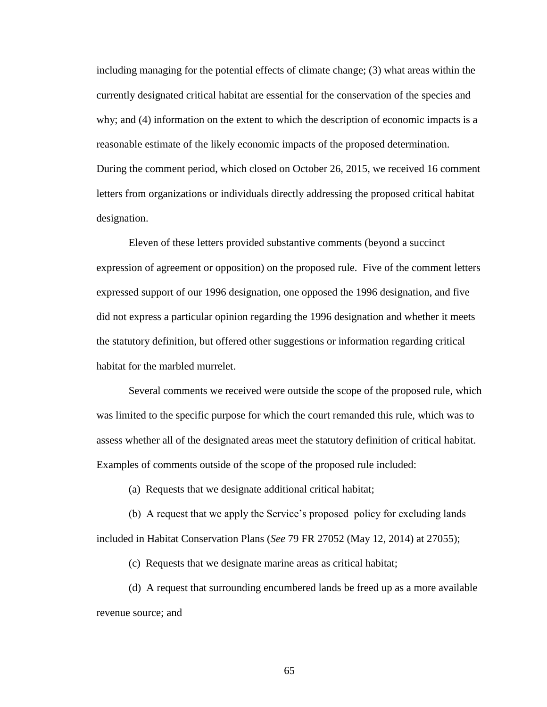including managing for the potential effects of climate change; (3) what areas within the currently designated critical habitat are essential for the conservation of the species and why; and (4) information on the extent to which the description of economic impacts is a reasonable estimate of the likely economic impacts of the proposed determination. During the comment period, which closed on October 26, 2015, we received 16 comment letters from organizations or individuals directly addressing the proposed critical habitat designation.

Eleven of these letters provided substantive comments (beyond a succinct expression of agreement or opposition) on the proposed rule. Five of the comment letters expressed support of our 1996 designation, one opposed the 1996 designation, and five did not express a particular opinion regarding the 1996 designation and whether it meets the statutory definition, but offered other suggestions or information regarding critical habitat for the marbled murrelet.

Several comments we received were outside the scope of the proposed rule, which was limited to the specific purpose for which the court remanded this rule, which was to assess whether all of the designated areas meet the statutory definition of critical habitat. Examples of comments outside of the scope of the proposed rule included:

(a) Requests that we designate additional critical habitat;

(b) A request that we apply the Service's proposed policy for excluding lands included in Habitat Conservation Plans (*See* 79 FR 27052 (May 12, 2014) at 27055);

(c) Requests that we designate marine areas as critical habitat;

(d) A request that surrounding encumbered lands be freed up as a more available revenue source; and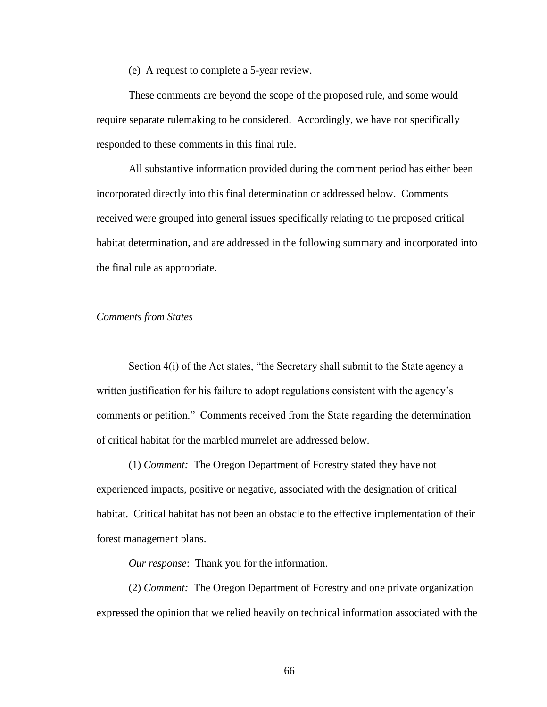(e) A request to complete a 5-year review.

These comments are beyond the scope of the proposed rule, and some would require separate rulemaking to be considered. Accordingly, we have not specifically responded to these comments in this final rule.

All substantive information provided during the comment period has either been incorporated directly into this final determination or addressed below. Comments received were grouped into general issues specifically relating to the proposed critical habitat determination, and are addressed in the following summary and incorporated into the final rule as appropriate.

# *Comments from States*

Section 4(i) of the Act states, "the Secretary shall submit to the State agency a written justification for his failure to adopt regulations consistent with the agency's comments or petition." Comments received from the State regarding the determination of critical habitat for the marbled murrelet are addressed below.

(1) *Comment:* The Oregon Department of Forestry stated they have not experienced impacts, positive or negative, associated with the designation of critical habitat. Critical habitat has not been an obstacle to the effective implementation of their forest management plans.

*Our response*: Thank you for the information.

(2) *Comment:* The Oregon Department of Forestry and one private organization expressed the opinion that we relied heavily on technical information associated with the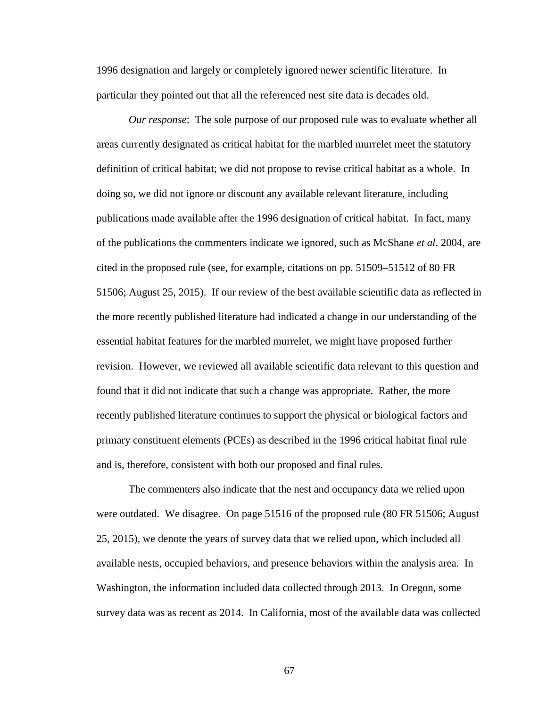1996 designation and largely or completely ignored newer scientific literature. In particular they pointed out that all the referenced nest site data is decades old.

*Our response*: The sole purpose of our proposed rule was to evaluate whether all areas currently designated as critical habitat for the marbled murrelet meet the statutory definition of critical habitat; we did not propose to revise critical habitat as a whole. In doing so, we did not ignore or discount any available relevant literature, including publications made available after the 1996 designation of critical habitat. In fact, many of the publications the commenters indicate we ignored, such as McShane *et al*. 2004, are cited in the proposed rule (see, for example, citations on pp. 51509–51512 of 80 FR 51506; August 25, 2015). If our review of the best available scientific data as reflected in the more recently published literature had indicated a change in our understanding of the essential habitat features for the marbled murrelet, we might have proposed further revision. However, we reviewed all available scientific data relevant to this question and found that it did not indicate that such a change was appropriate. Rather, the more recently published literature continues to support the physical or biological factors and primary constituent elements (PCEs) as described in the 1996 critical habitat final rule and is, therefore, consistent with both our proposed and final rules.

The commenters also indicate that the nest and occupancy data we relied upon were outdated. We disagree. On page 51516 of the proposed rule (80 FR 51506; August 25, 2015), we denote the years of survey data that we relied upon, which included all available nests, occupied behaviors, and presence behaviors within the analysis area. In Washington, the information included data collected through 2013. In Oregon, some survey data was as recent as 2014. In California, most of the available data was collected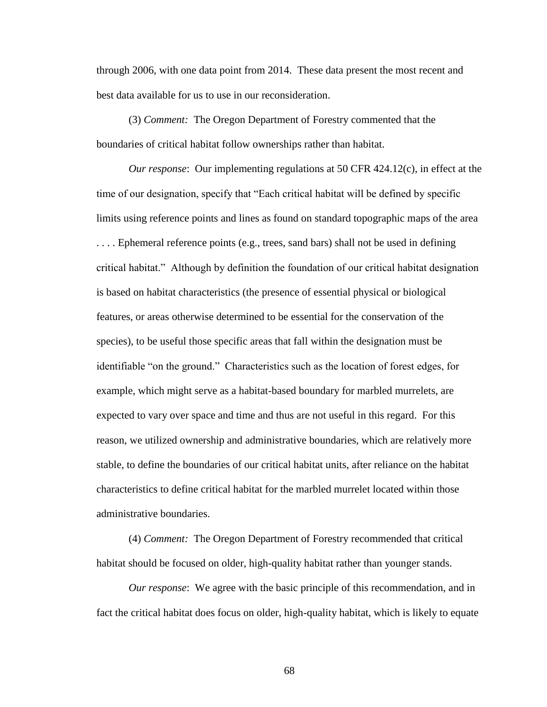through 2006, with one data point from 2014. These data present the most recent and best data available for us to use in our reconsideration.

(3) *Comment:* The Oregon Department of Forestry commented that the boundaries of critical habitat follow ownerships rather than habitat.

*Our response*: Our implementing regulations at 50 CFR 424.12(c), in effect at the time of our designation, specify that "Each critical habitat will be defined by specific limits using reference points and lines as found on standard topographic maps of the area . . . . Ephemeral reference points (e.g., trees, sand bars) shall not be used in defining critical habitat." Although by definition the foundation of our critical habitat designation is based on habitat characteristics (the presence of essential physical or biological features, or areas otherwise determined to be essential for the conservation of the species), to be useful those specific areas that fall within the designation must be identifiable "on the ground." Characteristics such as the location of forest edges, for example, which might serve as a habitat-based boundary for marbled murrelets, are expected to vary over space and time and thus are not useful in this regard. For this reason, we utilized ownership and administrative boundaries, which are relatively more stable, to define the boundaries of our critical habitat units, after reliance on the habitat characteristics to define critical habitat for the marbled murrelet located within those administrative boundaries.

(4) *Comment:* The Oregon Department of Forestry recommended that critical habitat should be focused on older, high-quality habitat rather than younger stands.

*Our response*: We agree with the basic principle of this recommendation, and in fact the critical habitat does focus on older, high-quality habitat, which is likely to equate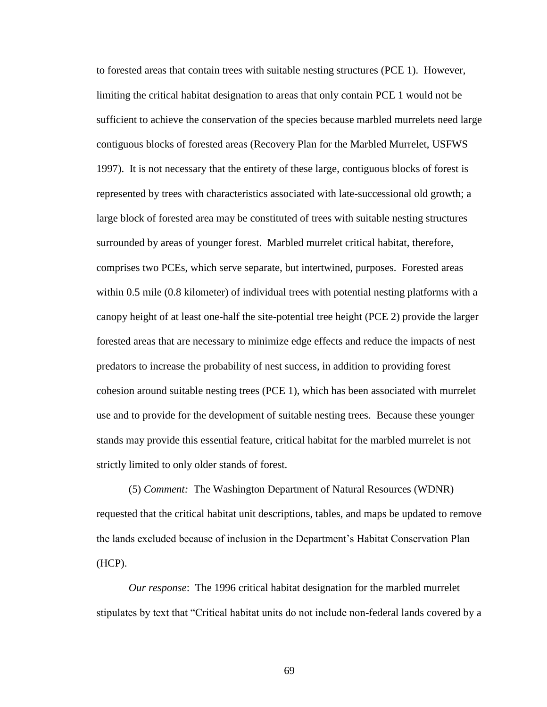to forested areas that contain trees with suitable nesting structures (PCE 1). However, limiting the critical habitat designation to areas that only contain PCE 1 would not be sufficient to achieve the conservation of the species because marbled murrelets need large contiguous blocks of forested areas (Recovery Plan for the Marbled Murrelet, USFWS 1997). It is not necessary that the entirety of these large, contiguous blocks of forest is represented by trees with characteristics associated with late-successional old growth; a large block of forested area may be constituted of trees with suitable nesting structures surrounded by areas of younger forest. Marbled murrelet critical habitat, therefore, comprises two PCEs, which serve separate, but intertwined, purposes. Forested areas within 0.5 mile (0.8 kilometer) of individual trees with potential nesting platforms with a canopy height of at least one-half the site-potential tree height (PCE 2) provide the larger forested areas that are necessary to minimize edge effects and reduce the impacts of nest predators to increase the probability of nest success, in addition to providing forest cohesion around suitable nesting trees (PCE 1), which has been associated with murrelet use and to provide for the development of suitable nesting trees. Because these younger stands may provide this essential feature, critical habitat for the marbled murrelet is not strictly limited to only older stands of forest.

(5) *Comment:* The Washington Department of Natural Resources (WDNR) requested that the critical habitat unit descriptions, tables, and maps be updated to remove the lands excluded because of inclusion in the Department's Habitat Conservation Plan (HCP).

*Our response*: The 1996 critical habitat designation for the marbled murrelet stipulates by text that "Critical habitat units do not include non-federal lands covered by a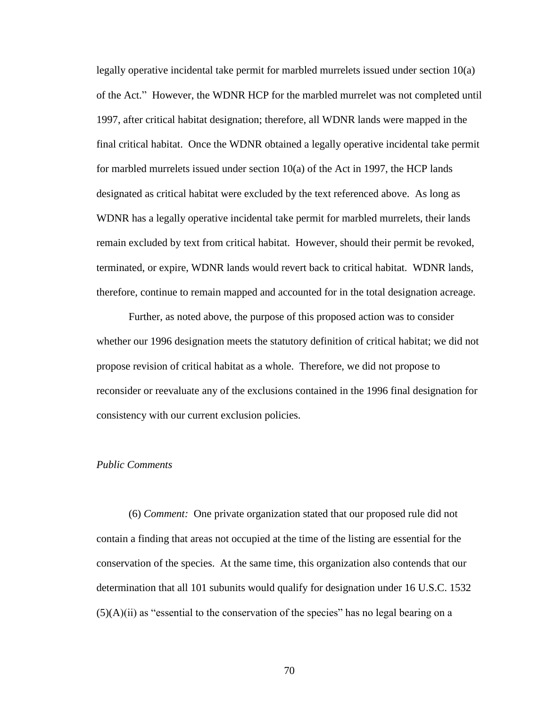legally operative incidental take permit for marbled murrelets issued under section 10(a) of the Act." However, the WDNR HCP for the marbled murrelet was not completed until 1997, after critical habitat designation; therefore, all WDNR lands were mapped in the final critical habitat. Once the WDNR obtained a legally operative incidental take permit for marbled murrelets issued under section 10(a) of the Act in 1997, the HCP lands designated as critical habitat were excluded by the text referenced above. As long as WDNR has a legally operative incidental take permit for marbled murrelets, their lands remain excluded by text from critical habitat. However, should their permit be revoked, terminated, or expire, WDNR lands would revert back to critical habitat. WDNR lands, therefore, continue to remain mapped and accounted for in the total designation acreage.

Further, as noted above, the purpose of this proposed action was to consider whether our 1996 designation meets the statutory definition of critical habitat; we did not propose revision of critical habitat as a whole. Therefore, we did not propose to reconsider or reevaluate any of the exclusions contained in the 1996 final designation for consistency with our current exclusion policies.

### *Public Comments*

(6) *Comment:* One private organization stated that our proposed rule did not contain a finding that areas not occupied at the time of the listing are essential for the conservation of the species. At the same time, this organization also contends that our determination that all 101 subunits would qualify for designation under 16 U.S.C. 1532  $(5)(A)(ii)$  as "essential to the conservation of the species" has no legal bearing on a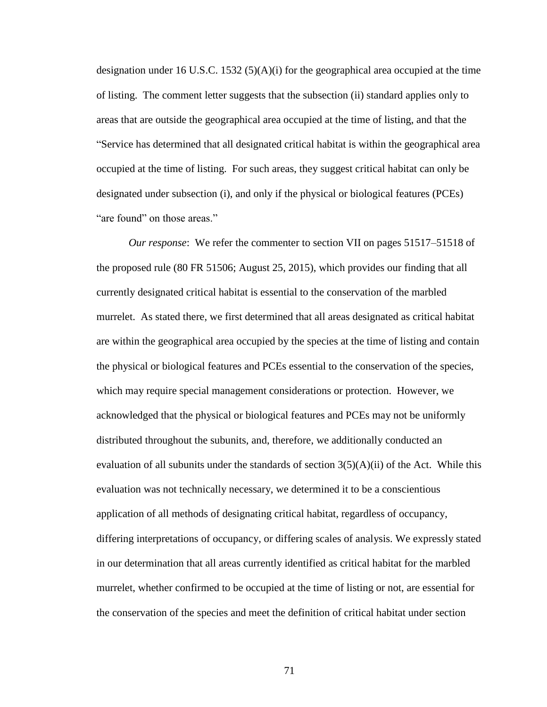designation under 16 U.S.C. 1532 (5)(A)(i) for the geographical area occupied at the time of listing. The comment letter suggests that the subsection (ii) standard applies only to areas that are outside the geographical area occupied at the time of listing, and that the "Service has determined that all designated critical habitat is within the geographical area occupied at the time of listing. For such areas, they suggest critical habitat can only be designated under subsection (i), and only if the physical or biological features (PCEs) "are found" on those areas."

*Our response*: We refer the commenter to section VII on pages 51517–51518 of the proposed rule (80 FR 51506; August 25, 2015), which provides our finding that all currently designated critical habitat is essential to the conservation of the marbled murrelet. As stated there, we first determined that all areas designated as critical habitat are within the geographical area occupied by the species at the time of listing and contain the physical or biological features and PCEs essential to the conservation of the species, which may require special management considerations or protection. However, we acknowledged that the physical or biological features and PCEs may not be uniformly distributed throughout the subunits, and, therefore, we additionally conducted an evaluation of all subunits under the standards of section  $3(5)(A)(ii)$  of the Act. While this evaluation was not technically necessary, we determined it to be a conscientious application of all methods of designating critical habitat, regardless of occupancy, differing interpretations of occupancy, or differing scales of analysis. We expressly stated in our determination that all areas currently identified as critical habitat for the marbled murrelet, whether confirmed to be occupied at the time of listing or not, are essential for the conservation of the species and meet the definition of critical habitat under section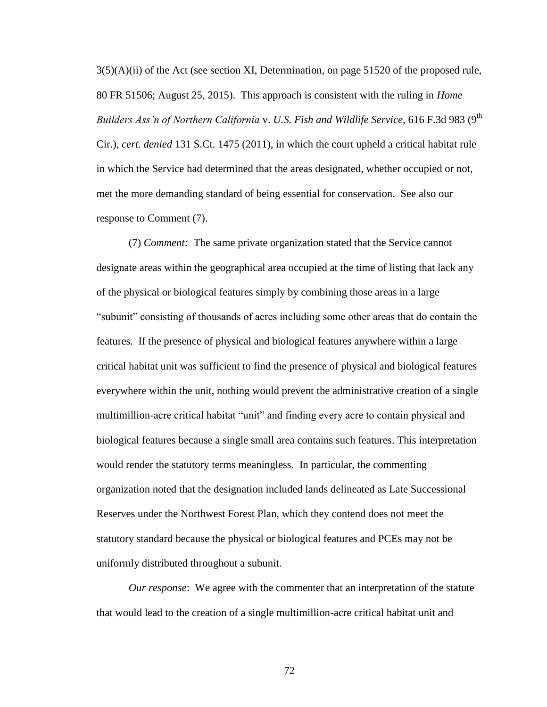$3(5)(A)(ii)$  of the Act (see section XI, Determination, on page 51520 of the proposed rule, 80 FR 51506; August 25, 2015). This approach is consistent with the ruling in *Home Builders Ass'n of Northern California v. U.S. Fish and Wildlife Service, 616 F.3d 983 (9th*) Cir.), *cert. denied* 131 S.Ct. 1475 (2011), in which the court upheld a critical habitat rule in which the Service had determined that the areas designated, whether occupied or not, met the more demanding standard of being essential for conservation. See also our response to Comment (7).

(7) *Comment:* The same private organization stated that the Service cannot designate areas within the geographical area occupied at the time of listing that lack any of the physical or biological features simply by combining those areas in a large "subunit" consisting of thousands of acres including some other areas that do contain the features. If the presence of physical and biological features anywhere within a large critical habitat unit was sufficient to find the presence of physical and biological features everywhere within the unit, nothing would prevent the administrative creation of a single multimillion-acre critical habitat "unit" and finding every acre to contain physical and biological features because a single small area contains such features. This interpretation would render the statutory terms meaningless. In particular, the commenting organization noted that the designation included lands delineated as Late Successional Reserves under the Northwest Forest Plan, which they contend does not meet the statutory standard because the physical or biological features and PCEs may not be uniformly distributed throughout a subunit.

*Our response*: We agree with the commenter that an interpretation of the statute that would lead to the creation of a single multimillion-acre critical habitat unit and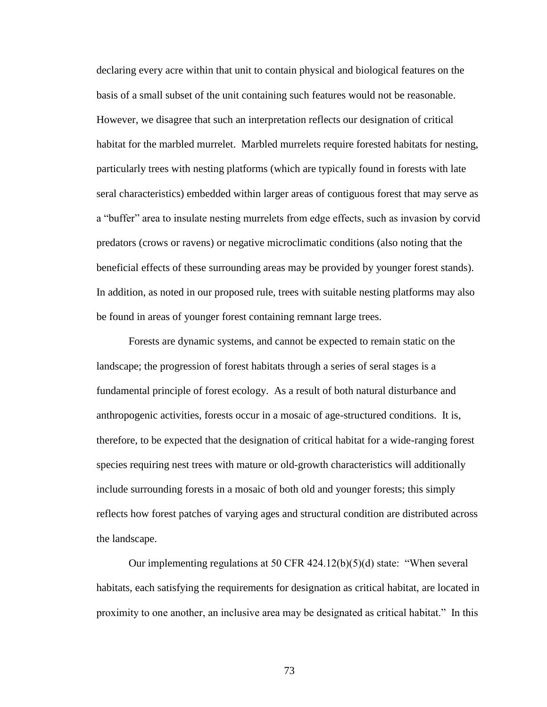declaring every acre within that unit to contain physical and biological features on the basis of a small subset of the unit containing such features would not be reasonable. However, we disagree that such an interpretation reflects our designation of critical habitat for the marbled murrelet. Marbled murrelets require forested habitats for nesting, particularly trees with nesting platforms (which are typically found in forests with late seral characteristics) embedded within larger areas of contiguous forest that may serve as a "buffer" area to insulate nesting murrelets from edge effects, such as invasion by corvid predators (crows or ravens) or negative microclimatic conditions (also noting that the beneficial effects of these surrounding areas may be provided by younger forest stands). In addition, as noted in our proposed rule, trees with suitable nesting platforms may also be found in areas of younger forest containing remnant large trees.

Forests are dynamic systems, and cannot be expected to remain static on the landscape; the progression of forest habitats through a series of seral stages is a fundamental principle of forest ecology. As a result of both natural disturbance and anthropogenic activities, forests occur in a mosaic of age-structured conditions. It is, therefore, to be expected that the designation of critical habitat for a wide-ranging forest species requiring nest trees with mature or old-growth characteristics will additionally include surrounding forests in a mosaic of both old and younger forests; this simply reflects how forest patches of varying ages and structural condition are distributed across the landscape.

Our implementing regulations at 50 CFR  $424.12(b)(5)(d)$  state: "When several habitats, each satisfying the requirements for designation as critical habitat, are located in proximity to one another, an inclusive area may be designated as critical habitat." In this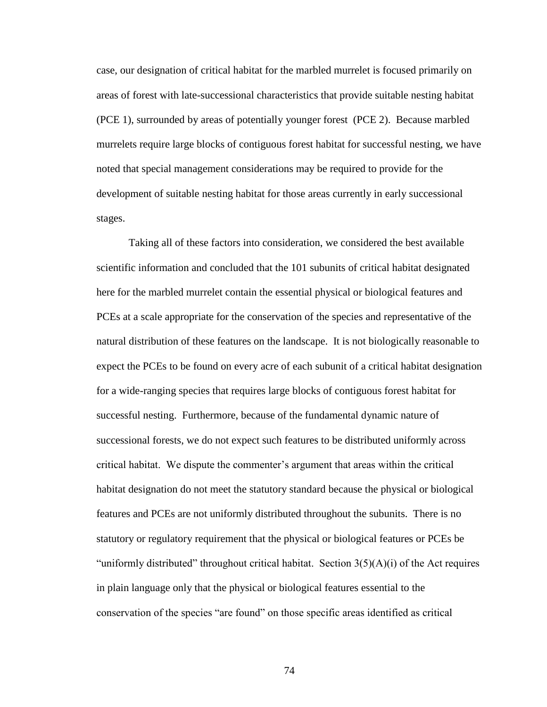case, our designation of critical habitat for the marbled murrelet is focused primarily on areas of forest with late-successional characteristics that provide suitable nesting habitat (PCE 1), surrounded by areas of potentially younger forest (PCE 2). Because marbled murrelets require large blocks of contiguous forest habitat for successful nesting, we have noted that special management considerations may be required to provide for the development of suitable nesting habitat for those areas currently in early successional stages.

Taking all of these factors into consideration, we considered the best available scientific information and concluded that the 101 subunits of critical habitat designated here for the marbled murrelet contain the essential physical or biological features and PCEs at a scale appropriate for the conservation of the species and representative of the natural distribution of these features on the landscape. It is not biologically reasonable to expect the PCEs to be found on every acre of each subunit of a critical habitat designation for a wide-ranging species that requires large blocks of contiguous forest habitat for successful nesting. Furthermore, because of the fundamental dynamic nature of successional forests, we do not expect such features to be distributed uniformly across critical habitat. We dispute the commenter's argument that areas within the critical habitat designation do not meet the statutory standard because the physical or biological features and PCEs are not uniformly distributed throughout the subunits. There is no statutory or regulatory requirement that the physical or biological features or PCEs be "uniformly distributed" throughout critical habitat. Section  $3(5)(A)(i)$  of the Act requires in plain language only that the physical or biological features essential to the conservation of the species "are found" on those specific areas identified as critical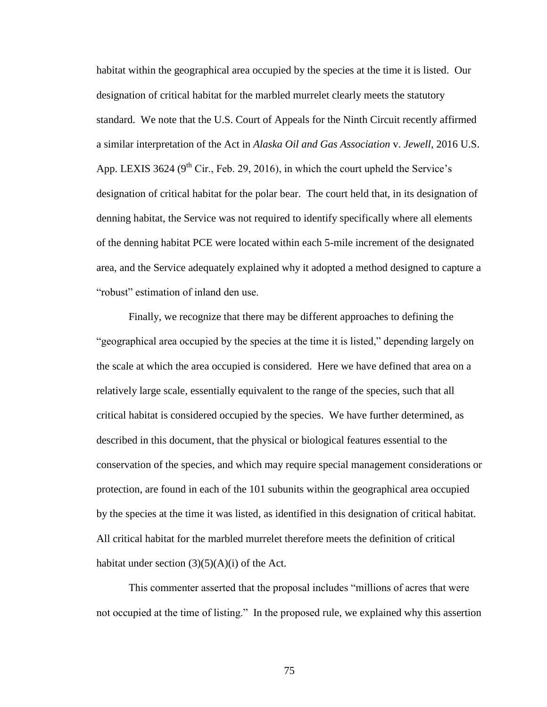habitat within the geographical area occupied by the species at the time it is listed. Our designation of critical habitat for the marbled murrelet clearly meets the statutory standard. We note that the U.S. Court of Appeals for the Ninth Circuit recently affirmed a similar interpretation of the Act in *Alaska Oil and Gas Association* v. *Jewell*, 2016 U.S. App. LEXIS 3624 ( $9<sup>th</sup>$  Cir., Feb. 29, 2016), in which the court upheld the Service's designation of critical habitat for the polar bear. The court held that, in its designation of denning habitat, the Service was not required to identify specifically where all elements of the denning habitat PCE were located within each 5-mile increment of the designated area, and the Service adequately explained why it adopted a method designed to capture a "robust" estimation of inland den use.

Finally, we recognize that there may be different approaches to defining the "geographical area occupied by the species at the time it is listed," depending largely on the scale at which the area occupied is considered. Here we have defined that area on a relatively large scale, essentially equivalent to the range of the species, such that all critical habitat is considered occupied by the species. We have further determined, as described in this document, that the physical or biological features essential to the conservation of the species, and which may require special management considerations or protection, are found in each of the 101 subunits within the geographical area occupied by the species at the time it was listed, as identified in this designation of critical habitat. All critical habitat for the marbled murrelet therefore meets the definition of critical habitat under section  $(3)(5)(A)(i)$  of the Act.

This commenter asserted that the proposal includes "millions of acres that were not occupied at the time of listing." In the proposed rule, we explained why this assertion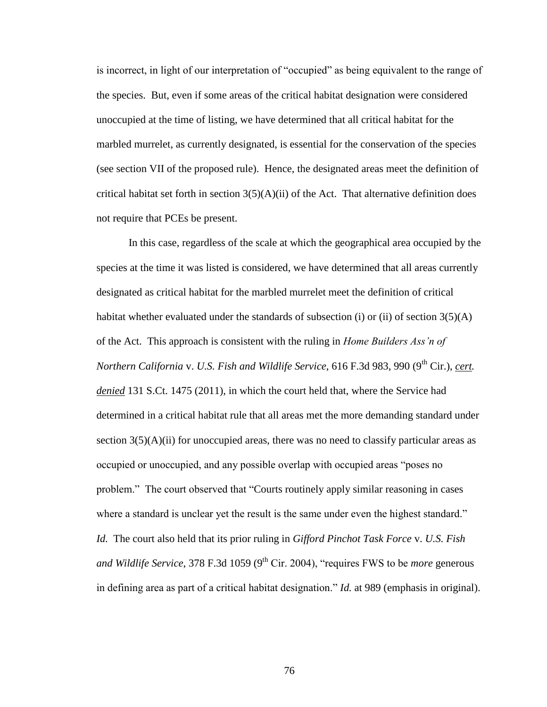is incorrect, in light of our interpretation of "occupied" as being equivalent to the range of the species. But, even if some areas of the critical habitat designation were considered unoccupied at the time of listing, we have determined that all critical habitat for the marbled murrelet, as currently designated, is essential for the conservation of the species (see section VII of the proposed rule). Hence, the designated areas meet the definition of critical habitat set forth in section  $3(5)(A)(ii)$  of the Act. That alternative definition does not require that PCEs be present.

In this case, regardless of the scale at which the geographical area occupied by the species at the time it was listed is considered, we have determined that all areas currently designated as critical habitat for the marbled murrelet meet the definition of critical habitat whether evaluated under the standards of subsection (i) or (ii) of section  $3(5)(A)$ of the Act. This approach is consistent with the ruling in *Home Builders Ass'n of Northern California v. U.S. Fish and Wildlife Service, 616 F.3d 983, 990 (9<sup>th</sup> Cir.), <i>cert. denied* 131 S.Ct. 1475 (2011), in which the court held that, where the Service had determined in a critical habitat rule that all areas met the more demanding standard under section  $3(5)(A)(ii)$  for unoccupied areas, there was no need to classify particular areas as occupied or unoccupied, and any possible overlap with occupied areas "poses no problem." The court observed that "Courts routinely apply similar reasoning in cases where a standard is unclear yet the result is the same under even the highest standard." *Id.* The court also held that its prior ruling in *Gifford Pinchot Task Force* v. *U.S. Fish*  and Wildlife Service, 378 F.3d 1059 (9<sup>th</sup> Cir. 2004), "requires FWS to be *more* generous in defining area as part of a critical habitat designation." *Id.* at 989 (emphasis in original).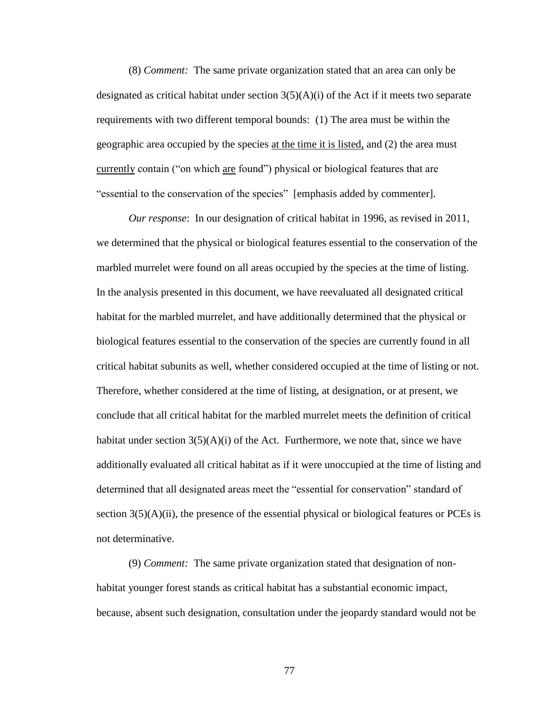(8) *Comment:* The same private organization stated that an area can only be designated as critical habitat under section 3(5)(A)(i) of the Act if it meets two separate requirements with two different temporal bounds: (1) The area must be within the geographic area occupied by the species at the time it is listed, and (2) the area must currently contain ("on which are found") physical or biological features that are "essential to the conservation of the species" [emphasis added by commenter].

*Our response*: In our designation of critical habitat in 1996, as revised in 2011, we determined that the physical or biological features essential to the conservation of the marbled murrelet were found on all areas occupied by the species at the time of listing. In the analysis presented in this document, we have reevaluated all designated critical habitat for the marbled murrelet, and have additionally determined that the physical or biological features essential to the conservation of the species are currently found in all critical habitat subunits as well, whether considered occupied at the time of listing or not. Therefore, whether considered at the time of listing, at designation, or at present, we conclude that all critical habitat for the marbled murrelet meets the definition of critical habitat under section  $3(5)(A)(i)$  of the Act. Furthermore, we note that, since we have additionally evaluated all critical habitat as if it were unoccupied at the time of listing and determined that all designated areas meet the "essential for conservation" standard of section  $3(5)(A)(ii)$ , the presence of the essential physical or biological features or PCEs is not determinative.

(9) *Comment:* The same private organization stated that designation of nonhabitat younger forest stands as critical habitat has a substantial economic impact, because, absent such designation, consultation under the jeopardy standard would not be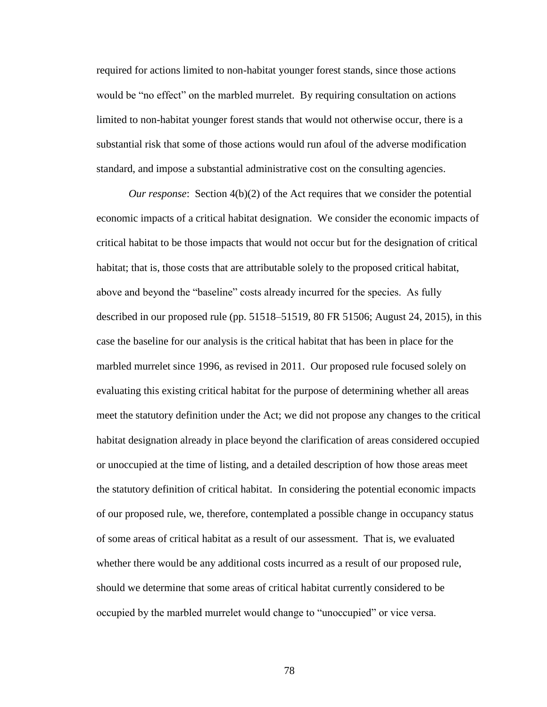required for actions limited to non-habitat younger forest stands, since those actions would be "no effect" on the marbled murrelet. By requiring consultation on actions limited to non-habitat younger forest stands that would not otherwise occur, there is a substantial risk that some of those actions would run afoul of the adverse modification standard, and impose a substantial administrative cost on the consulting agencies.

*Our response*: Section 4(b)(2) of the Act requires that we consider the potential economic impacts of a critical habitat designation. We consider the economic impacts of critical habitat to be those impacts that would not occur but for the designation of critical habitat; that is, those costs that are attributable solely to the proposed critical habitat, above and beyond the "baseline" costs already incurred for the species. As fully described in our proposed rule (pp. 51518–51519, 80 FR 51506; August 24, 2015), in this case the baseline for our analysis is the critical habitat that has been in place for the marbled murrelet since 1996, as revised in 2011. Our proposed rule focused solely on evaluating this existing critical habitat for the purpose of determining whether all areas meet the statutory definition under the Act; we did not propose any changes to the critical habitat designation already in place beyond the clarification of areas considered occupied or unoccupied at the time of listing, and a detailed description of how those areas meet the statutory definition of critical habitat. In considering the potential economic impacts of our proposed rule, we, therefore, contemplated a possible change in occupancy status of some areas of critical habitat as a result of our assessment. That is, we evaluated whether there would be any additional costs incurred as a result of our proposed rule, should we determine that some areas of critical habitat currently considered to be occupied by the marbled murrelet would change to "unoccupied" or vice versa.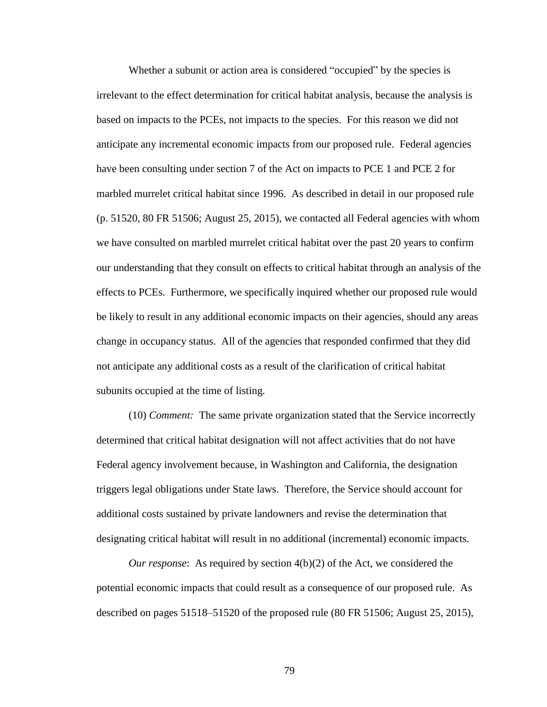Whether a subunit or action area is considered "occupied" by the species is irrelevant to the effect determination for critical habitat analysis, because the analysis is based on impacts to the PCEs, not impacts to the species. For this reason we did not anticipate any incremental economic impacts from our proposed rule. Federal agencies have been consulting under section 7 of the Act on impacts to PCE 1 and PCE 2 for marbled murrelet critical habitat since 1996. As described in detail in our proposed rule (p. 51520, 80 FR 51506; August 25, 2015), we contacted all Federal agencies with whom we have consulted on marbled murrelet critical habitat over the past 20 years to confirm our understanding that they consult on effects to critical habitat through an analysis of the effects to PCEs. Furthermore, we specifically inquired whether our proposed rule would be likely to result in any additional economic impacts on their agencies, should any areas change in occupancy status. All of the agencies that responded confirmed that they did not anticipate any additional costs as a result of the clarification of critical habitat subunits occupied at the time of listing.

(10) *Comment:* The same private organization stated that the Service incorrectly determined that critical habitat designation will not affect activities that do not have Federal agency involvement because, in Washington and California, the designation triggers legal obligations under State laws. Therefore, the Service should account for additional costs sustained by private landowners and revise the determination that designating critical habitat will result in no additional (incremental) economic impacts.

*Our response*: As required by section 4(b)(2) of the Act, we considered the potential economic impacts that could result as a consequence of our proposed rule. As described on pages 51518–51520 of the proposed rule (80 FR 51506; August 25, 2015),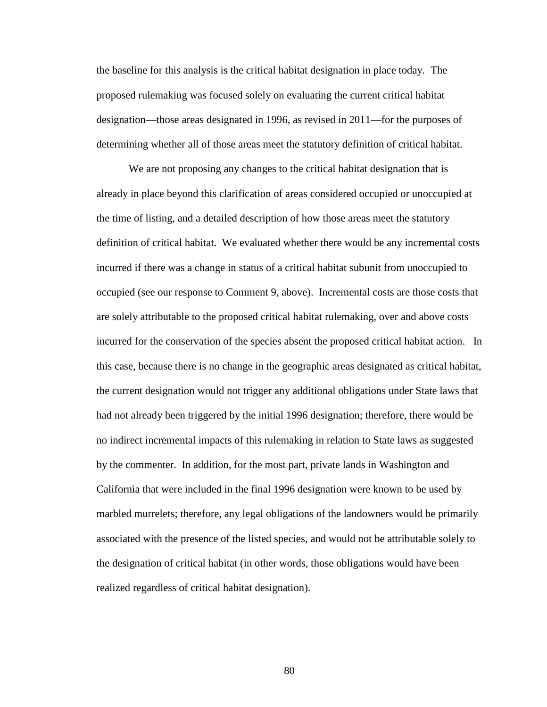the baseline for this analysis is the critical habitat designation in place today. The proposed rulemaking was focused solely on evaluating the current critical habitat designation—those areas designated in 1996, as revised in 2011—for the purposes of determining whether all of those areas meet the statutory definition of critical habitat.

We are not proposing any changes to the critical habitat designation that is already in place beyond this clarification of areas considered occupied or unoccupied at the time of listing, and a detailed description of how those areas meet the statutory definition of critical habitat. We evaluated whether there would be any incremental costs incurred if there was a change in status of a critical habitat subunit from unoccupied to occupied (see our response to Comment 9, above). Incremental costs are those costs that are solely attributable to the proposed critical habitat rulemaking, over and above costs incurred for the conservation of the species absent the proposed critical habitat action. In this case, because there is no change in the geographic areas designated as critical habitat, the current designation would not trigger any additional obligations under State laws that had not already been triggered by the initial 1996 designation; therefore, there would be no indirect incremental impacts of this rulemaking in relation to State laws as suggested by the commenter. In addition, for the most part, private lands in Washington and California that were included in the final 1996 designation were known to be used by marbled murrelets; therefore, any legal obligations of the landowners would be primarily associated with the presence of the listed species, and would not be attributable solely to the designation of critical habitat (in other words, those obligations would have been realized regardless of critical habitat designation).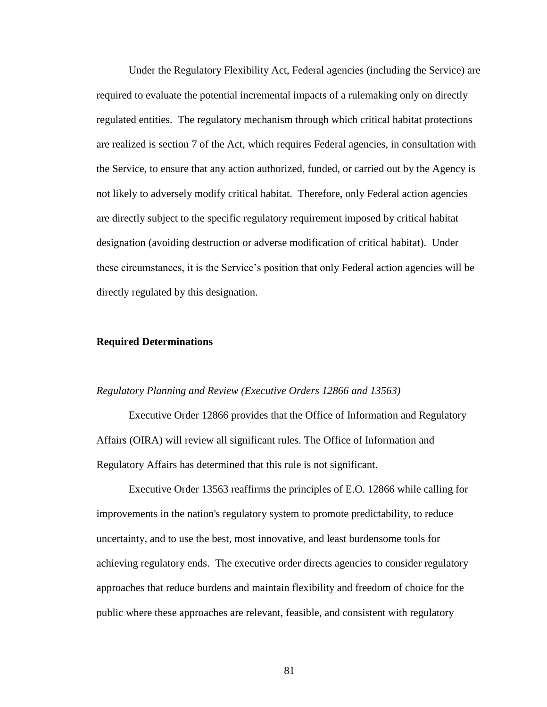Under the Regulatory Flexibility Act, Federal agencies (including the Service) are required to evaluate the potential incremental impacts of a rulemaking only on directly regulated entities. The regulatory mechanism through which critical habitat protections are realized is section 7 of the Act, which requires Federal agencies, in consultation with the Service, to ensure that any action authorized, funded, or carried out by the Agency is not likely to adversely modify critical habitat. Therefore, only Federal action agencies are directly subject to the specific regulatory requirement imposed by critical habitat designation (avoiding destruction or adverse modification of critical habitat). Under these circumstances, it is the Service's position that only Federal action agencies will be directly regulated by this designation.

## **Required Determinations**

#### *Regulatory Planning and Review (Executive Orders 12866 and 13563)*

Executive Order 12866 provides that the Office of Information and Regulatory Affairs (OIRA) will review all significant rules. The Office of Information and Regulatory Affairs has determined that this rule is not significant.

Executive Order 13563 reaffirms the principles of E.O. 12866 while calling for improvements in the nation's regulatory system to promote predictability, to reduce uncertainty, and to use the best, most innovative, and least burdensome tools for achieving regulatory ends. The executive order directs agencies to consider regulatory approaches that reduce burdens and maintain flexibility and freedom of choice for the public where these approaches are relevant, feasible, and consistent with regulatory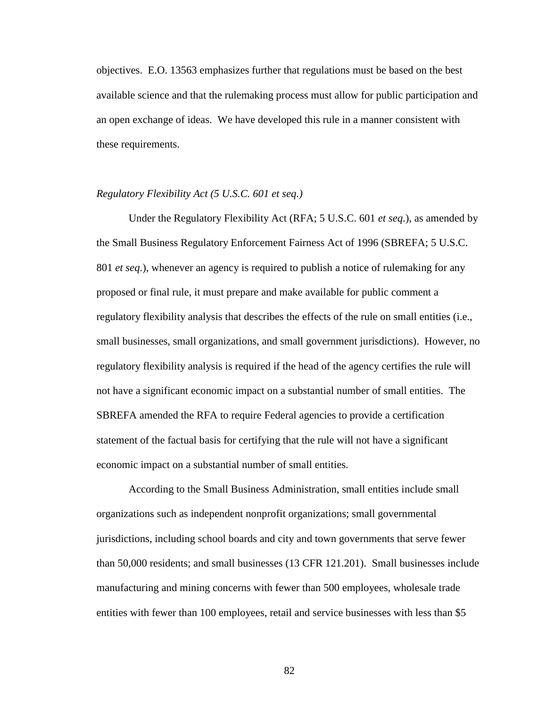objectives. E.O. 13563 emphasizes further that regulations must be based on the best available science and that the rulemaking process must allow for public participation and an open exchange of ideas. We have developed this rule in a manner consistent with these requirements.

# *Regulatory Flexibility Act (5 U.S.C. 601 et seq.)*

Under the Regulatory Flexibility Act (RFA; 5 U.S.C. 601 *et seq*.), as amended by the Small Business Regulatory Enforcement Fairness Act of 1996 (SBREFA; 5 U.S.C. 801 *et seq*.), whenever an agency is required to publish a notice of rulemaking for any proposed or final rule, it must prepare and make available for public comment a regulatory flexibility analysis that describes the effects of the rule on small entities (i.e., small businesses, small organizations, and small government jurisdictions). However, no regulatory flexibility analysis is required if the head of the agency certifies the rule will not have a significant economic impact on a substantial number of small entities. The SBREFA amended the RFA to require Federal agencies to provide a certification statement of the factual basis for certifying that the rule will not have a significant economic impact on a substantial number of small entities.

According to the Small Business Administration, small entities include small organizations such as independent nonprofit organizations; small governmental jurisdictions, including school boards and city and town governments that serve fewer than 50,000 residents; and small businesses (13 CFR 121.201). Small businesses include manufacturing and mining concerns with fewer than 500 employees, wholesale trade entities with fewer than 100 employees, retail and service businesses with less than \$5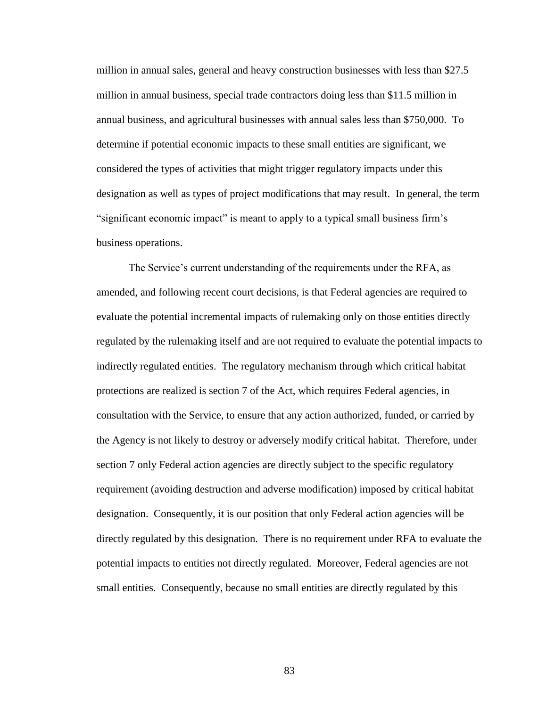million in annual sales, general and heavy construction businesses with less than \$27.5 million in annual business, special trade contractors doing less than \$11.5 million in annual business, and agricultural businesses with annual sales less than \$750,000. To determine if potential economic impacts to these small entities are significant, we considered the types of activities that might trigger regulatory impacts under this designation as well as types of project modifications that may result. In general, the term "significant economic impact" is meant to apply to a typical small business firm's business operations.

The Service's current understanding of the requirements under the RFA, as amended, and following recent court decisions, is that Federal agencies are required to evaluate the potential incremental impacts of rulemaking only on those entities directly regulated by the rulemaking itself and are not required to evaluate the potential impacts to indirectly regulated entities. The regulatory mechanism through which critical habitat protections are realized is section 7 of the Act, which requires Federal agencies, in consultation with the Service, to ensure that any action authorized, funded, or carried by the Agency is not likely to destroy or adversely modify critical habitat. Therefore, under section 7 only Federal action agencies are directly subject to the specific regulatory requirement (avoiding destruction and adverse modification) imposed by critical habitat designation. Consequently, it is our position that only Federal action agencies will be directly regulated by this designation. There is no requirement under RFA to evaluate the potential impacts to entities not directly regulated. Moreover, Federal agencies are not small entities. Consequently, because no small entities are directly regulated by this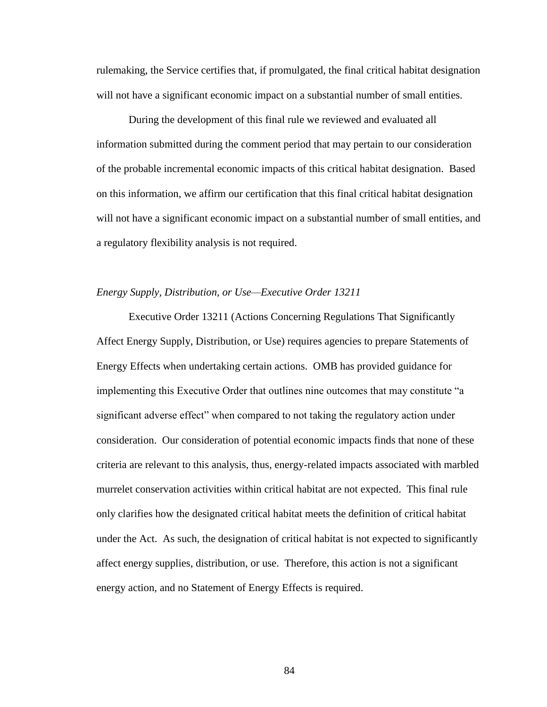rulemaking, the Service certifies that, if promulgated, the final critical habitat designation will not have a significant economic impact on a substantial number of small entities.

During the development of this final rule we reviewed and evaluated all information submitted during the comment period that may pertain to our consideration of the probable incremental economic impacts of this critical habitat designation. Based on this information, we affirm our certification that this final critical habitat designation will not have a significant economic impact on a substantial number of small entities, and a regulatory flexibility analysis is not required.

# *Energy Supply, Distribution, or Use—Executive Order 13211*

Executive Order 13211 (Actions Concerning Regulations That Significantly Affect Energy Supply, Distribution, or Use) requires agencies to prepare Statements of Energy Effects when undertaking certain actions. OMB has provided guidance for implementing this Executive Order that outlines nine outcomes that may constitute "a significant adverse effect" when compared to not taking the regulatory action under consideration. Our consideration of potential economic impacts finds that none of these criteria are relevant to this analysis, thus, energy-related impacts associated with marbled murrelet conservation activities within critical habitat are not expected. This final rule only clarifies how the designated critical habitat meets the definition of critical habitat under the Act. As such, the designation of critical habitat is not expected to significantly affect energy supplies, distribution, or use. Therefore, this action is not a significant energy action, and no Statement of Energy Effects is required.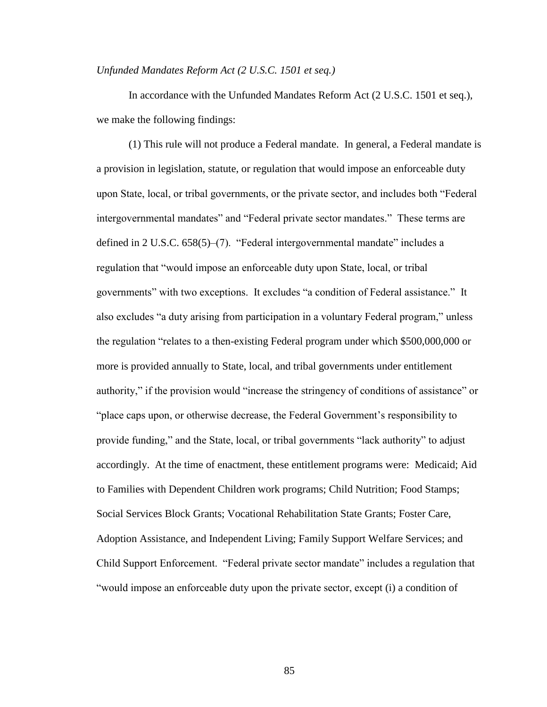*Unfunded Mandates Reform Act (2 U.S.C. 1501 et seq.)* 

In accordance with the Unfunded Mandates Reform Act (2 U.S.C. 1501 et seq.), we make the following findings:

(1) This rule will not produce a Federal mandate. In general, a Federal mandate is a provision in legislation, statute, or regulation that would impose an enforceable duty upon State, local, or tribal governments, or the private sector, and includes both "Federal intergovernmental mandates" and "Federal private sector mandates." These terms are defined in 2 U.S.C. 658(5)–(7). "Federal intergovernmental mandate" includes a regulation that "would impose an enforceable duty upon State, local, or tribal governments" with two exceptions. It excludes "a condition of Federal assistance." It also excludes "a duty arising from participation in a voluntary Federal program," unless the regulation "relates to a then-existing Federal program under which \$500,000,000 or more is provided annually to State, local, and tribal governments under entitlement authority," if the provision would "increase the stringency of conditions of assistance" or "place caps upon, or otherwise decrease, the Federal Government's responsibility to provide funding," and the State, local, or tribal governments "lack authority" to adjust accordingly. At the time of enactment, these entitlement programs were: Medicaid; Aid to Families with Dependent Children work programs; Child Nutrition; Food Stamps; Social Services Block Grants; Vocational Rehabilitation State Grants; Foster Care, Adoption Assistance, and Independent Living; Family Support Welfare Services; and Child Support Enforcement. "Federal private sector mandate" includes a regulation that "would impose an enforceable duty upon the private sector, except (i) a condition of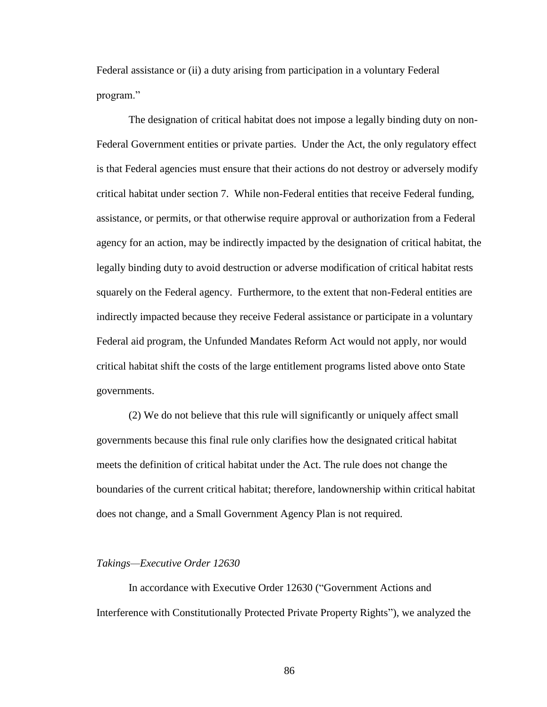Federal assistance or (ii) a duty arising from participation in a voluntary Federal program."

The designation of critical habitat does not impose a legally binding duty on non-Federal Government entities or private parties. Under the Act, the only regulatory effect is that Federal agencies must ensure that their actions do not destroy or adversely modify critical habitat under section 7. While non-Federal entities that receive Federal funding, assistance, or permits, or that otherwise require approval or authorization from a Federal agency for an action, may be indirectly impacted by the designation of critical habitat, the legally binding duty to avoid destruction or adverse modification of critical habitat rests squarely on the Federal agency. Furthermore, to the extent that non-Federal entities are indirectly impacted because they receive Federal assistance or participate in a voluntary Federal aid program, the Unfunded Mandates Reform Act would not apply, nor would critical habitat shift the costs of the large entitlement programs listed above onto State governments.

(2) We do not believe that this rule will significantly or uniquely affect small governments because this final rule only clarifies how the designated critical habitat meets the definition of critical habitat under the Act. The rule does not change the boundaries of the current critical habitat; therefore, landownership within critical habitat does not change, and a Small Government Agency Plan is not required.

#### *Takings—Executive Order 12630*

In accordance with Executive Order 12630 ("Government Actions and Interference with Constitutionally Protected Private Property Rights"), we analyzed the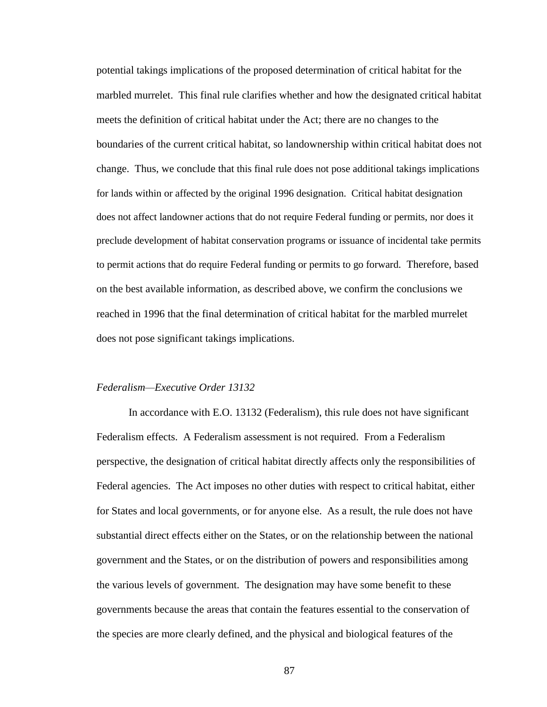potential takings implications of the proposed determination of critical habitat for the marbled murrelet. This final rule clarifies whether and how the designated critical habitat meets the definition of critical habitat under the Act; there are no changes to the boundaries of the current critical habitat, so landownership within critical habitat does not change. Thus, we conclude that this final rule does not pose additional takings implications for lands within or affected by the original 1996 designation. Critical habitat designation does not affect landowner actions that do not require Federal funding or permits, nor does it preclude development of habitat conservation programs or issuance of incidental take permits to permit actions that do require Federal funding or permits to go forward. Therefore, based on the best available information, as described above, we confirm the conclusions we reached in 1996 that the final determination of critical habitat for the marbled murrelet does not pose significant takings implications.

## *Federalism—Executive Order 13132*

In accordance with E.O. 13132 (Federalism), this rule does not have significant Federalism effects. A Federalism assessment is not required. From a Federalism perspective, the designation of critical habitat directly affects only the responsibilities of Federal agencies. The Act imposes no other duties with respect to critical habitat, either for States and local governments, or for anyone else. As a result, the rule does not have substantial direct effects either on the States, or on the relationship between the national government and the States, or on the distribution of powers and responsibilities among the various levels of government. The designation may have some benefit to these governments because the areas that contain the features essential to the conservation of the species are more clearly defined, and the physical and biological features of the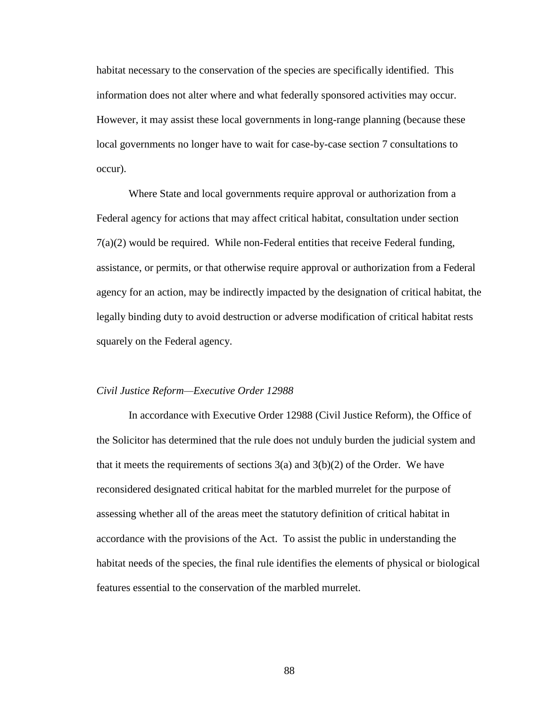habitat necessary to the conservation of the species are specifically identified. This information does not alter where and what federally sponsored activities may occur. However, it may assist these local governments in long-range planning (because these local governments no longer have to wait for case-by-case section 7 consultations to occur).

Where State and local governments require approval or authorization from a Federal agency for actions that may affect critical habitat, consultation under section 7(a)(2) would be required. While non-Federal entities that receive Federal funding, assistance, or permits, or that otherwise require approval or authorization from a Federal agency for an action, may be indirectly impacted by the designation of critical habitat, the legally binding duty to avoid destruction or adverse modification of critical habitat rests squarely on the Federal agency.

### *Civil Justice Reform—Executive Order 12988*

In accordance with Executive Order 12988 (Civil Justice Reform), the Office of the Solicitor has determined that the rule does not unduly burden the judicial system and that it meets the requirements of sections  $3(a)$  and  $3(b)(2)$  of the Order. We have reconsidered designated critical habitat for the marbled murrelet for the purpose of assessing whether all of the areas meet the statutory definition of critical habitat in accordance with the provisions of the Act. To assist the public in understanding the habitat needs of the species, the final rule identifies the elements of physical or biological features essential to the conservation of the marbled murrelet.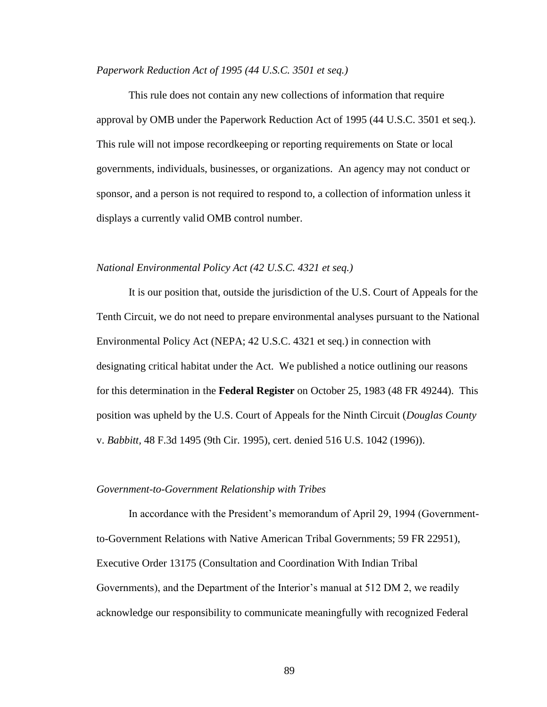## *Paperwork Reduction Act of 1995 (44 U.S.C. 3501 et seq.)*

This rule does not contain any new collections of information that require approval by OMB under the Paperwork Reduction Act of 1995 (44 U.S.C. 3501 et seq.). This rule will not impose recordkeeping or reporting requirements on State or local governments, individuals, businesses, or organizations. An agency may not conduct or sponsor, and a person is not required to respond to, a collection of information unless it displays a currently valid OMB control number.

# *National Environmental Policy Act (42 U.S.C. 4321 et seq.)*

It is our position that, outside the jurisdiction of the U.S. Court of Appeals for the Tenth Circuit, we do not need to prepare environmental analyses pursuant to the National Environmental Policy Act (NEPA; 42 U.S.C. 4321 et seq.) in connection with designating critical habitat under the Act. We published a notice outlining our reasons for this determination in the **Federal Register** on October 25, 1983 (48 FR 49244). This position was upheld by the U.S. Court of Appeals for the Ninth Circuit (*Douglas County* v. *Babbitt,* 48 F.3d 1495 (9th Cir. 1995), cert. denied 516 U.S. 1042 (1996)).

## *Government-to-Government Relationship with Tribes*

In accordance with the President's memorandum of April 29, 1994 (Governmentto-Government Relations with Native American Tribal Governments; 59 FR 22951), Executive Order 13175 (Consultation and Coordination With Indian Tribal Governments), and the Department of the Interior's manual at 512 DM 2, we readily acknowledge our responsibility to communicate meaningfully with recognized Federal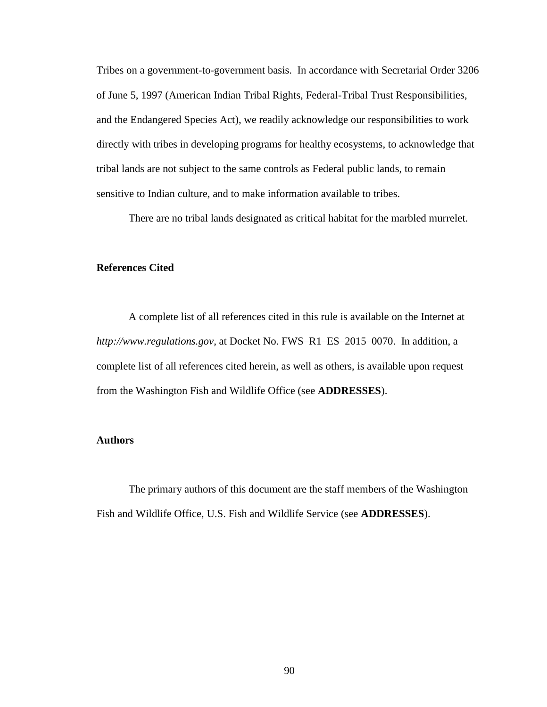Tribes on a government-to-government basis. In accordance with Secretarial Order 3206 of June 5, 1997 (American Indian Tribal Rights, Federal-Tribal Trust Responsibilities, and the Endangered Species Act), we readily acknowledge our responsibilities to work directly with tribes in developing programs for healthy ecosystems, to acknowledge that tribal lands are not subject to the same controls as Federal public lands, to remain sensitive to Indian culture, and to make information available to tribes.

There are no tribal lands designated as critical habitat for the marbled murrelet.

# **References Cited**

A complete list of all references cited in this rule is available on the Internet at *http://www.regulations.gov*, at Docket No. FWS–R1–ES–2015–0070. In addition, a complete list of all references cited herein, as well as others, is available upon request from the Washington Fish and Wildlife Office (see **ADDRESSES**).

# **Authors**

The primary authors of this document are the staff members of the Washington Fish and Wildlife Office, U.S. Fish and Wildlife Service (see **ADDRESSES**).